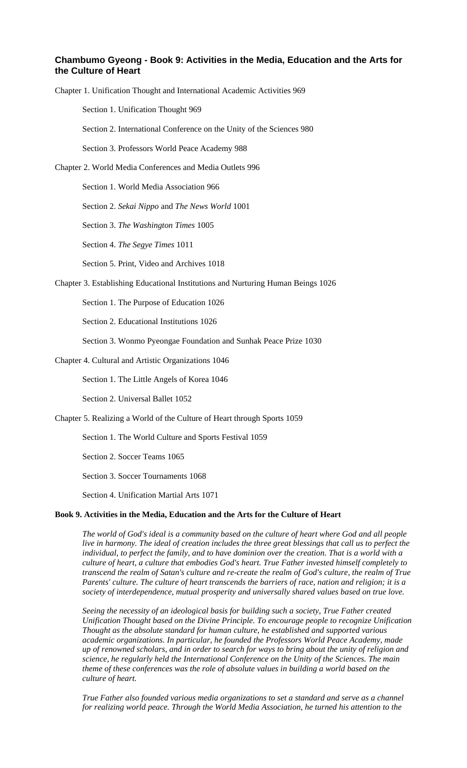# **Chambumo Gyeong - Book 9: Activities in the Media, Education and the Arts for the Culture of Heart**

Chapter 1. Unification Thought and International Academic Activities 969

Section 1. Unification Thought 969

Section 2. International Conference on the Unity of the Sciences 980

Section 3. Professors World Peace Academy 988

Chapter 2. World Media Conferences and Media Outlets 996

Section 1. World Media Association 966

Section 2. *Sekai Nippo* and *The News World* 1001

Section 3. *The Washington Times* 1005

Section 4. *The Segye Times* 1011

Section 5. Print, Video and Archives 1018

Chapter 3. Establishing Educational Institutions and Nurturing Human Beings 1026

Section 1. The Purpose of Education 1026

Section 2. Educational Institutions 1026

Section 3. Wonmo Pyeongae Foundation and Sunhak Peace Prize 1030

Chapter 4. Cultural and Artistic Organizations 1046

Section 1. The Little Angels of Korea 1046

Section 2. Universal Ballet 1052

Chapter 5. Realizing a World of the Culture of Heart through Sports 1059

Section 1. The World Culture and Sports Festival 1059

Section 2. Soccer Teams 1065

Section 3. Soccer Tournaments 1068

Section 4. Unification Martial Arts 1071

## **Book 9. Activities in the Media, Education and the Arts for the Culture of Heart**

*The world of God's ideal is a community based on the culture of heart where God and all people live in harmony. The ideal of creation includes the three great blessings that call us to perfect the individual, to perfect the family, and to have dominion over the creation. That is a world with a culture of heart, a culture that embodies God's heart. True Father invested himself completely to transcend the realm of Satan's culture and re-create the realm of God's culture, the realm of True Parents' culture. The culture of heart transcends the barriers of race, nation and religion; it is a society of interdependence, mutual prosperity and universally shared values based on true love.* 

*Seeing the necessity of an ideological basis for building such a society, True Father created Unification Thought based on the Divine Principle. To encourage people to recognize Unification Thought as the absolute standard for human culture, he established and supported various academic organizations. In particular, he founded the Professors World Peace Academy, made up of renowned scholars, and in order to search for ways to bring about the unity of religion and science, he regularly held the International Conference on the Unity of the Sciences. The main theme of these conferences was the role of absolute values in building a world based on the culture of heart.* 

*True Father also founded various media organizations to set a standard and serve as a channel for realizing world peace. Through the World Media Association, he turned his attention to the*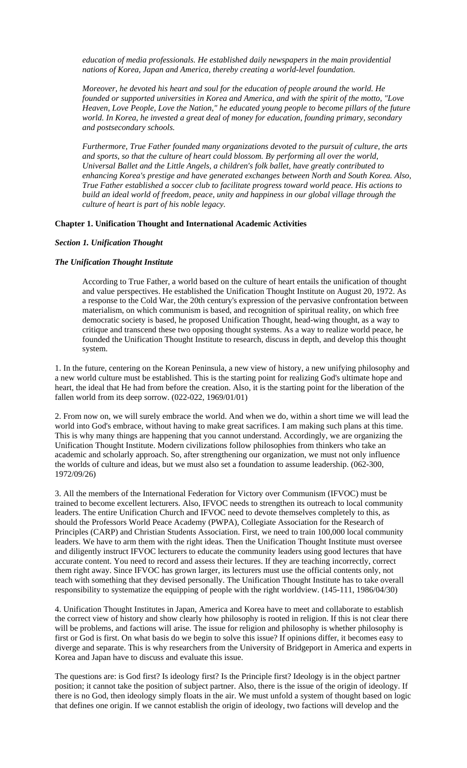*education of media professionals. He established daily newspapers in the main providential nations of Korea, Japan and America, thereby creating a world-level foundation.* 

*Moreover, he devoted his heart and soul for the education of people around the world. He founded or supported universities in Korea and America, and with the spirit of the motto, "Love Heaven, Love People, Love the Nation," he educated young people to become pillars of the future world. In Korea, he invested a great deal of money for education, founding primary, secondary and postsecondary schools.* 

*Furthermore, True Father founded many organizations devoted to the pursuit of culture, the arts and sports, so that the culture of heart could blossom. By performing all over the world, Universal Ballet and the Little Angels, a children's folk ballet, have greatly contributed to enhancing Korea's prestige and have generated exchanges between North and South Korea. Also, True Father established a soccer club to facilitate progress toward world peace. His actions to build an ideal world of freedom, peace, unity and happiness in our global village through the culture of heart is part of his noble legacy.*

### **Chapter 1. Unification Thought and International Academic Activities**

# *Section 1. Unification Thought*

# *The Unification Thought Institute*

According to True Father, a world based on the culture of heart entails the unification of thought and value perspectives. He established the Unification Thought Institute on August 20, 1972. As a response to the Cold War, the 20th century's expression of the pervasive confrontation between materialism, on which communism is based, and recognition of spiritual reality, on which free democratic society is based, he proposed Unification Thought, head-wing thought, as a way to critique and transcend these two opposing thought systems. As a way to realize world peace, he founded the Unification Thought Institute to research, discuss in depth, and develop this thought system.

1. In the future, centering on the Korean Peninsula, a new view of history, a new unifying philosophy and a new world culture must be established. This is the starting point for realizing God's ultimate hope and heart, the ideal that He had from before the creation. Also, it is the starting point for the liberation of the fallen world from its deep sorrow. (022-022, 1969/01/01)

2. From now on, we will surely embrace the world. And when we do, within a short time we will lead the world into God's embrace, without having to make great sacrifices. I am making such plans at this time. This is why many things are happening that you cannot understand. Accordingly, we are organizing the Unification Thought Institute. Modern civilizations follow philosophies from thinkers who take an academic and scholarly approach. So, after strengthening our organization, we must not only influence the worlds of culture and ideas, but we must also set a foundation to assume leadership. (062-300, 1972/09/26)

3. All the members of the International Federation for Victory over Communism (IFVOC) must be trained to become excellent lecturers. Also, IFVOC needs to strengthen its outreach to local community leaders. The entire Unification Church and IFVOC need to devote themselves completely to this, as should the Professors World Peace Academy (PWPA), Collegiate Association for the Research of Principles (CARP) and Christian Students Association. First, we need to train 100,000 local community leaders. We have to arm them with the right ideas. Then the Unification Thought Institute must oversee and diligently instruct IFVOC lecturers to educate the community leaders using good lectures that have accurate content. You need to record and assess their lectures. If they are teaching incorrectly, correct them right away. Since IFVOC has grown larger, its lecturers must use the official contents only, not teach with something that they devised personally. The Unification Thought Institute has to take overall responsibility to systematize the equipping of people with the right worldview. (145-111, 1986/04/30)

4. Unification Thought Institutes in Japan, America and Korea have to meet and collaborate to establish the correct view of history and show clearly how philosophy is rooted in religion. If this is not clear there will be problems, and factions will arise. The issue for religion and philosophy is whether philosophy is first or God is first. On what basis do we begin to solve this issue? If opinions differ, it becomes easy to diverge and separate. This is why researchers from the University of Bridgeport in America and experts in Korea and Japan have to discuss and evaluate this issue.

The questions are: is God first? Is ideology first? Is the Principle first? Ideology is in the object partner position; it cannot take the position of subject partner. Also, there is the issue of the origin of ideology. If there is no God, then ideology simply floats in the air. We must unfold a system of thought based on logic that defines one origin. If we cannot establish the origin of ideology, two factions will develop and the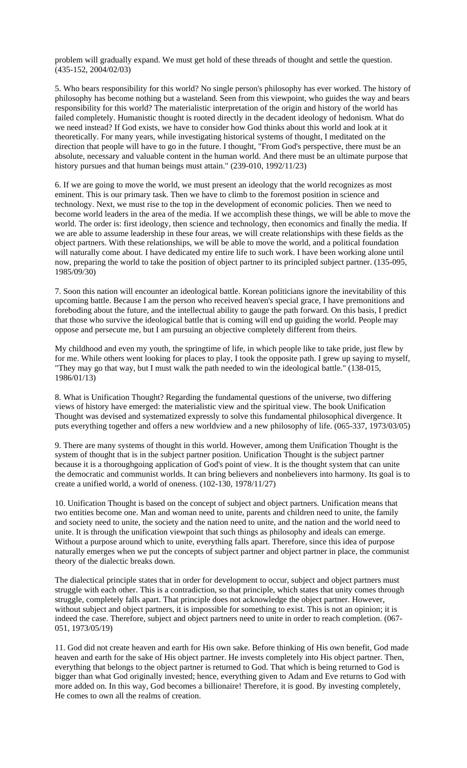problem will gradually expand. We must get hold of these threads of thought and settle the question. (435-152, 2004/02/03)

5. Who bears responsibility for this world? No single person's philosophy has ever worked. The history of philosophy has become nothing but a wasteland. Seen from this viewpoint, who guides the way and bears responsibility for this world? The materialistic interpretation of the origin and history of the world has failed completely. Humanistic thought is rooted directly in the decadent ideology of hedonism. What do we need instead? If God exists, we have to consider how God thinks about this world and look at it theoretically. For many years, while investigating historical systems of thought, I meditated on the direction that people will have to go in the future. I thought, "From God's perspective, there must be an absolute, necessary and valuable content in the human world. And there must be an ultimate purpose that history pursues and that human beings must attain." (239-010, 1992/11/23)

6. If we are going to move the world, we must present an ideology that the world recognizes as most eminent. This is our primary task. Then we have to climb to the foremost position in science and technology. Next, we must rise to the top in the development of economic policies. Then we need to become world leaders in the area of the media. If we accomplish these things, we will be able to move the world. The order is: first ideology, then science and technology, then economics and finally the media. If we are able to assume leadership in these four areas, we will create relationships with these fields as the object partners. With these relationships, we will be able to move the world, and a political foundation will naturally come about. I have dedicated my entire life to such work. I have been working alone until now, preparing the world to take the position of object partner to its principled subject partner. (135-095, 1985/09/30)

7. Soon this nation will encounter an ideological battle. Korean politicians ignore the inevitability of this upcoming battle. Because I am the person who received heaven's special grace, I have premonitions and foreboding about the future, and the intellectual ability to gauge the path forward. On this basis, I predict that those who survive the ideological battle that is coming will end up guiding the world. People may oppose and persecute me, but I am pursuing an objective completely different from theirs.

My childhood and even my youth, the springtime of life, in which people like to take pride, just flew by for me. While others went looking for places to play, I took the opposite path. I grew up saying to myself, "They may go that way, but I must walk the path needed to win the ideological battle." (138-015, 1986/01/13)

8. What is Unification Thought? Regarding the fundamental questions of the universe, two differing views of history have emerged: the materialistic view and the spiritual view. The book Unification Thought was devised and systematized expressly to solve this fundamental philosophical divergence. It puts everything together and offers a new worldview and a new philosophy of life. (065-337, 1973/03/05)

9. There are many systems of thought in this world. However, among them Unification Thought is the system of thought that is in the subject partner position. Unification Thought is the subject partner because it is a thoroughgoing application of God's point of view. It is the thought system that can unite the democratic and communist worlds. It can bring believers and nonbelievers into harmony. Its goal is to create a unified world, a world of oneness. (102-130, 1978/11/27)

10. Unification Thought is based on the concept of subject and object partners. Unification means that two entities become one. Man and woman need to unite, parents and children need to unite, the family and society need to unite, the society and the nation need to unite, and the nation and the world need to unite. It is through the unification viewpoint that such things as philosophy and ideals can emerge. Without a purpose around which to unite, everything falls apart. Therefore, since this idea of purpose naturally emerges when we put the concepts of subject partner and object partner in place, the communist theory of the dialectic breaks down.

The dialectical principle states that in order for development to occur, subject and object partners must struggle with each other. This is a contradiction, so that principle, which states that unity comes through struggle, completely falls apart. That principle does not acknowledge the object partner. However, without subject and object partners, it is impossible for something to exist. This is not an opinion; it is indeed the case. Therefore, subject and object partners need to unite in order to reach completion. (067- 051, 1973/05/19)

11. God did not create heaven and earth for His own sake. Before thinking of His own benefit, God made heaven and earth for the sake of His object partner. He invests completely into His object partner. Then, everything that belongs to the object partner is returned to God. That which is being returned to God is bigger than what God originally invested; hence, everything given to Adam and Eve returns to God with more added on. In this way, God becomes a billionaire! Therefore, it is good. By investing completely, He comes to own all the realms of creation.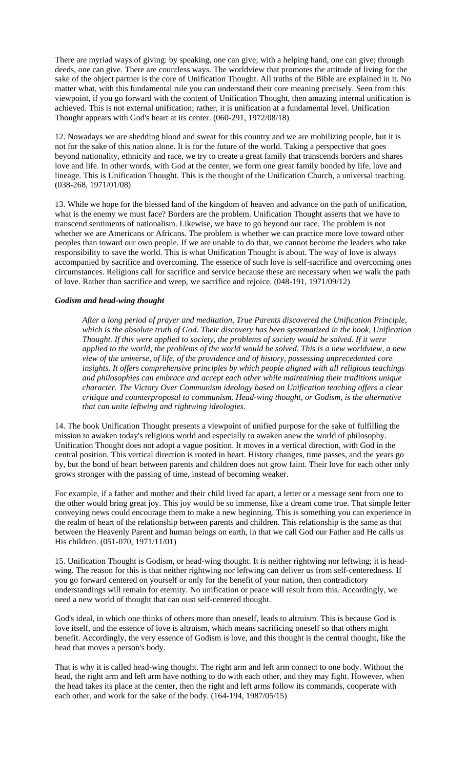There are myriad ways of giving: by speaking, one can give; with a helping hand, one can give; through deeds, one can give. There are countless ways. The worldview that promotes the attitude of living for the sake of the object partner is the core of Unification Thought. All truths of the Bible are explained in it. No matter what, with this fundamental rule you can understand their core meaning precisely. Seen from this viewpoint, if you go forward with the content of Unification Thought, then amazing internal unification is achieved. This is not external unification; rather, it is unification at a fundamental level. Unification Thought appears with God's heart at its center. (060-291, 1972/08/18)

12. Nowadays we are shedding blood and sweat for this country and we are mobilizing people, but it is not for the sake of this nation alone. It is for the future of the world. Taking a perspective that goes beyond nationality, ethnicity and race, we try to create a great family that transcends borders and shares love and life. In other words, with God at the center, we form one great family bonded by life, love and lineage. This is Unification Thought. This is the thought of the Unification Church, a universal teaching. (038-268, 1971/01/08)

13. While we hope for the blessed land of the kingdom of heaven and advance on the path of unification, what is the enemy we must face? Borders are the problem. Unification Thought asserts that we have to transcend sentiments of nationalism. Likewise, we have to go beyond our race. The problem is not whether we are Americans or Africans. The problem is whether we can practice more love toward other peoples than toward our own people. If we are unable to do that, we cannot become the leaders who take responsibility to save the world. This is what Unification Thought is about. The way of love is always accompanied by sacrifice and overcoming. The essence of such love is self-sacrifice and overcoming ones circumstances. Religions call for sacrifice and service because these are necessary when we walk the path of love. Rather than sacrifice and weep, we sacrifice and rejoice. (048-191, 1971/09/12)

# *Godism and head-wing thought*

*After a long period of prayer and meditation, True Parents discovered the Unification Principle, which is the absolute truth of God. Their discovery has been systematized in the book, Unification Thought. If this were applied to society, the problems of society would be solved. If it were applied to the world, the problems of the world would be solved. This is a new worldview, a new view of the universe, of life, of the providence and of history, possessing unprecedented core insights. It offers comprehensive principles by which people aligned with all religious teachings and philosophies can embrace and accept each other while maintaining their traditions unique character. The Victory Over Communism ideology based on Unification teaching offers a clear critique and counterproposal to communism. Head-wing thought, or Godism, is the alternative that can unite leftwing and rightwing ideologies.* 

14. The book Unification Thought presents a viewpoint of unified purpose for the sake of fulfilling the mission to awaken today's religious world and especially to awaken anew the world of philosophy. Unification Thought does not adopt a vague position. It moves in a vertical direction, with God in the central position. This vertical direction is rooted in heart. History changes, time passes, and the years go by, but the bond of heart between parents and children does not grow faint. Their love for each other only grows stronger with the passing of time, instead of becoming weaker.

For example, if a father and mother and their child lived far apart, a letter or a message sent from one to the other would bring great joy. This joy would be so immense, like a dream come true. That simple letter conveying news could encourage them to make a new beginning. This is something you can experience in the realm of heart of the relationship between parents and children. This relationship is the same as that between the Heavenly Parent and human beings on earth, in that we call God our Father and He calls us His children. (051-070, 1971/11/01)

15. Unification Thought is Godism, or head-wing thought. It is neither rightwing nor leftwing; it is headwing. The reason for this is that neither rightwing nor leftwing can deliver us from self-centeredness. If you go forward centered on yourself or only for the benefit of your nation, then contradictory understandings will remain for eternity. No unification or peace will result from this. Accordingly, we need a new world of thought that can oust self-centered thought.

God's ideal, in which one thinks of others more than oneself, leads to altruism. This is because God is love itself, and the essence of love is altruism, which means sacrificing oneself so that others might benefit. Accordingly, the very essence of Godism is love, and this thought is the central thought, like the head that moves a person's body.

That is why it is called head-wing thought. The right arm and left arm connect to one body. Without the head, the right arm and left arm have nothing to do with each other, and they may fight. However, when the head takes its place at the center, then the right and left arms follow its commands, cooperate with each other, and work for the sake of the body. (164-194, 1987/05/15)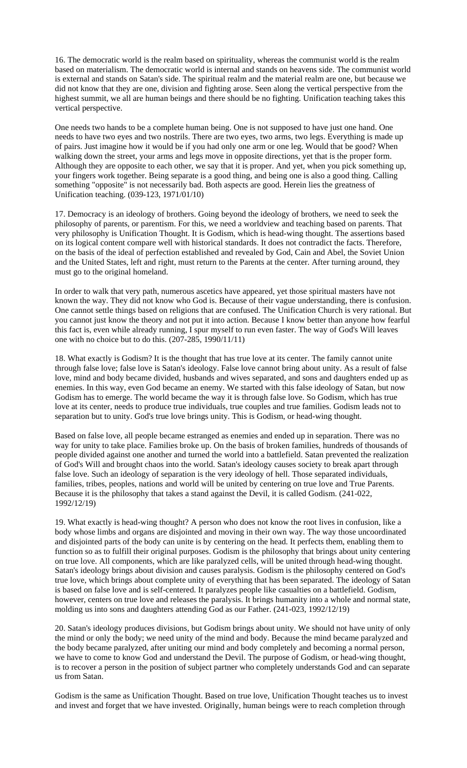16. The democratic world is the realm based on spirituality, whereas the communist world is the realm based on materialism. The democratic world is internal and stands on heavens side. The communist world is external and stands on Satan's side. The spiritual realm and the material realm are one, but because we did not know that they are one, division and fighting arose. Seen along the vertical perspective from the highest summit, we all are human beings and there should be no fighting. Unification teaching takes this vertical perspective.

One needs two hands to be a complete human being. One is not supposed to have just one hand. One needs to have two eyes and two nostrils. There are two eyes, two arms, two legs. Everything is made up of pairs. Just imagine how it would be if you had only one arm or one leg. Would that be good? When walking down the street, your arms and legs move in opposite directions, yet that is the proper form. Although they are opposite to each other, we say that it is proper. And yet, when you pick something up, your fingers work together. Being separate is a good thing, and being one is also a good thing. Calling something "opposite" is not necessarily bad. Both aspects are good. Herein lies the greatness of Unification teaching. (039-123, 1971/01/10)

17. Democracy is an ideology of brothers. Going beyond the ideology of brothers, we need to seek the philosophy of parents, or parentism. For this, we need a worldview and teaching based on parents. That very philosophy is Unification Thought. It is Godism, which is head-wing thought. The assertions based on its logical content compare well with historical standards. It does not contradict the facts. Therefore, on the basis of the ideal of perfection established and revealed by God, Cain and Abel, the Soviet Union and the United States, left and right, must return to the Parents at the center. After turning around, they must go to the original homeland.

In order to walk that very path, numerous ascetics have appeared, yet those spiritual masters have not known the way. They did not know who God is. Because of their vague understanding, there is confusion. One cannot settle things based on religions that are confused. The Unification Church is very rational. But you cannot just know the theory and not put it into action. Because I know better than anyone how fearful this fact is, even while already running, I spur myself to run even faster. The way of God's Will leaves one with no choice but to do this. (207-285, 1990/11/11)

18. What exactly is Godism? It is the thought that has true love at its center. The family cannot unite through false love; false love is Satan's ideology. False love cannot bring about unity. As a result of false love, mind and body became divided, husbands and wives separated, and sons and daughters ended up as enemies. In this way, even God became an enemy. We started with this false ideology of Satan, but now Godism has to emerge. The world became the way it is through false love. So Godism, which has true love at its center, needs to produce true individuals, true couples and true families. Godism leads not to separation but to unity. God's true love brings unity. This is Godism, or head-wing thought.

Based on false love, all people became estranged as enemies and ended up in separation. There was no way for unity to take place. Families broke up. On the basis of broken families, hundreds of thousands of people divided against one another and turned the world into a battlefield. Satan prevented the realization of God's Will and brought chaos into the world. Satan's ideology causes society to break apart through false love. Such an ideology of separation is the very ideology of hell. Those separated individuals, families, tribes, peoples, nations and world will be united by centering on true love and True Parents. Because it is the philosophy that takes a stand against the Devil, it is called Godism. (241-022, 1992/12/19)

19. What exactly is head-wing thought? A person who does not know the root lives in confusion, like a body whose limbs and organs are disjointed and moving in their own way. The way those uncoordinated and disjointed parts of the body can unite is by centering on the head. It perfects them, enabling them to function so as to fulfill their original purposes. Godism is the philosophy that brings about unity centering on true love. All components, which are like paralyzed cells, will be united through head-wing thought. Satan's ideology brings about division and causes paralysis. Godism is the philosophy centered on God's true love, which brings about complete unity of everything that has been separated. The ideology of Satan is based on false love and is self-centered. It paralyzes people like casualties on a battlefield. Godism, however, centers on true love and releases the paralysis. It brings humanity into a whole and normal state, molding us into sons and daughters attending God as our Father. (241-023, 1992/12/19)

20. Satan's ideology produces divisions, but Godism brings about unity. We should not have unity of only the mind or only the body; we need unity of the mind and body. Because the mind became paralyzed and the body became paralyzed, after uniting our mind and body completely and becoming a normal person, we have to come to know God and understand the Devil. The purpose of Godism, or head-wing thought, is to recover a person in the position of subject partner who completely understands God and can separate us from Satan.

Godism is the same as Unification Thought. Based on true love, Unification Thought teaches us to invest and invest and forget that we have invested. Originally, human beings were to reach completion through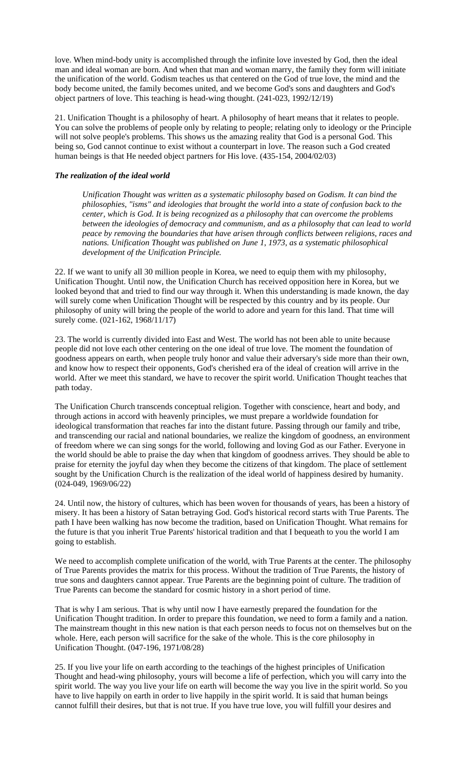love. When mind-body unity is accomplished through the infinite love invested by God, then the ideal man and ideal woman are born. And when that man and woman marry, the family they form will initiate the unification of the world. Godism teaches us that centered on the God of true love, the mind and the body become united, the family becomes united, and we become God's sons and daughters and God's object partners of love. This teaching is head-wing thought. (241-023, 1992/12/19)

21. Unification Thought is a philosophy of heart. A philosophy of heart means that it relates to people. You can solve the problems of people only by relating to people; relating only to ideology or the Principle will not solve people's problems. This shows us the amazing reality that God is a personal God. This being so, God cannot continue to exist without a counterpart in love. The reason such a God created human beings is that He needed object partners for His love. (435-154, 2004/02/03)

# *The realization of the ideal world*

*Unification Thought was written as a systematic philosophy based on Godism. It can bind the philosophies, "isms" and ideologies that brought the world into a state of confusion back to the center, which is God. It is being recognized as a philosophy that can overcome the problems between the ideologies of democracy and communism, and as a philosophy that can lead to world peace by removing the boundaries that have arisen through conflicts between religions, races and nations. Unification Thought was published on June 1, 1973, as a systematic philosophical development of the Unification Principle.* 

22. If we want to unify all 30 million people in Korea, we need to equip them with my philosophy, Unification Thought. Until now, the Unification Church has received opposition here in Korea, but we looked beyond that and tried to find our way through it. When this understanding is made known, the day will surely come when Unification Thought will be respected by this country and by its people. Our philosophy of unity will bring the people of the world to adore and yearn for this land. That time will surely come. (021-162, 1968/11/17)

23. The world is currently divided into East and West. The world has not been able to unite because people did not love each other centering on the one ideal of true love. The moment the foundation of goodness appears on earth, when people truly honor and value their adversary's side more than their own, and know how to respect their opponents, God's cherished era of the ideal of creation will arrive in the world. After we meet this standard, we have to recover the spirit world. Unification Thought teaches that path today.

The Unification Church transcends conceptual religion. Together with conscience, heart and body, and through actions in accord with heavenly principles, we must prepare a worldwide foundation for ideological transformation that reaches far into the distant future. Passing through our family and tribe, and transcending our racial and national boundaries, we realize the kingdom of goodness, an environment of freedom where we can sing songs for the world, following and loving God as our Father. Everyone in the world should be able to praise the day when that kingdom of goodness arrives. They should be able to praise for eternity the joyful day when they become the citizens of that kingdom. The place of settlement sought by the Unification Church is the realization of the ideal world of happiness desired by humanity. (024-049, 1969/06/22)

24. Until now, the history of cultures, which has been woven for thousands of years, has been a history of misery. It has been a history of Satan betraying God. God's historical record starts with True Parents. The path I have been walking has now become the tradition, based on Unification Thought. What remains for the future is that you inherit True Parents' historical tradition and that I bequeath to you the world I am going to establish.

We need to accomplish complete unification of the world, with True Parents at the center. The philosophy of True Parents provides the matrix for this process. Without the tradition of True Parents, the history of true sons and daughters cannot appear. True Parents are the beginning point of culture. The tradition of True Parents can become the standard for cosmic history in a short period of time.

That is why I am serious. That is why until now I have earnestly prepared the foundation for the Unification Thought tradition. In order to prepare this foundation, we need to form a family and a nation. The mainstream thought in this new nation is that each person needs to focus not on themselves but on the whole. Here, each person will sacrifice for the sake of the whole. This is the core philosophy in Unification Thought. (047-196, 1971/08/28)

25. If you live your life on earth according to the teachings of the highest principles of Unification Thought and head-wing philosophy, yours will become a life of perfection, which you will carry into the spirit world. The way you live your life on earth will become the way you live in the spirit world. So you have to live happily on earth in order to live happily in the spirit world. It is said that human beings cannot fulfill their desires, but that is not true. If you have true love, you will fulfill your desires and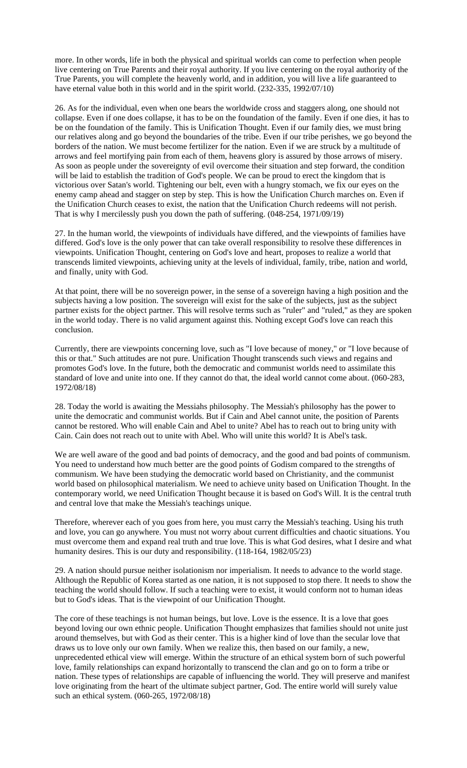more. In other words, life in both the physical and spiritual worlds can come to perfection when people live centering on True Parents and their royal authority. If you live centering on the royal authority of the True Parents, you will complete the heavenly world, and in addition, you will live a life guaranteed to have eternal value both in this world and in the spirit world. (232-335, 1992/07/10)

26. As for the individual, even when one bears the worldwide cross and staggers along, one should not collapse. Even if one does collapse, it has to be on the foundation of the family. Even if one dies, it has to be on the foundation of the family. This is Unification Thought. Even if our family dies, we must bring our relatives along and go beyond the boundaries of the tribe. Even if our tribe perishes, we go beyond the borders of the nation. We must become fertilizer for the nation. Even if we are struck by a multitude of arrows and feel mortifying pain from each of them, heavens glory is assured by those arrows of misery. As soon as people under the sovereignty of evil overcome their situation and step forward, the condition will be laid to establish the tradition of God's people. We can be proud to erect the kingdom that is victorious over Satan's world. Tightening our belt, even with a hungry stomach, we fix our eyes on the enemy camp ahead and stagger on step by step. This is how the Unification Church marches on. Even if the Unification Church ceases to exist, the nation that the Unification Church redeems will not perish. That is why I mercilessly push you down the path of suffering. (048-254, 1971/09/19)

27. In the human world, the viewpoints of individuals have differed, and the viewpoints of families have differed. God's love is the only power that can take overall responsibility to resolve these differences in viewpoints. Unification Thought, centering on God's love and heart, proposes to realize a world that transcends limited viewpoints, achieving unity at the levels of individual, family, tribe, nation and world, and finally, unity with God.

At that point, there will be no sovereign power, in the sense of a sovereign having a high position and the subjects having a low position. The sovereign will exist for the sake of the subjects, just as the subject partner exists for the object partner. This will resolve terms such as "ruler" and "ruled," as they are spoken in the world today. There is no valid argument against this. Nothing except God's love can reach this conclusion.

Currently, there are viewpoints concerning love, such as "I love because of money," or "I love because of this or that." Such attitudes are not pure. Unification Thought transcends such views and regains and promotes God's love. In the future, both the democratic and communist worlds need to assimilate this standard of love and unite into one. If they cannot do that, the ideal world cannot come about. (060-283, 1972/08/18)

28. Today the world is awaiting the Messiahs philosophy. The Messiah's philosophy has the power to unite the democratic and communist worlds. But if Cain and Abel cannot unite, the position of Parents cannot be restored. Who will enable Cain and Abel to unite? Abel has to reach out to bring unity with Cain. Cain does not reach out to unite with Abel. Who will unite this world? It is Abel's task.

We are well aware of the good and bad points of democracy, and the good and bad points of communism. You need to understand how much better are the good points of Godism compared to the strengths of communism. We have been studying the democratic world based on Christianity, and the communist world based on philosophical materialism. We need to achieve unity based on Unification Thought. In the contemporary world, we need Unification Thought because it is based on God's Will. It is the central truth and central love that make the Messiah's teachings unique.

Therefore, wherever each of you goes from here, you must carry the Messiah's teaching. Using his truth and love, you can go anywhere. You must not worry about current difficulties and chaotic situations. You must overcome them and expand real truth and true love. This is what God desires, what I desire and what humanity desires. This is our duty and responsibility. (118-164, 1982/05/23)

29. A nation should pursue neither isolationism nor imperialism. It needs to advance to the world stage. Although the Republic of Korea started as one nation, it is not supposed to stop there. It needs to show the teaching the world should follow. If such a teaching were to exist, it would conform not to human ideas but to God's ideas. That is the viewpoint of our Unification Thought.

The core of these teachings is not human beings, but love. Love is the essence. It is a love that goes beyond loving our own ethnic people. Unification Thought emphasizes that families should not unite just around themselves, but with God as their center. This is a higher kind of love than the secular love that draws us to love only our own family. When we realize this, then based on our family, a new, unprecedented ethical view will emerge. Within the structure of an ethical system born of such powerful love, family relationships can expand horizontally to transcend the clan and go on to form a tribe or nation. These types of relationships are capable of influencing the world. They will preserve and manifest love originating from the heart of the ultimate subject partner, God. The entire world will surely value such an ethical system. (060-265, 1972/08/18)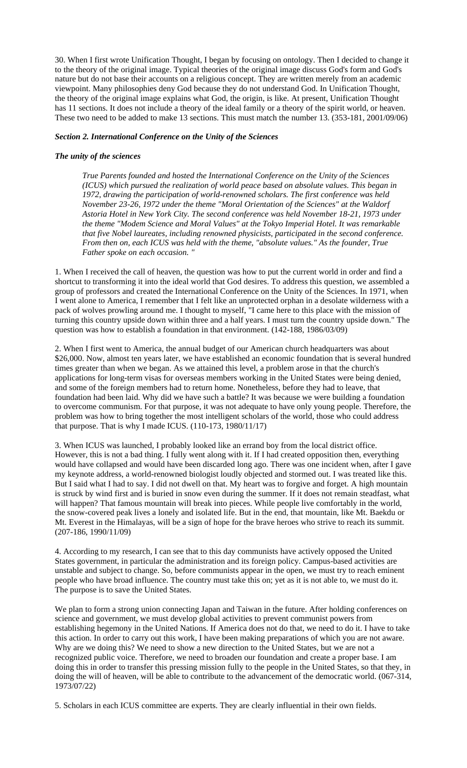30. When I first wrote Unification Thought, I began by focusing on ontology. Then I decided to change it to the theory of the original image. Typical theories of the original image discuss God's form and God's nature but do not base their accounts on a religious concept. They are written merely from an academic viewpoint. Many philosophies deny God because they do not understand God. In Unification Thought, the theory of the original image explains what God, the origin, is like. At present, Unification Thought has 11 sections. It does not include a theory of the ideal family or a theory of the spirit world, or heaven. These two need to be added to make 13 sections. This must match the number 13. (353-181, 2001/09/06)

### *Section 2. International Conference on the Unity of the Sciences*

### *The unity of the sciences*

*True Parents founded and hosted the International Conference on the Unity of the Sciences (ICUS) which pursued the realization of world peace based on absolute values. This began in 1972, drawing the participation of world-renowned scholars. The first conference was held November 23-26, 1972 under the theme "Moral Orientation of the Sciences" at the Waldorf Astoria Hotel in New York City. The second conference was held November 18-21, 1973 under the theme "Modem Science and Moral Values" at the Tokyo Imperial Hotel. It was remarkable that five Nobel laureates, including renowned physicists, participated in the second conference. From then on, each ICUS was held with the theme, "absolute values." As the founder, True Father spoke on each occasion. "* 

1. When I received the call of heaven, the question was how to put the current world in order and find a shortcut to transforming it into the ideal world that God desires. To address this question, we assembled a group of professors and created the International Conference on the Unity of the Sciences. In 1971, when I went alone to America, I remember that I felt like an unprotected orphan in a desolate wilderness with a pack of wolves prowling around me. I thought to myself, "I came here to this place with the mission of turning this country upside down within three and a half years. I must turn the country upside down." The question was how to establish a foundation in that environment. (142-188, 1986/03/09)

2. When I first went to America, the annual budget of our American church headquarters was about \$26,000. Now, almost ten years later, we have established an economic foundation that is several hundred times greater than when we began. As we attained this level, a problem arose in that the church's applications for long-term visas for overseas members working in the United States were being denied, and some of the foreign members had to return home. Nonetheless, before they had to leave, that foundation had been laid. Why did we have such a battle? It was because we were building a foundation to overcome communism. For that purpose, it was not adequate to have only young people. Therefore, the problem was how to bring together the most intelligent scholars of the world, those who could address that purpose. That is why I made ICUS. (110-173, 1980/11/17)

3. When ICUS was launched, I probably looked like an errand boy from the local district office. However, this is not a bad thing. I fully went along with it. If I had created opposition then, everything would have collapsed and would have been discarded long ago. There was one incident when, after I gave my keynote address, a world-renowned biologist loudly objected and stormed out. I was treated like this. But I said what I had to say. I did not dwell on that. My heart was to forgive and forget. A high mountain is struck by wind first and is buried in snow even during the summer. If it does not remain steadfast, what will happen? That famous mountain will break into pieces. While people live comfortably in the world, the snow-covered peak lives a lonely and isolated life. But in the end, that mountain, like Mt. Baekdu or Mt. Everest in the Himalayas, will be a sign of hope for the brave heroes who strive to reach its summit. (207-186, 1990/11/09)

4. According to my research, I can see that to this day communists have actively opposed the United States government, in particular the administration and its foreign policy. Campus-based activities are unstable and subject to change. So, before communists appear in the open, we must try to reach eminent people who have broad influence. The country must take this on; yet as it is not able to, we must do it. The purpose is to save the United States.

We plan to form a strong union connecting Japan and Taiwan in the future. After holding conferences on science and government, we must develop global activities to prevent communist powers from establishing hegemony in the United Nations. If America does not do that, we need to do it. I have to take this action. In order to carry out this work, I have been making preparations of which you are not aware. Why are we doing this? We need to show a new direction to the United States, but we are not a recognized public voice. Therefore, we need to broaden our foundation and create a proper base. I am doing this in order to transfer this pressing mission fully to the people in the United States, so that they, in doing the will of heaven, will be able to contribute to the advancement of the democratic world. (067-314, 1973/07/22)

5. Scholars in each ICUS committee are experts. They are clearly influential in their own fields.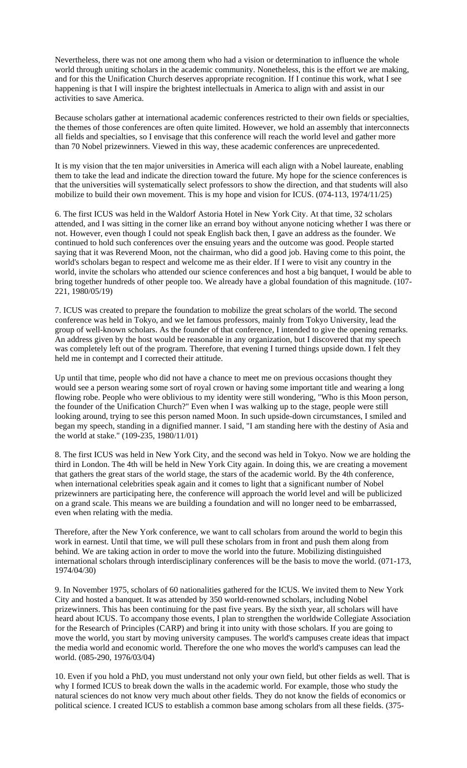Nevertheless, there was not one among them who had a vision or determination to influence the whole world through uniting scholars in the academic community. Nonetheless, this is the effort we are making, and for this the Unification Church deserves appropriate recognition. If I continue this work, what I see happening is that I will inspire the brightest intellectuals in America to align with and assist in our activities to save America.

Because scholars gather at international academic conferences restricted to their own fields or specialties, the themes of those conferences are often quite limited. However, we hold an assembly that interconnects all fields and specialties, so I envisage that this conference will reach the world level and gather more than 70 Nobel prizewinners. Viewed in this way, these academic conferences are unprecedented.

It is my vision that the ten major universities in America will each align with a Nobel laureate, enabling them to take the lead and indicate the direction toward the future. My hope for the science conferences is that the universities will systematically select professors to show the direction, and that students will also mobilize to build their own movement. This is my hope and vision for ICUS. (074-113, 1974/11/25)

6. The first ICUS was held in the Waldorf Astoria Hotel in New York City. At that time, 32 scholars attended, and I was sitting in the corner like an errand boy without anyone noticing whether I was there or not. However, even though I could not speak English back then, I gave an address as the founder. We continued to hold such conferences over the ensuing years and the outcome was good. People started saying that it was Reverend Moon, not the chairman, who did a good job. Having come to this point, the world's scholars began to respect and welcome me as their elder. If I were to visit any country in the world, invite the scholars who attended our science conferences and host a big banquet, I would be able to bring together hundreds of other people too. We already have a global foundation of this magnitude. (107- 221, 1980/05/19)

7. ICUS was created to prepare the foundation to mobilize the great scholars of the world. The second conference was held in Tokyo, and we let famous professors, mainly from Tokyo University, lead the group of well-known scholars. As the founder of that conference, I intended to give the opening remarks. An address given by the host would be reasonable in any organization, but I discovered that my speech was completely left out of the program. Therefore, that evening I turned things upside down. I felt they held me in contempt and I corrected their attitude.

Up until that time, people who did not have a chance to meet me on previous occasions thought they would see a person wearing some sort of royal crown or having some important title and wearing a long flowing robe. People who were oblivious to my identity were still wondering, "Who is this Moon person, the founder of the Unification Church?" Even when I was walking up to the stage, people were still looking around, trying to see this person named Moon. In such upside-down circumstances, I smiled and began my speech, standing in a dignified manner. I said, "I am standing here with the destiny of Asia and the world at stake." (109-235, 1980/11/01)

8. The first ICUS was held in New York City, and the second was held in Tokyo. Now we are holding the third in London. The 4th will be held in New York City again. In doing this, we are creating a movement that gathers the great stars of the world stage, the stars of the academic world. By the 4th conference, when international celebrities speak again and it comes to light that a significant number of Nobel prizewinners are participating here, the conference will approach the world level and will be publicized on a grand scale. This means we are building a foundation and will no longer need to be embarrassed, even when relating with the media.

Therefore, after the New York conference, we want to call scholars from around the world to begin this work in earnest. Until that time, we will pull these scholars from in front and push them along from behind. We are taking action in order to move the world into the future. Mobilizing distinguished international scholars through interdisciplinary conferences will be the basis to move the world. (071-173, 1974/04/30)

9. In November 1975, scholars of 60 nationalities gathered for the ICUS. We invited them to New York City and hosted a banquet. It was attended by 350 world-renowned scholars, including Nobel prizewinners. This has been continuing for the past five years. By the sixth year, all scholars will have heard about ICUS. To accompany those events, I plan to strengthen the worldwide Collegiate Association for the Research of Principles (CARP) and bring it into unity with those scholars. If you are going to move the world, you start by moving university campuses. The world's campuses create ideas that impact the media world and economic world. Therefore the one who moves the world's campuses can lead the world. (085-290, 1976/03/04)

10. Even if you hold a PhD, you must understand not only your own field, but other fields as well. That is why I formed ICUS to break down the walls in the academic world. For example, those who study the natural sciences do not know very much about other fields. They do not know the fields of economics or political science. I created ICUS to establish a common base among scholars from all these fields. (375-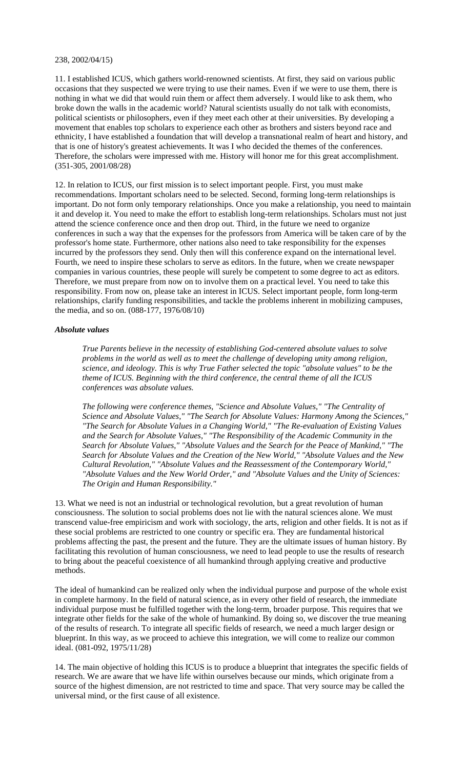#### 238, 2002/04/15)

11. I established ICUS, which gathers world-renowned scientists. At first, they said on various public occasions that they suspected we were trying to use their names. Even if we were to use them, there is nothing in what we did that would ruin them or affect them adversely. I would like to ask them, who broke down the walls in the academic world? Natural scientists usually do not talk with economists, political scientists or philosophers, even if they meet each other at their universities. By developing a movement that enables top scholars to experience each other as brothers and sisters beyond race and ethnicity, I have established a foundation that will develop a transnational realm of heart and history, and that is one of history's greatest achievements. It was I who decided the themes of the conferences. Therefore, the scholars were impressed with me. History will honor me for this great accomplishment. (351-305, 2001/08/28)

12. In relation to ICUS, our first mission is to select important people. First, you must make recommendations. Important scholars need to be selected. Second, forming long-term relationships is important. Do not form only temporary relationships. Once you make a relationship, you need to maintain it and develop it. You need to make the effort to establish long-term relationships. Scholars must not just attend the science conference once and then drop out. Third, in the future we need to organize conferences in such a way that the expenses for the professors from America will be taken care of by the professor's home state. Furthermore, other nations also need to take responsibility for the expenses incurred by the professors they send. Only then will this conference expand on the international level. Fourth, we need to inspire these scholars to serve as editors. In the future, when we create newspaper companies in various countries, these people will surely be competent to some degree to act as editors. Therefore, we must prepare from now on to involve them on a practical level. You need to take this responsibility. From now on, please take an interest in ICUS. Select important people, form long-term relationships, clarify funding responsibilities, and tackle the problems inherent in mobilizing campuses, the media, and so on. (088-177, 1976/08/10)

# *Absolute values*

*True Parents believe in the necessity of establishing God-centered absolute values to solve problems in the world as well as to meet the challenge of developing unity among religion, science, and ideology. This is why True Father selected the topic "absolute values" to be the theme of ICUS. Beginning with the third conference, the central theme of all the ICUS conferences was absolute values.* 

*The following were conference themes, "Science and Absolute Values," "The Centrality of Science and Absolute Values," "The Search for Absolute Values: Harmony Among the Sciences," "The Search for Absolute Values in a Changing World," "The Re-evaluation of Existing Values and the Search for Absolute Values," "The Responsibility of the Academic Community in the Search for Absolute Values," "Absolute Values and the Search for the Peace of Mankind," "The Search for Absolute Values and the Creation of the New World," "Absolute Values and the New Cultural Revolution," "Absolute Values and the Reassessment of the Contemporary World," "Absolute Values and the New World Order," and "Absolute Values and the Unity of Sciences: The Origin and Human Responsibility."* 

13. What we need is not an industrial or technological revolution, but a great revolution of human consciousness. The solution to social problems does not lie with the natural sciences alone. We must transcend value-free empiricism and work with sociology, the arts, religion and other fields. It is not as if these social problems are restricted to one country or specific era. They are fundamental historical problems affecting the past, the present and the future. They are the ultimate issues of human history. By facilitating this revolution of human consciousness, we need to lead people to use the results of research to bring about the peaceful coexistence of all humankind through applying creative and productive methods.

The ideal of humankind can be realized only when the individual purpose and purpose of the whole exist in complete harmony. In the field of natural science, as in every other field of research, the immediate individual purpose must be fulfilled together with the long-term, broader purpose. This requires that we integrate other fields for the sake of the whole of humankind. By doing so, we discover the true meaning of the results of research. To integrate all specific fields of research, we need a much larger design or blueprint. In this way, as we proceed to achieve this integration, we will come to realize our common ideal. (081-092, 1975/11/28)

14. The main objective of holding this ICUS is to produce a blueprint that integrates the specific fields of research. We are aware that we have life within ourselves because our minds, which originate from a source of the highest dimension, are not restricted to time and space. That very source may be called the universal mind, or the first cause of all existence.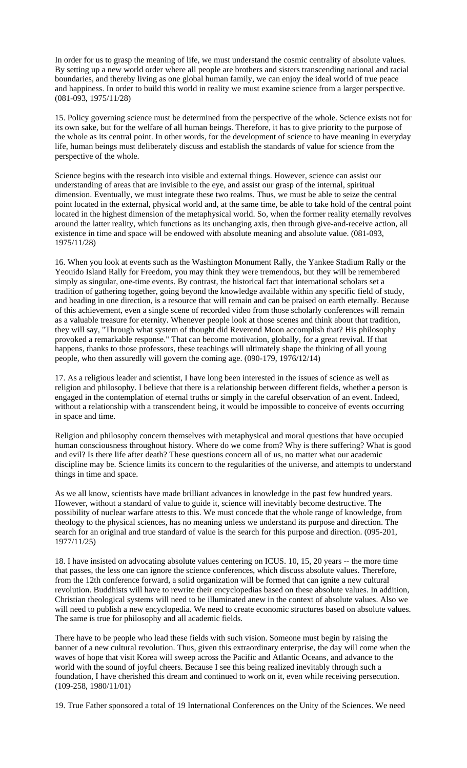In order for us to grasp the meaning of life, we must understand the cosmic centrality of absolute values. By setting up a new world order where all people are brothers and sisters transcending national and racial boundaries, and thereby living as one global human family, we can enjoy the ideal world of true peace and happiness. In order to build this world in reality we must examine science from a larger perspective. (081-093, 1975/11/28)

15. Policy governing science must be determined from the perspective of the whole. Science exists not for its own sake, but for the welfare of all human beings. Therefore, it has to give priority to the purpose of the whole as its central point. In other words, for the development of science to have meaning in everyday life, human beings must deliberately discuss and establish the standards of value for science from the perspective of the whole.

Science begins with the research into visible and external things. However, science can assist our understanding of areas that are invisible to the eye, and assist our grasp of the internal, spiritual dimension. Eventually, we must integrate these two realms. Thus, we must be able to seize the central point located in the external, physical world and, at the same time, be able to take hold of the central point located in the highest dimension of the metaphysical world. So, when the former reality eternally revolves around the latter reality, which functions as its unchanging axis, then through give-and-receive action, all existence in time and space will be endowed with absolute meaning and absolute value. (081-093, 1975/11/28)

16. When you look at events such as the Washington Monument Rally, the Yankee Stadium Rally or the Yeouido Island Rally for Freedom, you may think they were tremendous, but they will be remembered simply as singular, one-time events. By contrast, the historical fact that international scholars set a tradition of gathering together, going beyond the knowledge available within any specific field of study, and heading in one direction, is a resource that will remain and can be praised on earth eternally. Because of this achievement, even a single scene of recorded video from those scholarly conferences will remain as a valuable treasure for eternity. Whenever people look at those scenes and think about that tradition, they will say, "Through what system of thought did Reverend Moon accomplish that? His philosophy provoked a remarkable response." That can become motivation, globally, for a great revival. If that happens, thanks to those professors, these teachings will ultimately shape the thinking of all young people, who then assuredly will govern the coming age. (090-179, 1976/12/14)

17. As a religious leader and scientist, I have long been interested in the issues of science as well as religion and philosophy. I believe that there is a relationship between different fields, whether a person is engaged in the contemplation of eternal truths or simply in the careful observation of an event. Indeed, without a relationship with a transcendent being, it would be impossible to conceive of events occurring in space and time.

Religion and philosophy concern themselves with metaphysical and moral questions that have occupied human consciousness throughout history. Where do we come from? Why is there suffering? What is good and evil? Is there life after death? These questions concern all of us, no matter what our academic discipline may be. Science limits its concern to the regularities of the universe, and attempts to understand things in time and space.

As we all know, scientists have made brilliant advances in knowledge in the past few hundred years. However, without a standard of value to guide it, science will inevitably become destructive. The possibility of nuclear warfare attests to this. We must concede that the whole range of knowledge, from theology to the physical sciences, has no meaning unless we understand its purpose and direction. The search for an original and true standard of value is the search for this purpose and direction. (095-201, 1977/11/25)

18. I have insisted on advocating absolute values centering on ICUS. 10, 15, 20 years -- the more time that passes, the less one can ignore the science conferences, which discuss absolute values. Therefore, from the 12th conference forward, a solid organization will be formed that can ignite a new cultural revolution. Buddhists will have to rewrite their encyclopedias based on these absolute values. In addition, Christian theological systems will need to be illuminated anew in the context of absolute values. Also we will need to publish a new encyclopedia. We need to create economic structures based on absolute values. The same is true for philosophy and all academic fields.

There have to be people who lead these fields with such vision. Someone must begin by raising the banner of a new cultural revolution. Thus, given this extraordinary enterprise, the day will come when the waves of hope that visit Korea will sweep across the Pacific and Atlantic Oceans, and advance to the world with the sound of joyful cheers. Because I see this being realized inevitably through such a foundation, I have cherished this dream and continued to work on it, even while receiving persecution. (109-258, 1980/11/01)

19. True Father sponsored a total of 19 International Conferences on the Unity of the Sciences. We need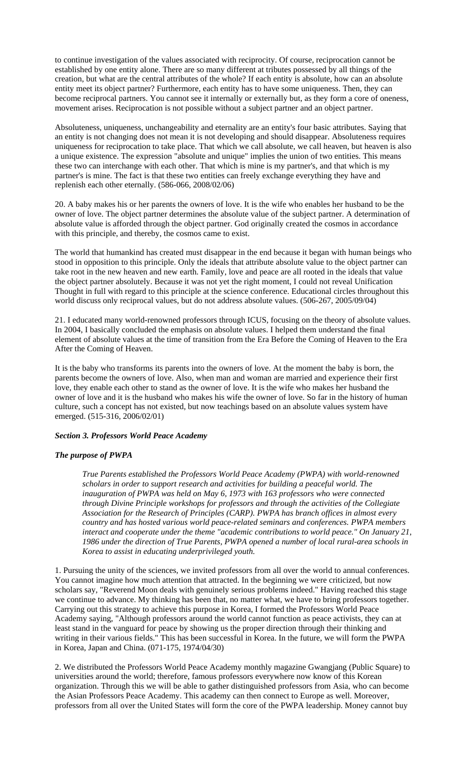to continue investigation of the values associated with reciprocity. Of course, reciprocation cannot be established by one entity alone. There are so many different at tributes possessed by all things of the creation, but what are the central attributes of the whole? If each entity is absolute, how can an absolute entity meet its object partner? Furthermore, each entity has to have some uniqueness. Then, they can become reciprocal partners. You cannot see it internally or externally but, as they form a core of oneness, movement arises. Reciprocation is not possible without a subject partner and an object partner.

Absoluteness, uniqueness, unchangeability and eternality are an entity's four basic attributes. Saying that an entity is not changing does not mean it is not developing and should disappear. Absoluteness requires uniqueness for reciprocation to take place. That which we call absolute, we call heaven, but heaven is also a unique existence. The expression "absolute and unique" implies the union of two entities. This means these two can interchange with each other. That which is mine is my partner's, and that which is my partner's is mine. The fact is that these two entities can freely exchange everything they have and replenish each other eternally. (586-066, 2008/02/06)

20. A baby makes his or her parents the owners of love. It is the wife who enables her husband to be the owner of love. The object partner determines the absolute value of the subject partner. A determination of absolute value is afforded through the object partner. God originally created the cosmos in accordance with this principle, and thereby, the cosmos came to exist.

The world that humankind has created must disappear in the end because it began with human beings who stood in opposition to this principle. Only the ideals that attribute absolute value to the object partner can take root in the new heaven and new earth. Family, love and peace are all rooted in the ideals that value the object partner absolutely. Because it was not yet the right moment, I could not reveal Unification Thought in full with regard to this principle at the science conference. Educational circles throughout this world discuss only reciprocal values, but do not address absolute values. (506-267, 2005/09/04)

21. I educated many world-renowned professors through ICUS, focusing on the theory of absolute values. In 2004, I basically concluded the emphasis on absolute values. I helped them understand the final element of absolute values at the time of transition from the Era Before the Coming of Heaven to the Era After the Coming of Heaven.

It is the baby who transforms its parents into the owners of love. At the moment the baby is born, the parents become the owners of love. Also, when man and woman are married and experience their first love, they enable each other to stand as the owner of love. It is the wife who makes her husband the owner of love and it is the husband who makes his wife the owner of love. So far in the history of human culture, such a concept has not existed, but now teachings based on an absolute values system have emerged. (515-316, 2006/02/01)

#### *Section 3. Professors World Peace Academy*

# *The purpose of PWPA*

*True Parents established the Professors World Peace Academy (PWPA) with world-renowned scholars in order to support research and activities for building a peaceful world. The inauguration of PWPA was held on May 6, 1973 with 163 professors who were connected through Divine Principle workshops for professors and through the activities of the Collegiate Association for the Research of Principles (CARP). PWPA has branch offices in almost every country and has hosted various world peace-related seminars and conferences. PWPA members interact and cooperate under the theme "academic contributions to world peace." On January 21, 1986 under the direction of True Parents, PWPA opened a number of local rural-area schools in Korea to assist in educating underprivileged youth.* 

1. Pursuing the unity of the sciences, we invited professors from all over the world to annual conferences. You cannot imagine how much attention that attracted. In the beginning we were criticized, but now scholars say, "Reverend Moon deals with genuinely serious problems indeed." Having reached this stage we continue to advance. My thinking has been that, no matter what, we have to bring professors together. Carrying out this strategy to achieve this purpose in Korea, I formed the Professors World Peace Academy saying, "Although professors around the world cannot function as peace activists, they can at least stand in the vanguard for peace by showing us the proper direction through their thinking and writing in their various fields." This has been successful in Korea. In the future, we will form the PWPA in Korea, Japan and China. (071-175, 1974/04/30)

2. We distributed the Professors World Peace Academy monthly magazine Gwangjang (Public Square) to universities around the world; therefore, famous professors everywhere now know of this Korean organization. Through this we will be able to gather distinguished professors from Asia, who can become the Asian Professors Peace Academy. This academy can then connect to Europe as well. Moreover, professors from all over the United States will form the core of the PWPA leadership. Money cannot buy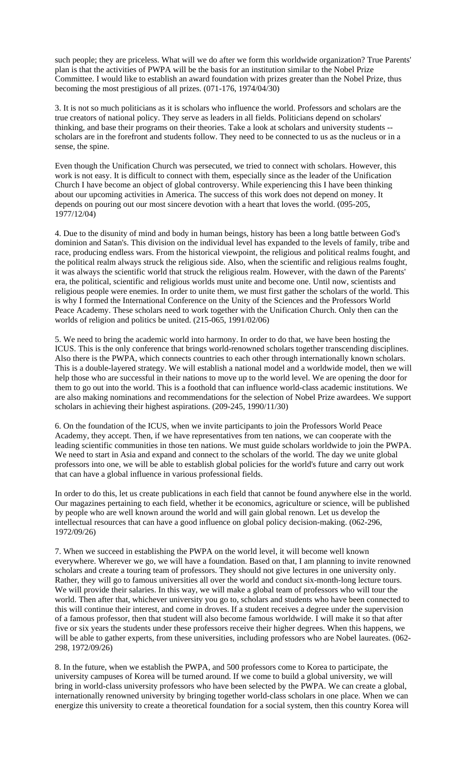such people; they are priceless. What will we do after we form this worldwide organization? True Parents' plan is that the activities of PWPA will be the basis for an institution similar to the Nobel Prize Committee. I would like to establish an award foundation with prizes greater than the Nobel Prize, thus becoming the most prestigious of all prizes. (071-176, 1974/04/30)

3. It is not so much politicians as it is scholars who influence the world. Professors and scholars are the true creators of national policy. They serve as leaders in all fields. Politicians depend on scholars' thinking, and base their programs on their theories. Take a look at scholars and university students - scholars are in the forefront and students follow. They need to be connected to us as the nucleus or in a sense, the spine.

Even though the Unification Church was persecuted, we tried to connect with scholars. However, this work is not easy. It is difficult to connect with them, especially since as the leader of the Unification Church I have become an object of global controversy. While experiencing this I have been thinking about our upcoming activities in America. The success of this work does not depend on money. It depends on pouring out our most sincere devotion with a heart that loves the world. (095-205, 1977/12/04)

4. Due to the disunity of mind and body in human beings, history has been a long battle between God's dominion and Satan's. This division on the individual level has expanded to the levels of family, tribe and race, producing endless wars. From the historical viewpoint, the religious and political realms fought, and the political realm always struck the religious side. Also, when the scientific and religious realms fought, it was always the scientific world that struck the religious realm. However, with the dawn of the Parents' era, the political, scientific and religious worlds must unite and become one. Until now, scientists and religious people were enemies. In order to unite them, we must first gather the scholars of the world. This is why I formed the International Conference on the Unity of the Sciences and the Professors World Peace Academy. These scholars need to work together with the Unification Church. Only then can the worlds of religion and politics be united. (215-065, 1991/02/06)

5. We need to bring the academic world into harmony. In order to do that, we have been hosting the ICUS. This is the only conference that brings world-renowned scholars together transcending disciplines. Also there is the PWPA, which connects countries to each other through internationally known scholars. This is a double-layered strategy. We will establish a national model and a worldwide model, then we will help those who are successful in their nations to move up to the world level. We are opening the door for them to go out into the world. This is a foothold that can influence world-class academic institutions. We are also making nominations and recommendations for the selection of Nobel Prize awardees. We support scholars in achieving their highest aspirations. (209-245, 1990/11/30)

6. On the foundation of the ICUS, when we invite participants to join the Professors World Peace Academy, they accept. Then, if we have representatives from ten nations, we can cooperate with the leading scientific communities in those ten nations. We must guide scholars worldwide to join the PWPA. We need to start in Asia and expand and connect to the scholars of the world. The day we unite global professors into one, we will be able to establish global policies for the world's future and carry out work that can have a global influence in various professional fields.

In order to do this, let us create publications in each field that cannot be found anywhere else in the world. Our magazines pertaining to each field, whether it be economics, agriculture or science, will be published by people who are well known around the world and will gain global renown. Let us develop the intellectual resources that can have a good influence on global policy decision-making. (062-296, 1972/09/26)

7. When we succeed in establishing the PWPA on the world level, it will become well known everywhere. Wherever we go, we will have a foundation. Based on that, I am planning to invite renowned scholars and create a touring team of professors. They should not give lectures in one university only. Rather, they will go to famous universities all over the world and conduct six-month-long lecture tours. We will provide their salaries. In this way, we will make a global team of professors who will tour the world. Then after that, whichever university you go to, scholars and students who have been connected to this will continue their interest, and come in droves. If a student receives a degree under the supervision of a famous professor, then that student will also become famous worldwide. I will make it so that after five or six years the students under these professors receive their higher degrees. When this happens, we will be able to gather experts, from these universities, including professors who are Nobel laureates. (062-298, 1972/09/26)

8. In the future, when we establish the PWPA, and 500 professors come to Korea to participate, the university campuses of Korea will be turned around. If we come to build a global university, we will bring in world-class university professors who have been selected by the PWPA. We can create a global, internationally renowned university by bringing together world-class scholars in one place. When we can energize this university to create a theoretical foundation for a social system, then this country Korea will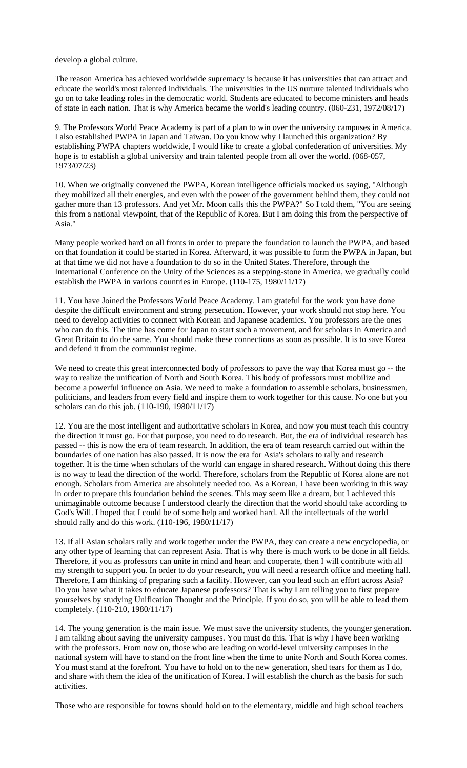develop a global culture.

The reason America has achieved worldwide supremacy is because it has universities that can attract and educate the world's most talented individuals. The universities in the US nurture talented individuals who go on to take leading roles in the democratic world. Students are educated to become ministers and heads of state in each nation. That is why America became the world's leading country. (060-231, 1972/08/17)

9. The Professors World Peace Academy is part of a plan to win over the university campuses in America. I also established PWPA in Japan and Taiwan. Do you know why I launched this organization? By establishing PWPA chapters worldwide, I would like to create a global confederation of universities. My hope is to establish a global university and train talented people from all over the world. (068-057, 1973/07/23)

10. When we originally convened the PWPA, Korean intelligence officials mocked us saying, "Although they mobilized all their energies, and even with the power of the government behind them, they could not gather more than 13 professors. And yet Mr. Moon calls this the PWPA?" So I told them, "You are seeing this from a national viewpoint, that of the Republic of Korea. But I am doing this from the perspective of Asia."

Many people worked hard on all fronts in order to prepare the foundation to launch the PWPA, and based on that foundation it could be started in Korea. Afterward, it was possible to form the PWPA in Japan, but at that time we did not have a foundation to do so in the United States. Therefore, through the International Conference on the Unity of the Sciences as a stepping-stone in America, we gradually could establish the PWPA in various countries in Europe. (110-175, 1980/11/17)

11. You have Joined the Professors World Peace Academy. I am grateful for the work you have done despite the difficult environment and strong persecution. However, your work should not stop here. You need to develop activities to connect with Korean and Japanese academics. You professors are the ones who can do this. The time has come for Japan to start such a movement, and for scholars in America and Great Britain to do the same. You should make these connections as soon as possible. It is to save Korea and defend it from the communist regime.

We need to create this great interconnected body of professors to pave the way that Korea must go -- the way to realize the unification of North and South Korea. This body of professors must mobilize and become a powerful influence on Asia. We need to make a foundation to assemble scholars, businessmen, politicians, and leaders from every field and inspire them to work together for this cause. No one but you scholars can do this job. (110-190, 1980/11/17)

12. You are the most intelligent and authoritative scholars in Korea, and now you must teach this country the direction it must go. For that purpose, you need to do research. But, the era of individual research has passed -- this is now the era of team research. In addition, the era of team research carried out within the boundaries of one nation has also passed. It is now the era for Asia's scholars to rally and research together. It is the time when scholars of the world can engage in shared research. Without doing this there is no way to lead the direction of the world. Therefore, scholars from the Republic of Korea alone are not enough. Scholars from America are absolutely needed too. As a Korean, I have been working in this way in order to prepare this foundation behind the scenes. This may seem like a dream, but I achieved this unimaginable outcome because I understood clearly the direction that the world should take according to God's Will. I hoped that I could be of some help and worked hard. All the intellectuals of the world should rally and do this work. (110-196, 1980/11/17)

13. If all Asian scholars rally and work together under the PWPA, they can create a new encyclopedia, or any other type of learning that can represent Asia. That is why there is much work to be done in all fields. Therefore, if you as professors can unite in mind and heart and cooperate, then I will contribute with all my strength to support you. In order to do your research, you will need a research office and meeting hall. Therefore, I am thinking of preparing such a facility. However, can you lead such an effort across Asia? Do you have what it takes to educate Japanese professors? That is why I am telling you to first prepare yourselves by studying Unification Thought and the Principle. If you do so, you will be able to lead them completely. (110-210, 1980/11/17)

14. The young generation is the main issue. We must save the university students, the younger generation. I am talking about saving the university campuses. You must do this. That is why I have been working with the professors. From now on, those who are leading on world-level university campuses in the national system will have to stand on the front line when the time to unite North and South Korea comes. You must stand at the forefront. You have to hold on to the new generation, shed tears for them as I do, and share with them the idea of the unification of Korea. I will establish the church as the basis for such activities.

Those who are responsible for towns should hold on to the elementary, middle and high school teachers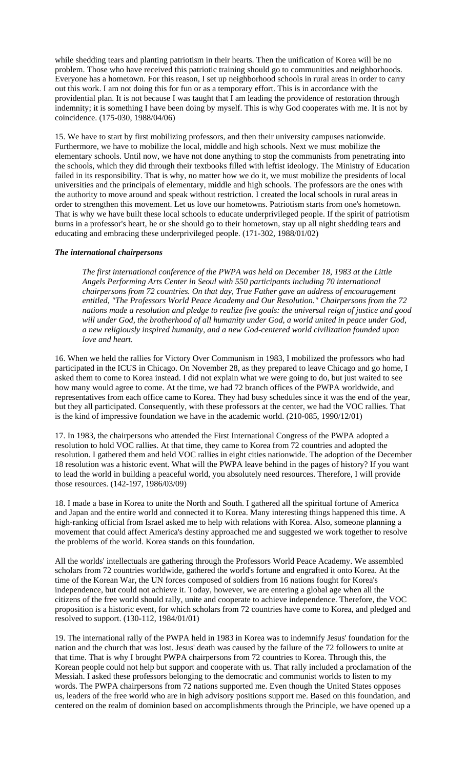while shedding tears and planting patriotism in their hearts. Then the unification of Korea will be no problem. Those who have received this patriotic training should go to communities and neighborhoods. Everyone has a hometown. For this reason, I set up neighborhood schools in rural areas in order to carry out this work. I am not doing this for fun or as a temporary effort. This is in accordance with the providential plan. It is not because I was taught that I am leading the providence of restoration through indemnity; it is something I have been doing by myself. This is why God cooperates with me. It is not by coincidence. (175-030, 1988/04/06)

15. We have to start by first mobilizing professors, and then their university campuses nationwide. Furthermore, we have to mobilize the local, middle and high schools. Next we must mobilize the elementary schools. Until now, we have not done anything to stop the communists from penetrating into the schools, which they did through their textbooks filled with leftist ideology. The Ministry of Education failed in its responsibility. That is why, no matter how we do it, we must mobilize the presidents of local universities and the principals of elementary, middle and high schools. The professors are the ones with the authority to move around and speak without restriction. I created the local schools in rural areas in order to strengthen this movement. Let us love our hometowns. Patriotism starts from one's hometown. That is why we have built these local schools to educate underprivileged people. If the spirit of patriotism burns in a professor's heart, he or she should go to their hometown, stay up all night shedding tears and educating and embracing these underprivileged people. (171-302, 1988/01/02)

#### *The international chairpersons*

*The first international conference of the PWPA was held on December 18, 1983 at the Little Angels Performing Arts Center in Seoul with 550 participants including 70 international chairpersons from 72 countries. On that day, True Father gave an address of encouragement entitled, "The Professors World Peace Academy and Our Resolution." Chairpersons from the 72 nations made a resolution and pledge to realize five goals: the universal reign of justice and good will under God, the brotherhood of all humanity under God, a world united in peace under God, a new religiously inspired humanity, and a new God-centered world civilization founded upon love and heart.* 

16. When we held the rallies for Victory Over Communism in 1983, I mobilized the professors who had participated in the ICUS in Chicago. On November 28, as they prepared to leave Chicago and go home, I asked them to come to Korea instead. I did not explain what we were going to do, but just waited to see how many would agree to come. At the time, we had 72 branch offices of the PWPA worldwide, and representatives from each office came to Korea. They had busy schedules since it was the end of the year, but they all participated. Consequently, with these professors at the center, we had the VOC rallies. That is the kind of impressive foundation we have in the academic world. (210-085, 1990/12/01)

17. In 1983, the chairpersons who attended the First International Congress of the PWPA adopted a resolution to hold VOC rallies. At that time, they came to Korea from 72 countries and adopted the resolution. I gathered them and held VOC rallies in eight cities nationwide. The adoption of the December 18 resolution was a historic event. What will the PWPA leave behind in the pages of history? If you want to lead the world in building a peaceful world, you absolutely need resources. Therefore, I will provide those resources. (142-197, 1986/03/09)

18. I made a base in Korea to unite the North and South. I gathered all the spiritual fortune of America and Japan and the entire world and connected it to Korea. Many interesting things happened this time. A high-ranking official from Israel asked me to help with relations with Korea. Also, someone planning a movement that could affect America's destiny approached me and suggested we work together to resolve the problems of the world. Korea stands on this foundation.

All the worlds' intellectuals are gathering through the Professors World Peace Academy. We assembled scholars from 72 countries worldwide, gathered the world's fortune and engrafted it onto Korea. At the time of the Korean War, the UN forces composed of soldiers from 16 nations fought for Korea's independence, but could not achieve it. Today, however, we are entering a global age when all the citizens of the free world should rally, unite and cooperate to achieve independence. Therefore, the VOC proposition is a historic event, for which scholars from 72 countries have come to Korea, and pledged and resolved to support. (130-112, 1984/01/01)

19. The international rally of the PWPA held in 1983 in Korea was to indemnify Jesus' foundation for the nation and the church that was lost. Jesus' death was caused by the failure of the 72 followers to unite at that time. That is why I brought PWPA chairpersons from 72 countries to Korea. Through this, the Korean people could not help but support and cooperate with us. That rally included a proclamation of the Messiah. I asked these professors belonging to the democratic and communist worlds to listen to my words. The PWPA chairpersons from 72 nations supported me. Even though the United States opposes us, leaders of the free world who are in high advisory positions support me. Based on this foundation, and centered on the realm of dominion based on accomplishments through the Principle, we have opened up a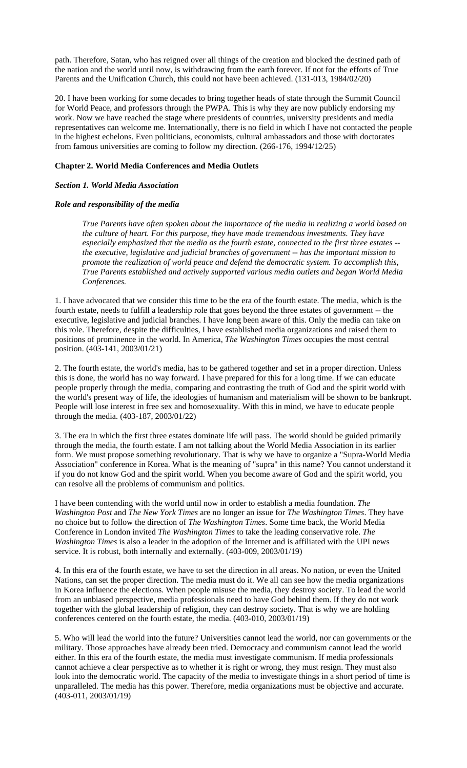path. Therefore, Satan, who has reigned over all things of the creation and blocked the destined path of the nation and the world until now, is withdrawing from the earth forever. If not for the efforts of True Parents and the Unification Church, this could not have been achieved. (131-013, 1984/02/20)

20. I have been working for some decades to bring together heads of state through the Summit Council for World Peace, and professors through the PWPA. This is why they are now publicly endorsing my work. Now we have reached the stage where presidents of countries, university presidents and media representatives can welcome me. Internationally, there is no field in which I have not contacted the people in the highest echelons. Even politicians, economists, cultural ambassadors and those with doctorates from famous universities are coming to follow my direction. (266-176, 1994/12/25)

# **Chapter 2. World Media Conferences and Media Outlets**

# *Section 1. World Media Association*

# *Role and responsibility of the media*

*True Parents have often spoken about the importance of the media in realizing a world based on the culture of heart. For this purpose, they have made tremendous investments. They have especially emphasized that the media as the fourth estate, connected to the first three estates - the executive, legislative and judicial branches of government -- has the important mission to promote the realization of world peace and defend the democratic system. To accomplish this, True Parents established and actively supported various media outlets and began World Media Conferences.* 

1. I have advocated that we consider this time to be the era of the fourth estate. The media, which is the fourth estate, needs to fulfill a leadership role that goes beyond the three estates of government -- the executive, legislative and judicial branches. I have long been aware of this. Only the media can take on this role. Therefore, despite the difficulties, I have established media organizations and raised them to positions of prominence in the world. In America, *The Washington Times* occupies the most central position. (403-141, 2003/01/21)

2. The fourth estate, the world's media, has to be gathered together and set in a proper direction. Unless this is done, the world has no way forward. I have prepared for this for a long time. If we can educate people properly through the media, comparing and contrasting the truth of God and the spirit world with the world's present way of life, the ideologies of humanism and materialism will be shown to be bankrupt. People will lose interest in free sex and homosexuality. With this in mind, we have to educate people through the media. (403-187, 2003/01/22)

3. The era in which the first three estates dominate life will pass. The world should be guided primarily through the media, the fourth estate. I am not talking about the World Media Association in its earlier form. We must propose something revolutionary. That is why we have to organize a "Supra-World Media Association" conference in Korea. What is the meaning of "supra" in this name? You cannot understand it if you do not know God and the spirit world. When you become aware of God and the spirit world, you can resolve all the problems of communism and politics.

I have been contending with the world until now in order to establish a media foundation. *The Washington Post* and *The New York Times* are no longer an issue for *The Washington Times*. They have no choice but to follow the direction of *The Washington Times*. Some time back, the World Media Conference in London invited *The Washington Times* to take the leading conservative role. *The Washington Times* is also a leader in the adoption of the Internet and is affiliated with the UPI news service. It is robust, both internally and externally. (403-009, 2003/01/19)

4. In this era of the fourth estate, we have to set the direction in all areas. No nation, or even the United Nations, can set the proper direction. The media must do it. We all can see how the media organizations in Korea influence the elections. When people misuse the media, they destroy society. To lead the world from an unbiased perspective, media professionals need to have God behind them. If they do not work together with the global leadership of religion, they can destroy society. That is why we are holding conferences centered on the fourth estate, the media. (403-010, 2003/01/19)

5. Who will lead the world into the future? Universities cannot lead the world, nor can governments or the military. Those approaches have already been tried. Democracy and communism cannot lead the world either. In this era of the fourth estate, the media must investigate communism. If media professionals cannot achieve a clear perspective as to whether it is right or wrong, they must resign. They must also look into the democratic world. The capacity of the media to investigate things in a short period of time is unparalleled. The media has this power. Therefore, media organizations must be objective and accurate. (403-011, 2003/01/19)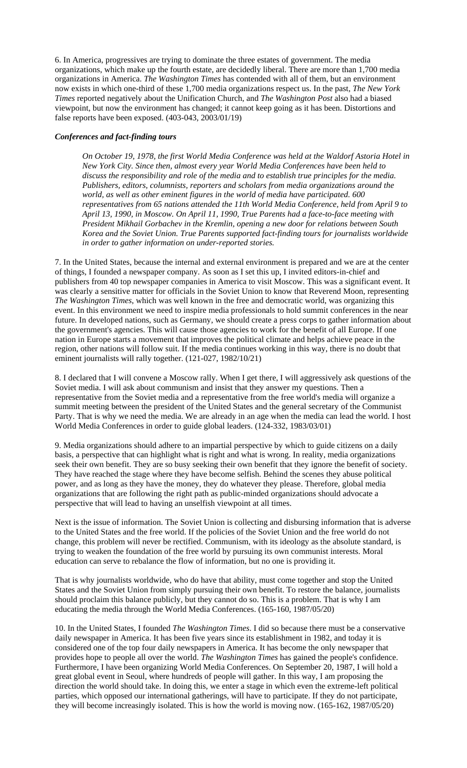6. In America, progressives are trying to dominate the three estates of government. The media organizations, which make up the fourth estate, are decidedly liberal. There are more than 1,700 media organizations in America. *The Washington Times* has contended with all of them, but an environment now exists in which one-third of these 1,700 media organizations respect us. In the past, *The New York Times* reported negatively about the Unification Church, and *The Washington Post* also had a biased viewpoint, but now the environment has changed; it cannot keep going as it has been. Distortions and false reports have been exposed. (403-043, 2003/01/19)

# *Conferences and fact-finding tours*

*On October 19, 1978, the first World Media Conference was held at the Waldorf Astoria Hotel in New York City. Since then, almost every year World Media Conferences have been held to discuss the responsibility and role of the media and to establish true principles for the media. Publishers, editors, columnists, reporters and scholars from media organizations around the world, as well as other eminent figures in the world of media have participated. 600 representatives from 65 nations attended the 11th World Media Conference, held from April 9 to April 13, 1990, in Moscow. On April 11, 1990, True Parents had a face-to-face meeting with President Mikhail Gorbachev in the Kremlin, opening a new door for relations between South Korea and the Soviet Union. True Parents supported fact-finding tours for journalists worldwide in order to gather information on under-reported stories.* 

7. In the United States, because the internal and external environment is prepared and we are at the center of things, I founded a newspaper company. As soon as I set this up, I invited editors-in-chief and publishers from 40 top newspaper companies in America to visit Moscow. This was a significant event. It was clearly a sensitive matter for officials in the Soviet Union to know that Reverend Moon, representing *The Washington Times*, which was well known in the free and democratic world, was organizing this event. In this environment we need to inspire media professionals to hold summit conferences in the near future. In developed nations, such as Germany, we should create a press corps to gather information about the government's agencies. This will cause those agencies to work for the benefit of all Europe. If one nation in Europe starts a movement that improves the political climate and helps achieve peace in the region, other nations will follow suit. If the media continues working in this way, there is no doubt that eminent journalists will rally together. (121-027, 1982/10/21)

8. I declared that I will convene a Moscow rally. When I get there, I will aggressively ask questions of the Soviet media. I will ask about communism and insist that they answer my questions. Then a representative from the Soviet media and a representative from the free world's media will organize a summit meeting between the president of the United States and the general secretary of the Communist Party. That is why we need the media. We are already in an age when the media can lead the world. I host World Media Conferences in order to guide global leaders. (124-332, 1983/03/01)

9. Media organizations should adhere to an impartial perspective by which to guide citizens on a daily basis, a perspective that can highlight what is right and what is wrong. In reality, media organizations seek their own benefit. They are so busy seeking their own benefit that they ignore the benefit of society. They have reached the stage where they have become selfish. Behind the scenes they abuse political power, and as long as they have the money, they do whatever they please. Therefore, global media organizations that are following the right path as public-minded organizations should advocate a perspective that will lead to having an unselfish viewpoint at all times.

Next is the issue of information. The Soviet Union is collecting and disbursing information that is adverse to the United States and the free world. If the policies of the Soviet Union and the free world do not change, this problem will never be rectified. Communism, with its ideology as the absolute standard, is trying to weaken the foundation of the free world by pursuing its own communist interests. Moral education can serve to rebalance the flow of information, but no one is providing it.

That is why journalists worldwide, who do have that ability, must come together and stop the United States and the Soviet Union from simply pursuing their own benefit. To restore the balance, journalists should proclaim this balance publicly, but they cannot do so. This is a problem. That is why I am educating the media through the World Media Conferences. (165-160, 1987/05/20)

10. In the United States, I founded *The Washington Times*. I did so because there must be a conservative daily newspaper in America. It has been five years since its establishment in 1982, and today it is considered one of the top four daily newspapers in America. It has become the only newspaper that provides hope to people all over the world. *The Washington Times* has gained the people's confidence. Furthermore, I have been organizing World Media Conferences. On September 20, 1987, I will hold a great global event in Seoul, where hundreds of people will gather. In this way, I am proposing the direction the world should take. In doing this, we enter a stage in which even the extreme-left political parties, which opposed our international gatherings, will have to participate. If they do not participate, they will become increasingly isolated. This is how the world is moving now. (165-162, 1987/05/20)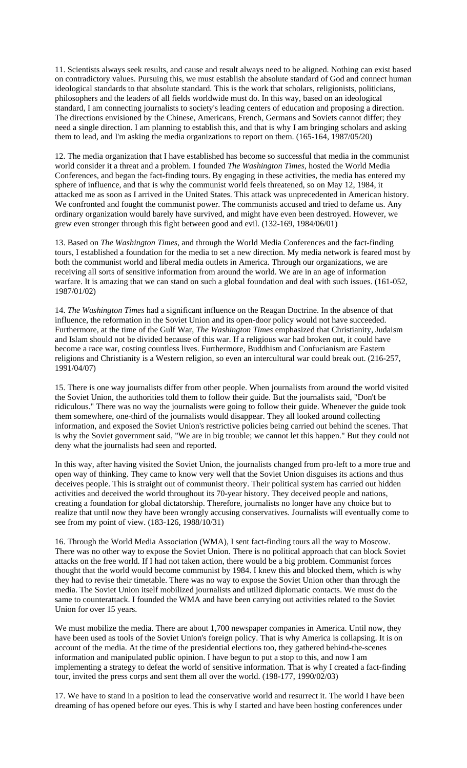11. Scientists always seek results, and cause and result always need to be aligned. Nothing can exist based on contradictory values. Pursuing this, we must establish the absolute standard of God and connect human ideological standards to that absolute standard. This is the work that scholars, religionists, politicians, philosophers and the leaders of all fields worldwide must do. In this way, based on an ideological standard, I am connecting journalists to society's leading centers of education and proposing a direction. The directions envisioned by the Chinese, Americans, French, Germans and Soviets cannot differ; they need a single direction. I am planning to establish this, and that is why I am bringing scholars and asking them to lead, and I'm asking the media organizations to report on them. (165-164, 1987/05/20)

12. The media organization that I have established has become so successful that media in the communist world consider it a threat and a problem. I founded *The Washington Times*, hosted the World Media Conferences, and began the fact-finding tours. By engaging in these activities, the media has entered my sphere of influence, and that is why the communist world feels threatened, so on May 12, 1984, it attacked me as soon as I arrived in the United States. This attack was unprecedented in American history. We confronted and fought the communist power. The communists accused and tried to defame us. Any ordinary organization would barely have survived, and might have even been destroyed. However, we grew even stronger through this fight between good and evil. (132-169, 1984/06/01)

13. Based on *The Washington Times*, and through the World Media Conferences and the fact-finding tours, I established a foundation for the media to set a new direction. My media network is feared most by both the communist world and liberal media outlets in America. Through our organizations, we are receiving all sorts of sensitive information from around the world. We are in an age of information warfare. It is amazing that we can stand on such a global foundation and deal with such issues. (161-052, 1987/01/02)

14. *The Washington Times* had a significant influence on the Reagan Doctrine. In the absence of that influence, the reformation in the Soviet Union and its open-door policy would not have succeeded. Furthermore, at the time of the Gulf War, *The Washington Times* emphasized that Christianity, Judaism and Islam should not be divided because of this war. If a religious war had broken out, it could have become a race war, costing countless lives. Furthermore, Buddhism and Confucianism are Eastern religions and Christianity is a Western religion, so even an intercultural war could break out. (216-257, 1991/04/07)

15. There is one way journalists differ from other people. When journalists from around the world visited the Soviet Union, the authorities told them to follow their guide. But the journalists said, "Don't be ridiculous." There was no way the journalists were going to follow their guide. Whenever the guide took them somewhere, one-third of the journalists would disappear. They all looked around collecting information, and exposed the Soviet Union's restrictive policies being carried out behind the scenes. That is why the Soviet government said, "We are in big trouble; we cannot let this happen." But they could not deny what the journalists had seen and reported.

In this way, after having visited the Soviet Union, the journalists changed from pro-left to a more true and open way of thinking. They came to know very well that the Soviet Union disguises its actions and thus deceives people. This is straight out of communist theory. Their political system has carried out hidden activities and deceived the world throughout its 70-year history. They deceived people and nations, creating a foundation for global dictatorship. Therefore, journalists no longer have any choice but to realize that until now they have been wrongly accusing conservatives. Journalists will eventually come to see from my point of view. (183-126, 1988/10/31)

16. Through the World Media Association (WMA), I sent fact-finding tours all the way to Moscow. There was no other way to expose the Soviet Union. There is no political approach that can block Soviet attacks on the free world. If I had not taken action, there would be a big problem. Communist forces thought that the world would become communist by 1984. I knew this and blocked them, which is why they had to revise their timetable. There was no way to expose the Soviet Union other than through the media. The Soviet Union itself mobilized journalists and utilized diplomatic contacts. We must do the same to counterattack. I founded the WMA and have been carrying out activities related to the Soviet Union for over 15 years.

We must mobilize the media. There are about 1,700 newspaper companies in America. Until now, they have been used as tools of the Soviet Union's foreign policy. That is why America is collapsing. It is on account of the media. At the time of the presidential elections too, they gathered behind-the-scenes information and manipulated public opinion. I have begun to put a stop to this, and now I am implementing a strategy to defeat the world of sensitive information. That is why I created a fact-finding tour, invited the press corps and sent them all over the world. (198-177, 1990/02/03)

17. We have to stand in a position to lead the conservative world and resurrect it. The world I have been dreaming of has opened before our eyes. This is why I started and have been hosting conferences under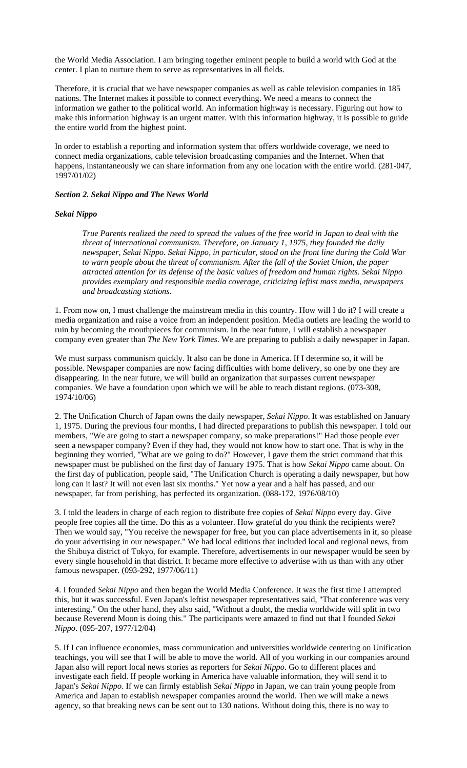the World Media Association. I am bringing together eminent people to build a world with God at the center. I plan to nurture them to serve as representatives in all fields.

Therefore, it is crucial that we have newspaper companies as well as cable television companies in 185 nations. The Internet makes it possible to connect everything. We need a means to connect the information we gather to the political world. An information highway is necessary. Figuring out how to make this information highway is an urgent matter. With this information highway, it is possible to guide the entire world from the highest point.

In order to establish a reporting and information system that offers worldwide coverage, we need to connect media organizations, cable television broadcasting companies and the Internet. When that happens, instantaneously we can share information from any one location with the entire world. (281-047, 1997/01/02)

# *Section 2. Sekai Nippo and The News World*

# *Sekai Nippo*

*True Parents realized the need to spread the values of the free world in Japan to deal with the threat of international communism. Therefore, on January 1, 1975, they founded the daily newspaper, Sekai Nippo. Sekai Nippo, in particular, stood on the front line during the Cold War to warn people about the threat of communism. After the fall of the Soviet Union, the paper attracted attention for its defense of the basic values of freedom and human rights. Sekai Nippo provides exemplary and responsible media coverage, criticizing leftist mass media, newspapers and broadcasting stations.* 

1. From now on, I must challenge the mainstream media in this country. How will I do it? I will create a media organization and raise a voice from an independent position. Media outlets are leading the world to ruin by becoming the mouthpieces for communism. In the near future, I will establish a newspaper company even greater than *The New York Times*. We are preparing to publish a daily newspaper in Japan.

We must surpass communism quickly. It also can be done in America. If I determine so, it will be possible. Newspaper companies are now facing difficulties with home delivery, so one by one they are disappearing. In the near future, we will build an organization that surpasses current newspaper companies. We have a foundation upon which we will be able to reach distant regions. (073-308, 1974/10/06)

2. The Unification Church of Japan owns the daily newspaper, *Sekai Nippo*. It was established on January 1, 1975. During the previous four months, I had directed preparations to publish this newspaper. I told our members, "We are going to start a newspaper company, so make preparations!" Had those people ever seen a newspaper company? Even if they had, they would not know how to start one. That is why in the beginning they worried, "What are we going to do?" However, I gave them the strict command that this newspaper must be published on the first day of January 1975. That is how *Sekai Nippo* came about. On the first day of publication, people said, "The Unification Church is operating a daily newspaper, but how long can it last? It will not even last six months." Yet now a year and a half has passed, and our newspaper, far from perishing, has perfected its organization. (088-172, 1976/08/10)

3. I told the leaders in charge of each region to distribute free copies of *Sekai Nippo* every day. Give people free copies all the time. Do this as a volunteer. How grateful do you think the recipients were? Then we would say, "You receive the newspaper for free, but you can place advertisements in it, so please do your advertising in our newspaper." We had local editions that included local and regional news, from the Shibuya district of Tokyo, for example. Therefore, advertisements in our newspaper would be seen by every single household in that district. It became more effective to advertise with us than with any other famous newspaper. (093-292, 1977/06/11)

4. I founded *Sekai Nippo* and then began the World Media Conference. It was the first time I attempted this, but it was successful. Even Japan's leftist newspaper representatives said, "That conference was very interesting." On the other hand, they also said, "Without a doubt, the media worldwide will split in two because Reverend Moon is doing this." The participants were amazed to find out that I founded *Sekai Nippo*. (095-207, 1977/12/04)

5. If I can influence economies, mass communication and universities worldwide centering on Unification teachings, you will see that I will be able to move the world. All of you working in our companies around Japan also will report local news stories as reporters for *Sekai Nippo*. Go to different places and investigate each field. If people working in America have valuable information, they will send it to Japan's *Sekai Nippo*. If we can firmly establish *Sekai Nippo* in Japan, we can train young people from America and Japan to establish newspaper companies around the world. Then we will make a news agency, so that breaking news can be sent out to 130 nations. Without doing this, there is no way to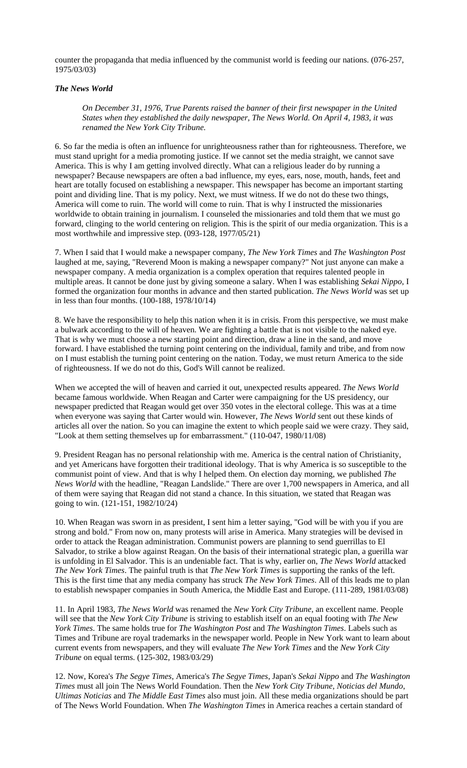counter the propaganda that media influenced by the communist world is feeding our nations. (076-257, 1975/03/03)

# *The News World*

*On December 31, 1976, True Parents raised the banner of their first newspaper in the United States when they established the daily newspaper, The News World. On April 4, 1983, it was renamed the New York City Tribune.* 

6. So far the media is often an influence for unrighteousness rather than for righteousness. Therefore, we must stand upright for a media promoting justice. If we cannot set the media straight, we cannot save America. This is why I am getting involved directly. What can a religious leader do by running a newspaper? Because newspapers are often a bad influence, my eyes, ears, nose, mouth, hands, feet and heart are totally focused on establishing a newspaper. This newspaper has become an important starting point and dividing line. That is my policy. Next, we must witness. If we do not do these two things, America will come to ruin. The world will come to ruin. That is why I instructed the missionaries worldwide to obtain training in journalism. I counseled the missionaries and told them that we must go forward, clinging to the world centering on religion. This is the spirit of our media organization. This is a most worthwhile and impressive step. (093-128, 1977/05/21)

7. When I said that I would make a newspaper company, *The New York Times* and *The Washington Post* laughed at me, saying, "Reverend Moon is making a newspaper company?" Not just anyone can make a newspaper company. A media organization is a complex operation that requires talented people in multiple areas. It cannot be done just by giving someone a salary. When I was establishing *Sekai Nippo*, I formed the organization four months in advance and then started publication. *The News World* was set up in less than four months. (100-188, 1978/10/14)

8. We have the responsibility to help this nation when it is in crisis. From this perspective, we must make a bulwark according to the will of heaven. We are fighting a battle that is not visible to the naked eye. That is why we must choose a new starting point and direction, draw a line in the sand, and move forward. I have established the turning point centering on the individual, family and tribe, and from now on I must establish the turning point centering on the nation. Today, we must return America to the side of righteousness. If we do not do this, God's Will cannot be realized.

When we accepted the will of heaven and carried it out, unexpected results appeared. *The News World* became famous worldwide. When Reagan and Carter were campaigning for the US presidency, our newspaper predicted that Reagan would get over 350 votes in the electoral college. This was at a time when everyone was saying that Carter would win. However, *The News World* sent out these kinds of articles all over the nation. So you can imagine the extent to which people said we were crazy. They said, "Look at them setting themselves up for embarrassment." (110-047, 1980/11/08)

9. President Reagan has no personal relationship with me. America is the central nation of Christianity, and yet Americans have forgotten their traditional ideology. That is why America is so susceptible to the communist point of view. And that is why I helped them. On election day morning, we published *The News World* with the headline, "Reagan Landslide." There are over 1,700 newspapers in America, and all of them were saying that Reagan did not stand a chance. In this situation, we stated that Reagan was going to win. (121-151, 1982/10/24)

10. When Reagan was sworn in as president, I sent him a letter saying, "God will be with you if you are strong and bold." From now on, many protests will arise in America. Many strategies will be devised in order to attack the Reagan administration. Communist powers are planning to send guerrillas to El Salvador, to strike a blow against Reagan. On the basis of their international strategic plan, a guerilla war is unfolding in El Salvador. This is an undeniable fact. That is why, earlier on, *The News World* attacked *The New York Times*. The painful truth is that *The New York Times* is supporting the ranks of the left. This is the first time that any media company has struck *The New York Times*. All of this leads me to plan to establish newspaper companies in South America, the Middle East and Europe. (111-289, 1981/03/08)

11. In April 1983, *The News World* was renamed the *New York City Tribune*, an excellent name. People will see that the *New York City Tribune* is striving to establish itself on an equal footing with *The New York Times*. The same holds true for *The Washington Post* and *The Washington Times*. Labels such as Times and Tribune are royal trademarks in the newspaper world. People in New York want to learn about current events from newspapers, and they will evaluate *The New York Times* and the *New York City Tribune* on equal terms. (125-302, 1983/03/29)

12. Now, Korea's *The Segye Times*, America's *The Segye Times*, Japan's *Sekai Nippo* and *The Washington Times* must all join The News World Foundation. Then the *New York City Tribune*, *Noticias del Mundo*, *Ultimas Noticias* and *The Middle East Times* also must join. All these media organizations should be part of The News World Foundation. When *The Washington Times* in America reaches a certain standard of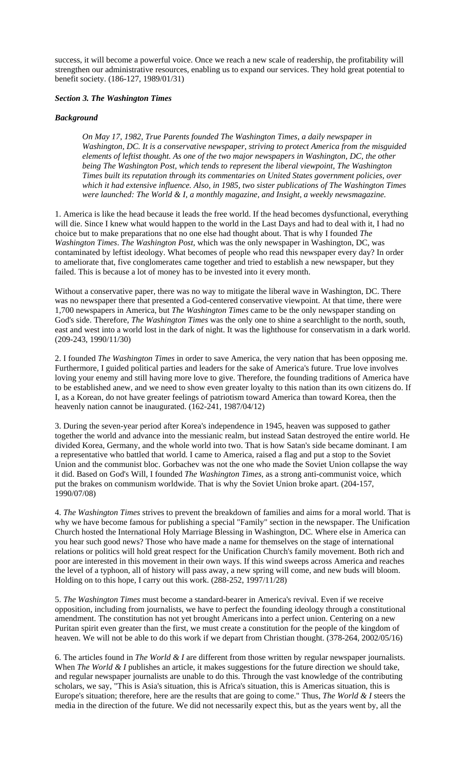success, it will become a powerful voice. Once we reach a new scale of readership, the profitability will strengthen our administrative resources, enabling us to expand our services. They hold great potential to benefit society. (186-127, 1989/01/31)

# *Section 3. The Washington Times*

# *Background*

*On May 17, 1982, True Parents founded The Washington Times, a daily newspaper in Washington, DC. It is a conservative newspaper, striving to protect America from the misguided elements of leftist thought. As one of the two major newspapers in Washington, DC, the other being The Washington Post, which tends to represent the liberal viewpoint, The Washington Times built its reputation through its commentaries on United States government policies, over which it had extensive influence. Also, in 1985, two sister publications of The Washington Times were launched: The World & I, a monthly magazine, and Insight, a weekly newsmagazine.* 

1. America is like the head because it leads the free world. If the head becomes dysfunctional, everything will die. Since I knew what would happen to the world in the Last Days and had to deal with it, I had no choice but to make preparations that no one else had thought about. That is why I founded *The Washington Times*. *The Washington Post*, which was the only newspaper in Washington, DC, was contaminated by leftist ideology. What becomes of people who read this newspaper every day? In order to ameliorate that, five conglomerates came together and tried to establish a new newspaper, but they failed. This is because a lot of money has to be invested into it every month.

Without a conservative paper, there was no way to mitigate the liberal wave in Washington, DC. There was no newspaper there that presented a God-centered conservative viewpoint. At that time, there were 1,700 newspapers in America, but *The Washington Times* came to be the only newspaper standing on God's side. Therefore, *The Washington Times* was the only one to shine a searchlight to the north, south, east and west into a world lost in the dark of night. It was the lighthouse for conservatism in a dark world. (209-243, 1990/11/30)

2. I founded *The Washington Times* in order to save America, the very nation that has been opposing me. Furthermore, I guided political parties and leaders for the sake of America's future. True love involves loving your enemy and still having more love to give. Therefore, the founding traditions of America have to be established anew, and we need to show even greater loyalty to this nation than its own citizens do. If I, as a Korean, do not have greater feelings of patriotism toward America than toward Korea, then the heavenly nation cannot be inaugurated. (162-241, 1987/04/12)

3. During the seven-year period after Korea's independence in 1945, heaven was supposed to gather together the world and advance into the messianic realm, but instead Satan destroyed the entire world. He divided Korea, Germany, and the whole world into two. That is how Satan's side became dominant. I am a representative who battled that world. I came to America, raised a flag and put a stop to the Soviet Union and the communist bloc. Gorbachev was not the one who made the Soviet Union collapse the way it did. Based on God's Will, I founded *The Washington Times*, as a strong anti-communist voice, which put the brakes on communism worldwide. That is why the Soviet Union broke apart. (204-157, 1990/07/08)

4. *The Washington Times* strives to prevent the breakdown of families and aims for a moral world. That is why we have become famous for publishing a special "Family" section in the newspaper. The Unification Church hosted the International Holy Marriage Blessing in Washington, DC. Where else in America can you hear such good news? Those who have made a name for themselves on the stage of international relations or politics will hold great respect for the Unification Church's family movement. Both rich and poor are interested in this movement in their own ways. If this wind sweeps across America and reaches the level of a typhoon, all of history will pass away, a new spring will come, and new buds will bloom. Holding on to this hope, I carry out this work. (288-252, 1997/11/28)

5. *The Washington Times* must become a standard-bearer in America's revival. Even if we receive opposition, including from journalists, we have to perfect the founding ideology through a constitutional amendment. The constitution has not yet brought Americans into a perfect union. Centering on a new Puritan spirit even greater than the first, we must create a constitution for the people of the kingdom of heaven. We will not be able to do this work if we depart from Christian thought. (378-264, 2002/05/16)

6. The articles found in *The World & I* are different from those written by regular newspaper journalists. When *The World & I* publishes an article, it makes suggestions for the future direction we should take, and regular newspaper journalists are unable to do this. Through the vast knowledge of the contributing scholars, we say, "This is Asia's situation, this is Africa's situation, this is Americas situation, this is Europe's situation; therefore, here are the results that are going to come." Thus, *The World & I* steers the media in the direction of the future. We did not necessarily expect this, but as the years went by, all the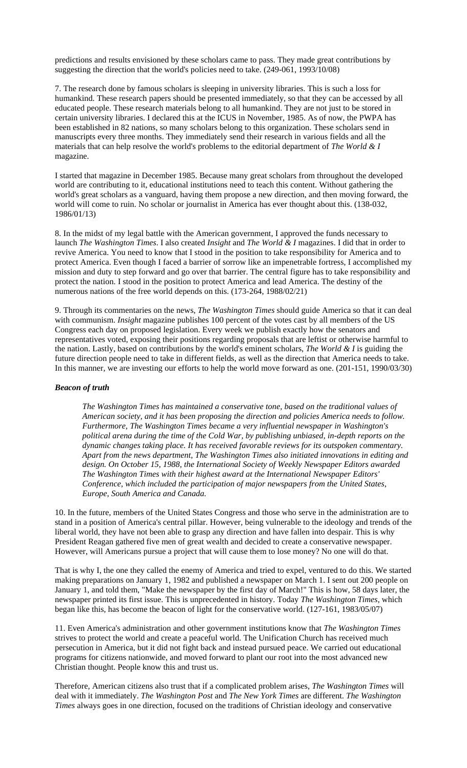predictions and results envisioned by these scholars came to pass. They made great contributions by suggesting the direction that the world's policies need to take. (249-061, 1993/10/08)

7. The research done by famous scholars is sleeping in university libraries. This is such a loss for humankind. These research papers should be presented immediately, so that they can be accessed by all educated people. These research materials belong to all humankind. They are not just to be stored in certain university libraries. I declared this at the ICUS in November, 1985. As of now, the PWPA has been established in 82 nations, so many scholars belong to this organization. These scholars send in manuscripts every three months. They immediately send their research in various fields and all the materials that can help resolve the world's problems to the editorial department of *The World & I* magazine.

I started that magazine in December 1985. Because many great scholars from throughout the developed world are contributing to it, educational institutions need to teach this content. Without gathering the world's great scholars as a vanguard, having them propose a new direction, and then moving forward, the world will come to ruin. No scholar or journalist in America has ever thought about this. (138-032, 1986/01/13)

8. In the midst of my legal battle with the American government, I approved the funds necessary to launch *The Washington Times*. I also created *Insight* and *The World & I* magazines. I did that in order to revive America. You need to know that I stood in the position to take responsibility for America and to protect America. Even though I faced a barrier of sorrow like an impenetrable fortress, I accomplished my mission and duty to step forward and go over that barrier. The central figure has to take responsibility and protect the nation. I stood in the position to protect America and lead America. The destiny of the numerous nations of the free world depends on this. (173-264, 1988/02/21)

9. Through its commentaries on the news, *The Washington Times* should guide America so that it can deal with communism. *Insight* magazine publishes 100 percent of the votes cast by all members of the US Congress each day on proposed legislation. Every week we publish exactly how the senators and representatives voted, exposing their positions regarding proposals that are leftist or otherwise harmful to the nation. Lastly, based on contributions by the world's eminent scholars, *The World & I* is guiding the future direction people need to take in different fields, as well as the direction that America needs to take. In this manner, we are investing our efforts to help the world move forward as one. (201-151, 1990/03/30)

#### *Beacon of truth*

*The Washington Times has maintained a conservative tone, based on the traditional values of American society, and it has been proposing the direction and policies America needs to follow. Furthermore, The Washington Times became a very influential newspaper in Washington's political arena during the time of the Cold War, by publishing unbiased, in-depth reports on the dynamic changes taking place. It has received favorable reviews for its outspoken commentary. Apart from the news department, The Washington Times also initiated innovations in editing and design. On October 15, 1988, the International Society of Weekly Newspaper Editors awarded The Washington Times with their highest award at the International Newspaper Editors' Conference, which included the participation of major newspapers from the United States, Europe, South America and Canada.* 

10. In the future, members of the United States Congress and those who serve in the administration are to stand in a position of America's central pillar. However, being vulnerable to the ideology and trends of the liberal world, they have not been able to grasp any direction and have fallen into despair. This is why President Reagan gathered five men of great wealth and decided to create a conservative newspaper. However, will Americans pursue a project that will cause them to lose money? No one will do that.

That is why I, the one they called the enemy of America and tried to expel, ventured to do this. We started making preparations on January 1, 1982 and published a newspaper on March 1. I sent out 200 people on January 1, and told them, "Make the newspaper by the first day of March!" This is how, 58 days later, the newspaper printed its first issue. This is unprecedented in history. Today *The Washington Times*, which began like this, has become the beacon of light for the conservative world. (127-161, 1983/05/07)

11. Even America's administration and other government institutions know that *The Washington Times* strives to protect the world and create a peaceful world. The Unification Church has received much persecution in America, but it did not fight back and instead pursued peace. We carried out educational programs for citizens nationwide, and moved forward to plant our root into the most advanced new Christian thought. People know this and trust us.

Therefore, American citizens also trust that if a complicated problem arises, *The Washington Times* will deal with it immediately. *The Washington Post* and *The New York Times* are different. *The Washington Times* always goes in one direction, focused on the traditions of Christian ideology and conservative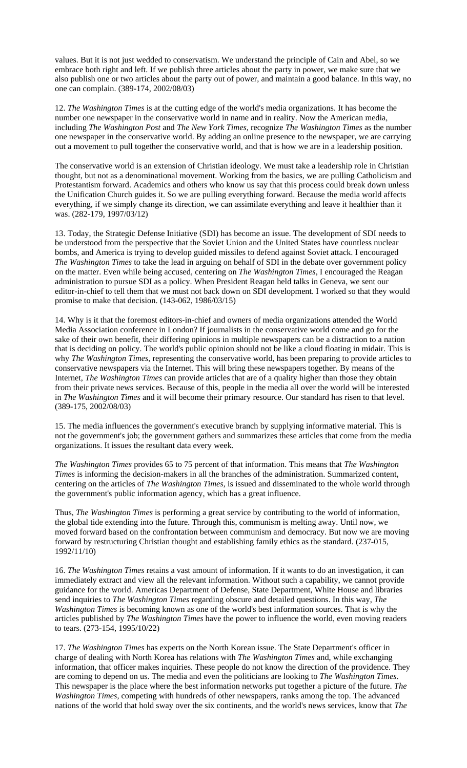values. But it is not just wedded to conservatism. We understand the principle of Cain and Abel, so we embrace both right and left. If we publish three articles about the party in power, we make sure that we also publish one or two articles about the party out of power, and maintain a good balance. In this way, no one can complain. (389-174, 2002/08/03)

12. *The Washington Times* is at the cutting edge of the world's media organizations. It has become the number one newspaper in the conservative world in name and in reality. Now the American media, including *The Washington Post* and *The New York Times*, recognize *The Washington Times* as the number one newspaper in the conservative world. By adding an online presence to the newspaper, we are carrying out a movement to pull together the conservative world, and that is how we are in a leadership position.

The conservative world is an extension of Christian ideology. We must take a leadership role in Christian thought, but not as a denominational movement. Working from the basics, we are pulling Catholicism and Protestantism forward. Academics and others who know us say that this process could break down unless the Unification Church guides it. So we are pulling everything forward. Because the media world affects everything, if we simply change its direction, we can assimilate everything and leave it healthier than it was. (282-179, 1997/03/12)

13. Today, the Strategic Defense Initiative (SDI) has become an issue. The development of SDI needs to be understood from the perspective that the Soviet Union and the United States have countless nuclear bombs, and America is trying to develop guided missiles to defend against Soviet attack. I encouraged *The Washington Times* to take the lead in arguing on behalf of SDI in the debate over government policy on the matter. Even while being accused, centering on *The Washington Times*, I encouraged the Reagan administration to pursue SDI as a policy. When President Reagan held talks in Geneva, we sent our editor-in-chief to tell them that we must not back down on SDI development. I worked so that they would promise to make that decision. (143-062, 1986/03/15)

14. Why is it that the foremost editors-in-chief and owners of media organizations attended the World Media Association conference in London? If journalists in the conservative world come and go for the sake of their own benefit, their differing opinions in multiple newspapers can be a distraction to a nation that is deciding on policy. The world's public opinion should not be like a cloud floating in midair. This is why *The Washington Times*, representing the conservative world, has been preparing to provide articles to conservative newspapers via the Internet. This will bring these newspapers together. By means of the Internet, *The Washington Times* can provide articles that are of a quality higher than those they obtain from their private news services. Because of this, people in the media all over the world will be interested in *The Washington Times* and it will become their primary resource. Our standard has risen to that level. (389-175, 2002/08/03)

15. The media influences the government's executive branch by supplying informative material. This is not the government's job; the government gathers and summarizes these articles that come from the media organizations. It issues the resultant data every week.

*The Washington Times* provides 65 to 75 percent of that information. This means that *The Washington Times* is informing the decision-makers in all the branches of the administration. Summarized content, centering on the articles of *The Washington Times*, is issued and disseminated to the whole world through the government's public information agency, which has a great influence.

Thus, *The Washington Times* is performing a great service by contributing to the world of information, the global tide extending into the future. Through this, communism is melting away. Until now, we moved forward based on the confrontation between communism and democracy. But now we are moving forward by restructuring Christian thought and establishing family ethics as the standard. (237-015, 1992/11/10)

16. *The Washington Times* retains a vast amount of information. If it wants to do an investigation, it can immediately extract and view all the relevant information. Without such a capability, we cannot provide guidance for the world. Americas Department of Defense, State Department, White House and libraries send inquiries to *The Washington Times* regarding obscure and detailed questions. In this way, *The Washington Times* is becoming known as one of the world's best information sources. That is why the articles published by *The Washington Times* have the power to influence the world, even moving readers to tears. (273-154, 1995/10/22)

17. *The Washington Times* has experts on the North Korean issue. The State Department's officer in charge of dealing with North Korea has relations with *The Washington Times* and, while exchanging information, that officer makes inquiries. These people do not know the direction of the providence. They are coming to depend on us. The media and even the politicians are looking to *The Washington Times*. This newspaper is the place where the best information networks put together a picture of the future. *The Washington Times*, competing with hundreds of other newspapers, ranks among the top. The advanced nations of the world that hold sway over the six continents, and the world's news services, know that *The*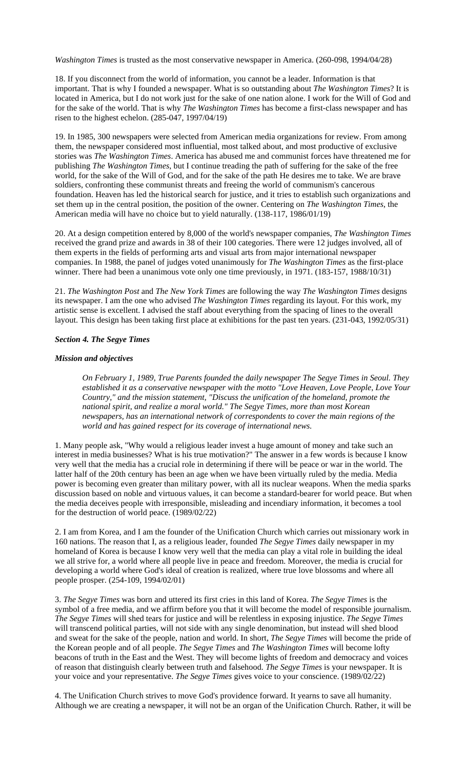*Washington Times* is trusted as the most conservative newspaper in America. (260-098, 1994/04/28)

18. If you disconnect from the world of information, you cannot be a leader. Information is that important. That is why I founded a newspaper. What is so outstanding about *The Washington Times*? It is located in America, but I do not work just for the sake of one nation alone. I work for the Will of God and for the sake of the world. That is why *The Washington Times* has become a first-class newspaper and has risen to the highest echelon. (285-047, 1997/04/19)

19. In 1985, 300 newspapers were selected from American media organizations for review. From among them, the newspaper considered most influential, most talked about, and most productive of exclusive stories was *The Washington Times*. America has abused me and communist forces have threatened me for publishing *The Washington Times*, but I continue treading the path of suffering for the sake of the free world, for the sake of the Will of God, and for the sake of the path He desires me to take. We are brave soldiers, confronting these communist threats and freeing the world of communism's cancerous foundation. Heaven has led the historical search for justice, and it tries to establish such organizations and set them up in the central position, the position of the owner. Centering on *The Washington Times*, the American media will have no choice but to yield naturally. (138-117, 1986/01/19)

20. At a design competition entered by 8,000 of the world's newspaper companies, *The Washington Times* received the grand prize and awards in 38 of their 100 categories. There were 12 judges involved, all of them experts in the fields of performing arts and visual arts from major international newspaper companies. In 1988, the panel of judges voted unanimously for *The Washington Times* as the first-place winner. There had been a unanimous vote only one time previously, in 1971. (183-157, 1988/10/31)

21. *The Washington Post* and *The New York Times* are following the way *The Washington Times* designs its newspaper. I am the one who advised *The Washington Times* regarding its layout. For this work, my artistic sense is excellent. I advised the staff about everything from the spacing of lines to the overall layout. This design has been taking first place at exhibitions for the past ten years. (231-043, 1992/05/31)

#### *Section 4. The Segye Times*

#### *Mission and objectives*

*On February 1, 1989, True Parents founded the daily newspaper The Segye Times in Seoul. They established it as a conservative newspaper with the motto "Love Heaven, Love People, Love Your Country," and the mission statement, "Discuss the unification of the homeland, promote the national spirit, and realize a moral world." The Segye Times, more than most Korean newspapers, has an international network of correspondents to cover the main regions of the world and has gained respect for its coverage of international news.* 

1. Many people ask, "Why would a religious leader invest a huge amount of money and take such an interest in media businesses? What is his true motivation?" The answer in a few words is because I know very well that the media has a crucial role in determining if there will be peace or war in the world. The latter half of the 20th century has been an age when we have been virtually ruled by the media. Media power is becoming even greater than military power, with all its nuclear weapons. When the media sparks discussion based on noble and virtuous values, it can become a standard-bearer for world peace. But when the media deceives people with irresponsible, misleading and incendiary information, it becomes a tool for the destruction of world peace. (1989/02/22)

2. I am from Korea, and I am the founder of the Unification Church which carries out missionary work in 160 nations. The reason that I, as a religious leader, founded *The Segye Times* daily newspaper in my homeland of Korea is because I know very well that the media can play a vital role in building the ideal we all strive for, a world where all people live in peace and freedom. Moreover, the media is crucial for developing a world where God's ideal of creation is realized, where true love blossoms and where all people prosper. (254-109, 1994/02/01)

3. *The Segye Times* was born and uttered its first cries in this land of Korea. *The Segye Times* is the symbol of a free media, and we affirm before you that it will become the model of responsible journalism. *The Segye Times* will shed tears for justice and will be relentless in exposing injustice. *The Segye Times* will transcend political parties, will not side with any single denomination, but instead will shed blood and sweat for the sake of the people, nation and world. In short, *The Segye Times* will become the pride of the Korean people and of all people. *The Segye Times* and *The Washington Times* will become lofty beacons of truth in the East and the West. They will become lights of freedom and democracy and voices of reason that distinguish clearly between truth and falsehood. *The Segye Times* is your newspaper. It is your voice and your representative. *The Segye Times* gives voice to your conscience. (1989/02/22)

4. The Unification Church strives to move God's providence forward. It yearns to save all humanity. Although we are creating a newspaper, it will not be an organ of the Unification Church. Rather, it will be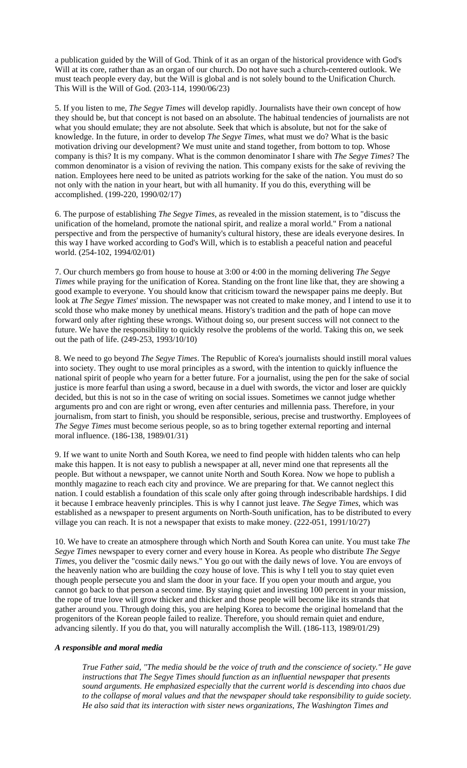a publication guided by the Will of God. Think of it as an organ of the historical providence with God's Will at its core, rather than as an organ of our church. Do not have such a church-centered outlook. We must teach people every day, but the Will is global and is not solely bound to the Unification Church. This Will is the Will of God. (203-114, 1990/06/23)

5. If you listen to me, *The Segye Times* will develop rapidly. Journalists have their own concept of how they should be, but that concept is not based on an absolute. The habitual tendencies of journalists are not what you should emulate; they are not absolute. Seek that which is absolute, but not for the sake of knowledge. In the future, in order to develop *The Segye Times*, what must we do? What is the basic motivation driving our development? We must unite and stand together, from bottom to top. Whose company is this? It is my company. What is the common denominator I share with *The Segye Times*? The common denominator is a vision of reviving the nation. This company exists for the sake of reviving the nation. Employees here need to be united as patriots working for the sake of the nation. You must do so not only with the nation in your heart, but with all humanity. If you do this, everything will be accomplished. (199-220, 1990/02/17)

6. The purpose of establishing *The Segye Times*, as revealed in the mission statement, is to "discuss the unification of the homeland, promote the national spirit, and realize a moral world." From a national perspective and from the perspective of humanity's cultural history, these are ideals everyone desires. In this way I have worked according to God's Will, which is to establish a peaceful nation and peaceful world. (254-102, 1994/02/01)

7. Our church members go from house to house at 3:00 or 4:00 in the morning delivering *The Segye Times* while praying for the unification of Korea. Standing on the front line like that, they are showing a good example to everyone. You should know that criticism toward the newspaper pains me deeply. But look at *The Segye Times*' mission. The newspaper was not created to make money, and I intend to use it to scold those who make money by unethical means. History's tradition and the path of hope can move forward only after righting these wrongs. Without doing so, our present success will not connect to the future. We have the responsibility to quickly resolve the problems of the world. Taking this on, we seek out the path of life. (249-253, 1993/10/10)

8. We need to go beyond *The Segye Times*. The Republic of Korea's journalists should instill moral values into society. They ought to use moral principles as a sword, with the intention to quickly influence the national spirit of people who yearn for a better future. For a journalist, using the pen for the sake of social justice is more fearful than using a sword, because in a duel with swords, the victor and loser are quickly decided, but this is not so in the case of writing on social issues. Sometimes we cannot judge whether arguments pro and con are right or wrong, even after centuries and millennia pass. Therefore, in your journalism, from start to finish, you should be responsible, serious, precise and trustworthy. Employees of *The Segye Times* must become serious people, so as to bring together external reporting and internal moral influence. (186-138, 1989/01/31)

9. If we want to unite North and South Korea, we need to find people with hidden talents who can help make this happen. It is not easy to publish a newspaper at all, never mind one that represents all the people. But without a newspaper, we cannot unite North and South Korea. Now we hope to publish a monthly magazine to reach each city and province. We are preparing for that. We cannot neglect this nation. I could establish a foundation of this scale only after going through indescribable hardships. I did it because I embrace heavenly principles. This is why I cannot just leave. *The Segye Times*, which was established as a newspaper to present arguments on North-South unification, has to be distributed to every village you can reach. It is not a newspaper that exists to make money. (222-051, 1991/10/27)

10. We have to create an atmosphere through which North and South Korea can unite. You must take *The Segye Times* newspaper to every corner and every house in Korea. As people who distribute *The Segye Times*, you deliver the "cosmic daily news." You go out with the daily news of love. You are envoys of the heavenly nation who are building the cozy house of love. This is why I tell you to stay quiet even though people persecute you and slam the door in your face. If you open your mouth and argue, you cannot go back to that person a second time. By staying quiet and investing 100 percent in your mission, the rope of true love will grow thicker and thicker and those people will become like its strands that gather around you. Through doing this, you are helping Korea to become the original homeland that the progenitors of the Korean people failed to realize. Therefore, you should remain quiet and endure, advancing silently. If you do that, you will naturally accomplish the Will. (186-113, 1989/01/29)

#### *A responsible and moral media*

*True Father said, "The media should be the voice of truth and the conscience of society." He gave instructions that The Segye Times should function as an influential newspaper that presents sound arguments. He emphasized especially that the current world is descending into chaos due to the collapse of moral values and that the newspaper should take responsibility to guide society. He also said that its interaction with sister news organizations, The Washington Times and*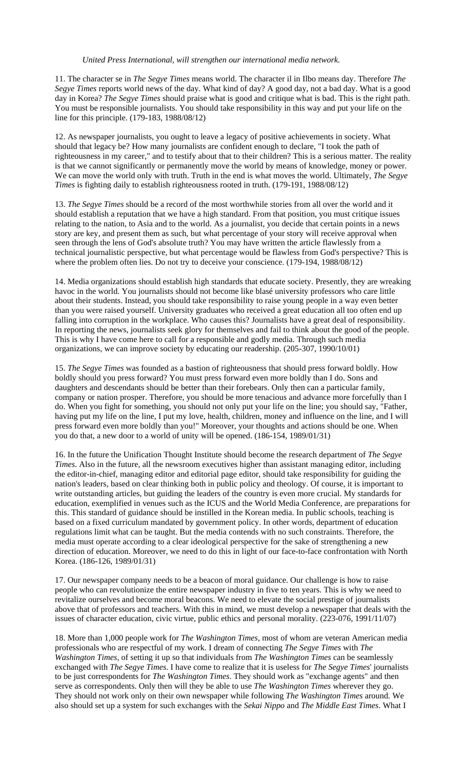### *United Press International, will strengthen our international media network.*

11. The character se in *The Segye Times* means world. The character il in Ilbo means day. Therefore *The Segye Times* reports world news of the day. What kind of day? A good day, not a bad day. What is a good day in Korea? *The Segye Times* should praise what is good and critique what is bad. This is the right path. You must be responsible journalists. You should take responsibility in this way and put your life on the line for this principle. (179-183, 1988/08/12)

12. As newspaper journalists, you ought to leave a legacy of positive achievements in society. What should that legacy be? How many journalists are confident enough to declare, "I took the path of righteousness in my career," and to testify about that to their children? This is a serious matter. The reality is that we cannot significantly or permanently move the world by means of knowledge, money or power. We can move the world only with truth. Truth in the end is what moves the world. Ultimately, *The Segye Times* is fighting daily to establish righteousness rooted in truth. (179-191, 1988/08/12)

13. *The Segye Times* should be a record of the most worthwhile stories from all over the world and it should establish a reputation that we have a high standard. From that position, you must critique issues relating to the nation, to Asia and to the world. As a journalist, you decide that certain points in a news story are key, and present them as such, but what percentage of your story will receive approval when seen through the lens of God's absolute truth? You may have written the article flawlessly from a technical journalistic perspective, but what percentage would be flawless from God's perspective? This is where the problem often lies. Do not try to deceive your conscience. (179-194, 1988/08/12)

14. Media organizations should establish high standards that educate society. Presently, they are wreaking havoc in the world. You journalists should not become like blasé university professors who care little about their students. Instead, you should take responsibility to raise young people in a way even better than you were raised yourself. University graduates who received a great education all too often end up falling into corruption in the workplace. Who causes this? Journalists have a great deal of responsibility. In reporting the news, journalists seek glory for themselves and fail to think about the good of the people. This is why I have come here to call for a responsible and godly media. Through such media organizations, we can improve society by educating our readership. (205-307, 1990/10/01)

15. *The Segye Times* was founded as a bastion of righteousness that should press forward boldly. How boldly should you press forward? You must press forward even more boldly than I do. Sons and daughters and descendants should be better than their forebears. Only then can a particular family, company or nation prosper. Therefore, you should be more tenacious and advance more forcefully than I do. When you fight for something, you should not only put your life on the line; you should say, "Father, having put my life on the line, I put my love, health, children, money and influence on the line, and I will press forward even more boldly than you!" Moreover, your thoughts and actions should be one. When you do that, a new door to a world of unity will be opened. (186-154, 1989/01/31)

16. In the future the Unification Thought Institute should become the research department of *The Segye Times*. Also in the future, all the newsroom executives higher than assistant managing editor, including the editor-in-chief, managing editor and editorial page editor, should take responsibility for guiding the nation's leaders, based on clear thinking both in public policy and theology. Of course, it is important to write outstanding articles, but guiding the leaders of the country is even more crucial. My standards for education, exemplified in venues such as the ICUS and the World Media Conference, are preparations for this. This standard of guidance should be instilled in the Korean media. In public schools, teaching is based on a fixed curriculum mandated by government policy. In other words, department of education regulations limit what can be taught. But the media contends with no such constraints. Therefore, the media must operate according to a clear ideological perspective for the sake of strengthening a new direction of education. Moreover, we need to do this in light of our face-to-face confrontation with North Korea. (186-126, 1989/01/31)

17. Our newspaper company needs to be a beacon of moral guidance. Our challenge is how to raise people who can revolutionize the entire newspaper industry in five to ten years. This is why we need to revitalize ourselves and become moral beacons. We need to elevate the social prestige of journalists above that of professors and teachers. With this in mind, we must develop a newspaper that deals with the issues of character education, civic virtue, public ethics and personal morality. (223-076, 1991/11/07)

18. More than 1,000 people work for *The Washington Times*, most of whom are veteran American media professionals who are respectful of my work. I dream of connecting *The Segye Times* with *The Washington Times*, of setting it up so that individuals from *The Washington Times* can be seamlessly exchanged with *The Segye Times*. I have come to realize that it is useless for *The Segye Times*' journalists to be just correspondents for *The Washington Times*. They should work as "exchange agents" and then serve as correspondents. Only then will they be able to use *The Washington Times* wherever they go. They should not work only on their own newspaper while following *The Washington Times* around. We also should set up a system for such exchanges with the *Sekai Nippo* and *The Middle East Times*. What I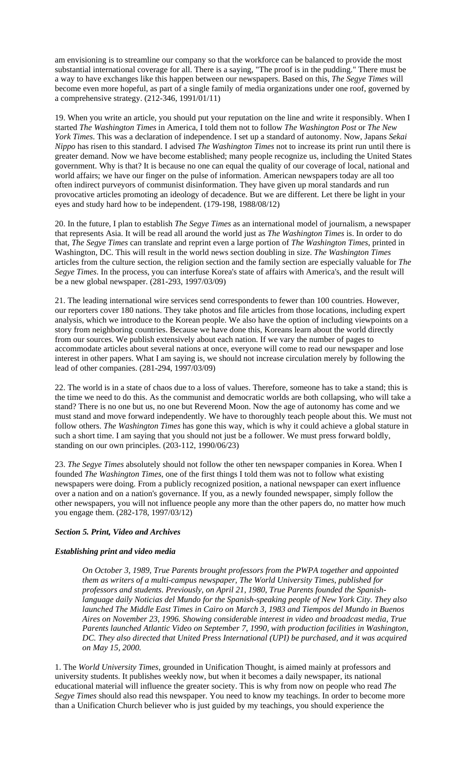am envisioning is to streamline our company so that the workforce can be balanced to provide the most substantial international coverage for all. There is a saying, "The proof is in the pudding." There must be a way to have exchanges like this happen between our newspapers. Based on this, *The Segye Times* will become even more hopeful, as part of a single family of media organizations under one roof, governed by a comprehensive strategy. (212-346, 1991/01/11)

19. When you write an article, you should put your reputation on the line and write it responsibly. When I started *The Washington Times* in America, I told them not to follow *The Washington Post* or *The New York Times*. This was a declaration of independence. I set up a standard of autonomy. Now, Japans *Sekai Nippo* has risen to this standard. I advised *The Washington Times* not to increase its print run until there is greater demand. Now we have become established; many people recognize us, including the United States government. Why is that? It is because no one can equal the quality of our coverage of local, national and world affairs; we have our finger on the pulse of information. American newspapers today are all too often indirect purveyors of communist disinformation. They have given up moral standards and run provocative articles promoting an ideology of decadence. But we are different. Let there be light in your eyes and study hard how to be independent. (179-198, 1988/08/12)

20. In the future, I plan to establish *The Segye Times* as an international model of journalism, a newspaper that represents Asia. It will be read all around the world just as *The Washington Times* is. In order to do that, *The Segye Times* can translate and reprint even a large portion of *The Washington Times*, printed in Washington, DC. This will result in the world news section doubling in size. *The Washington Times* articles from the culture section, the religion section and the family section are especially valuable for *The Segye Times*. In the process, you can interfuse Korea's state of affairs with America's, and the result will be a new global newspaper. (281-293, 1997/03/09)

21. The leading international wire services send correspondents to fewer than 100 countries. However, our reporters cover 180 nations. They take photos and file articles from those locations, including expert analysis, which we introduce to the Korean people. We also have the option of including viewpoints on a story from neighboring countries. Because we have done this, Koreans learn about the world directly from our sources. We publish extensively about each nation. If we vary the number of pages to accommodate articles about several nations at once, everyone will come to read our newspaper and lose interest in other papers. What I am saying is, we should not increase circulation merely by following the lead of other companies. (281-294, 1997/03/09)

22. The world is in a state of chaos due to a loss of values. Therefore, someone has to take a stand; this is the time we need to do this. As the communist and democratic worlds are both collapsing, who will take a stand? There is no one but us, no one but Reverend Moon. Now the age of autonomy has come and we must stand and move forward independently. We have to thoroughly teach people about this. We must not follow others. *The Washington Times* has gone this way, which is why it could achieve a global stature in such a short time. I am saying that you should not just be a follower. We must press forward boldly, standing on our own principles. (203-112, 1990/06/23)

23. *The Segye Times* absolutely should not follow the other ten newspaper companies in Korea. When I founded *The Washington Times*, one of the first things I told them was not to follow what existing newspapers were doing. From a publicly recognized position, a national newspaper can exert influence over a nation and on a nation's governance. If you, as a newly founded newspaper, simply follow the other newspapers, you will not influence people any more than the other papers do, no matter how much you engage them. (282-178, 1997/03/12)

# *Section 5. Print, Video and Archives*

# *Establishing print and video media*

*On October 3, 1989, True Parents brought professors from the PWPA together and appointed them as writers of a multi-campus newspaper, The World University Times, published for professors and students. Previously, on April 21, 1980, True Parents founded the Spanishlanguage daily Noticias del Mundo for the Spanish-speaking people of New York City. They also launched The Middle East Times in Cairo on March 3, 1983 and Tiempos del Mundo in Buenos Aires on November 23, 1996. Showing considerable interest in video and broadcast media, True Parents launched Atlantic Video on September 7, 1990, with production facilities in Washington, DC. They also directed that United Press International (UPI) be purchased, and it was acquired on May 15, 2000.*

1. The *World University Times*, grounded in Unification Thought, is aimed mainly at professors and university students. It publishes weekly now, but when it becomes a daily newspaper, its national educational material will influence the greater society. This is why from now on people who read *The Segye Times* should also read this newspaper. You need to know my teachings. In order to become more than a Unification Church believer who is just guided by my teachings, you should experience the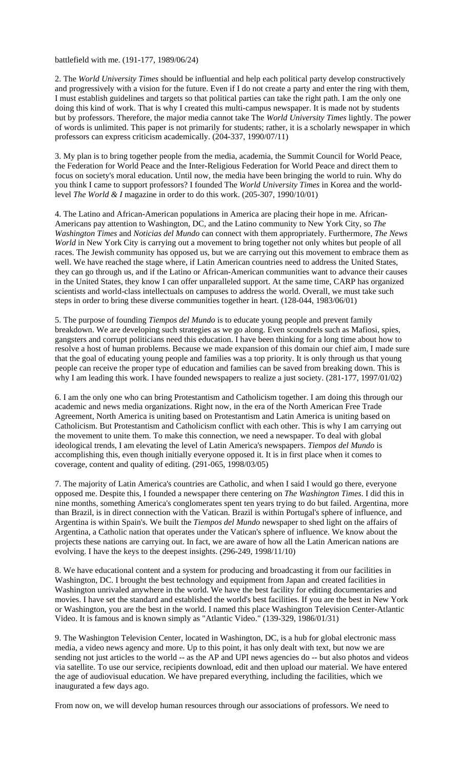battlefield with me. (191-177, 1989/06/24)

2. The *World University Times* should be influential and help each political party develop constructively and progressively with a vision for the future. Even if I do not create a party and enter the ring with them, I must establish guidelines and targets so that political parties can take the right path. I am the only one doing this kind of work. That is why I created this multi-campus newspaper. It is made not by students but by professors. Therefore, the major media cannot take The *World University Times* lightly. The power of words is unlimited. This paper is not primarily for students; rather, it is a scholarly newspaper in which professors can express criticism academically. (204-337, 1990/07/11)

3. My plan is to bring together people from the media, academia, the Summit Council for World Peace, the Federation for World Peace and the Inter-Religious Federation for World Peace and direct them to focus on society's moral education. Until now, the media have been bringing the world to ruin. Why do you think I came to support professors? I founded The *World University Times* in Korea and the worldlevel *The World & I* magazine in order to do this work. (205-307, 1990/10/01)

4. The Latino and African-American populations in America are placing their hope in me. African-Americans pay attention to Washington, DC, and the Latino community to New York City, so *The Washington Times* and *Noticias del Mundo* can connect with them appropriately. Furthermore, *The News World* in New York City is carrying out a movement to bring together not only whites but people of all races. The Jewish community has opposed us, but we are carrying out this movement to embrace them as well. We have reached the stage where, if Latin American countries need to address the United States, they can go through us, and if the Latino or African-American communities want to advance their causes in the United States, they know I can offer unparalleled support. At the same time, CARP has organized scientists and world-class intellectuals on campuses to address the world. Overall, we must take such steps in order to bring these diverse communities together in heart. (128-044, 1983/06/01)

5. The purpose of founding *Tiempos del Mundo* is to educate young people and prevent family breakdown. We are developing such strategies as we go along. Even scoundrels such as Mafiosi, spies, gangsters and corrupt politicians need this education. I have been thinking for a long time about how to resolve a host of human problems. Because we made expansion of this domain our chief aim, I made sure that the goal of educating young people and families was a top priority. It is only through us that young people can receive the proper type of education and families can be saved from breaking down. This is why I am leading this work. I have founded newspapers to realize a just society. (281-177, 1997/01/02)

6. I am the only one who can bring Protestantism and Catholicism together. I am doing this through our academic and news media organizations. Right now, in the era of the North American Free Trade Agreement, North America is uniting based on Protestantism and Latin America is uniting based on Catholicism. But Protestantism and Catholicism conflict with each other. This is why I am carrying out the movement to unite them. To make this connection, we need a newspaper. To deal with global ideological trends, I am elevating the level of Latin America's newspapers. *Tiempos del Mundo* is accomplishing this, even though initially everyone opposed it. It is in first place when it comes to coverage, content and quality of editing. (291-065, 1998/03/05)

7. The majority of Latin America's countries are Catholic, and when I said I would go there, everyone opposed me. Despite this, I founded a newspaper there centering on *The Washington Times*. I did this in nine months, something America's conglomerates spent ten years trying to do but failed. Argentina, more than Brazil, is in direct connection with the Vatican. Brazil is within Portugal's sphere of influence, and Argentina is within Spain's. We built the *Tiempos del Mundo* newspaper to shed light on the affairs of Argentina, a Catholic nation that operates under the Vatican's sphere of influence. We know about the projects these nations are carrying out. In fact, we are aware of how all the Latin American nations are evolving. I have the keys to the deepest insights. (296-249, 1998/11/10)

8. We have educational content and a system for producing and broadcasting it from our facilities in Washington, DC. I brought the best technology and equipment from Japan and created facilities in Washington unrivaled anywhere in the world. We have the best facility for editing documentaries and movies. I have set the standard and established the world's best facilities. If you are the best in New York or Washington, you are the best in the world. I named this place Washington Television Center-Atlantic Video. It is famous and is known simply as "Atlantic Video." (139-329, 1986/01/31)

9. The Washington Television Center, located in Washington, DC, is a hub for global electronic mass media, a video news agency and more. Up to this point, it has only dealt with text, but now we are sending not just articles to the world -- as the AP and UPI news agencies do -- but also photos and videos via satellite. To use our service, recipients download, edit and then upload our material. We have entered the age of audiovisual education. We have prepared everything, including the facilities, which we inaugurated a few days ago.

From now on, we will develop human resources through our associations of professors. We need to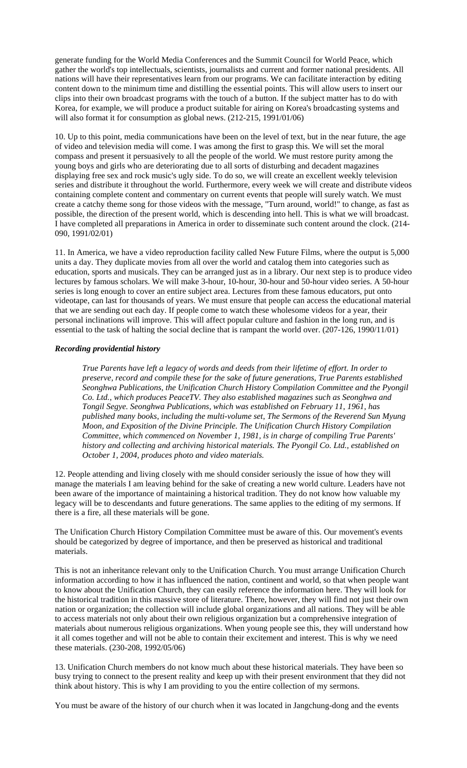generate funding for the World Media Conferences and the Summit Council for World Peace, which gather the world's top intellectuals, scientists, journalists and current and former national presidents. All nations will have their representatives learn from our programs. We can facilitate interaction by editing content down to the minimum time and distilling the essential points. This will allow users to insert our clips into their own broadcast programs with the touch of a button. If the subject matter has to do with Korea, for example, we will produce a product suitable for airing on Korea's broadcasting systems and will also format it for consumption as global news. (212-215, 1991/01/06)

10. Up to this point, media communications have been on the level of text, but in the near future, the age of video and television media will come. I was among the first to grasp this. We will set the moral compass and present it persuasively to all the people of the world. We must restore purity among the young boys and girls who are deteriorating due to all sorts of disturbing and decadent magazines displaying free sex and rock music's ugly side. To do so, we will create an excellent weekly television series and distribute it throughout the world. Furthermore, every week we will create and distribute videos containing complete content and commentary on current events that people will surely watch. We must create a catchy theme song for those videos with the message, "Turn around, world!" to change, as fast as possible, the direction of the present world, which is descending into hell. This is what we will broadcast. I have completed all preparations in America in order to disseminate such content around the clock. (214- 090, 1991/02/01)

11. In America, we have a video reproduction facility called New Future Films, where the output is 5,000 units a day. They duplicate movies from all over the world and catalog them into categories such as education, sports and musicals. They can be arranged just as in a library. Our next step is to produce video lectures by famous scholars. We will make 3-hour, 10-hour, 30-hour and 50-hour video series. A 50-hour series is long enough to cover an entire subject area. Lectures from these famous educators, put onto videotape, can last for thousands of years. We must ensure that people can access the educational material that we are sending out each day. If people come to watch these wholesome videos for a year, their personal inclinations will improve. This will affect popular culture and fashion in the long run, and is essential to the task of halting the social decline that is rampant the world over. (207-126, 1990/11/01)

# *Recording providential history*

*True Parents have left a legacy of words and deeds from their lifetime of effort. In order to preserve, record and compile these for the sake of future generations, True Parents established Seonghwa Publications, the Unification Church History Compilation Committee and the Pyongil Co. Ltd., which produces PeaceTV. They also established magazines such as Seonghwa and Tongil Segye. Seonghwa Publications, which was established on February 11, 1961, has published many books, including the multi-volume set, The Sermons of the Reverend Sun Myung Moon, and Exposition of the Divine Principle. The Unification Church History Compilation Committee, which commenced on November 1, 1981, is in charge of compiling True Parents' history and collecting and archiving historical materials. The Pyongil Co. Ltd., established on October 1, 2004, produces photo and video materials.* 

12. People attending and living closely with me should consider seriously the issue of how they will manage the materials I am leaving behind for the sake of creating a new world culture. Leaders have not been aware of the importance of maintaining a historical tradition. They do not know how valuable my legacy will be to descendants and future generations. The same applies to the editing of my sermons. If there is a fire, all these materials will be gone.

The Unification Church History Compilation Committee must be aware of this. Our movement's events should be categorized by degree of importance, and then be preserved as historical and traditional materials.

This is not an inheritance relevant only to the Unification Church. You must arrange Unification Church information according to how it has influenced the nation, continent and world, so that when people want to know about the Unification Church, they can easily reference the information here. They will look for the historical tradition in this massive store of literature. There, however, they will find not just their own nation or organization; the collection will include global organizations and all nations. They will be able to access materials not only about their own religious organization but a comprehensive integration of materials about numerous religious organizations. When young people see this, they will understand how it all comes together and will not be able to contain their excitement and interest. This is why we need these materials. (230-208, 1992/05/06)

13. Unification Church members do not know much about these historical materials. They have been so busy trying to connect to the present reality and keep up with their present environment that they did not think about history. This is why I am providing to you the entire collection of my sermons.

You must be aware of the history of our church when it was located in Jangchung-dong and the events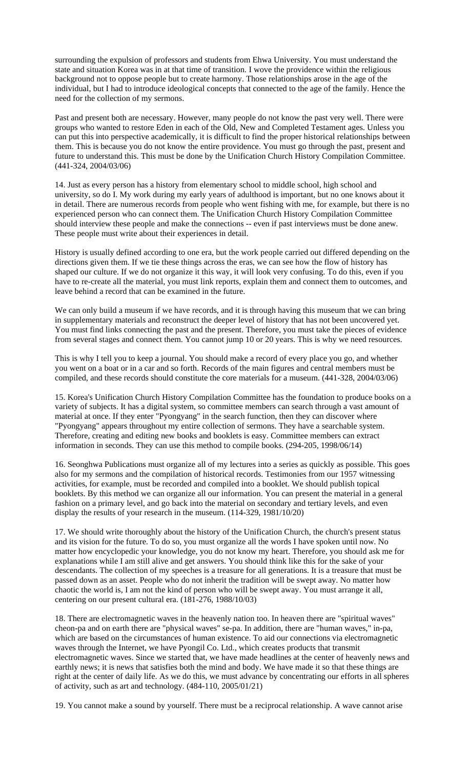surrounding the expulsion of professors and students from Ehwa University. You must understand the state and situation Korea was in at that time of transition. I wove the providence within the religious background not to oppose people but to create harmony. Those relationships arose in the age of the individual, but I had to introduce ideological concepts that connected to the age of the family. Hence the need for the collection of my sermons.

Past and present both are necessary. However, many people do not know the past very well. There were groups who wanted to restore Eden in each of the Old, New and Completed Testament ages. Unless you can put this into perspective academically, it is difficult to find the proper historical relationships between them. This is because you do not know the entire providence. You must go through the past, present and future to understand this. This must be done by the Unification Church History Compilation Committee. (441-324, 2004/03/06)

14. Just as every person has a history from elementary school to middle school, high school and university, so do I. My work during my early years of adulthood is important, but no one knows about it in detail. There are numerous records from people who went fishing with me, for example, but there is no experienced person who can connect them. The Unification Church History Compilation Committee should interview these people and make the connections -- even if past interviews must be done anew. These people must write about their experiences in detail.

History is usually defined according to one era, but the work people carried out differed depending on the directions given them. If we tie these things across the eras, we can see how the flow of history has shaped our culture. If we do not organize it this way, it will look very confusing. To do this, even if you have to re-create all the material, you must link reports, explain them and connect them to outcomes, and leave behind a record that can be examined in the future.

We can only build a museum if we have records, and it is through having this museum that we can bring in supplementary materials and reconstruct the deeper level of history that has not been uncovered yet. You must find links connecting the past and the present. Therefore, you must take the pieces of evidence from several stages and connect them. You cannot jump 10 or 20 years. This is why we need resources.

This is why I tell you to keep a journal. You should make a record of every place you go, and whether you went on a boat or in a car and so forth. Records of the main figures and central members must be compiled, and these records should constitute the core materials for a museum. (441-328, 2004/03/06)

15. Korea's Unification Church History Compilation Committee has the foundation to produce books on a variety of subjects. It has a digital system, so committee members can search through a vast amount of material at once. If they enter "Pyongyang" in the search function, then they can discover where "Pyongyang" appears throughout my entire collection of sermons. They have a searchable system. Therefore, creating and editing new books and booklets is easy. Committee members can extract information in seconds. They can use this method to compile books. (294-205, 1998/06/14)

16. Seonghwa Publications must organize all of my lectures into a series as quickly as possible. This goes also for my sermons and the compilation of historical records. Testimonies from our 1957 witnessing activities, for example, must be recorded and compiled into a booklet. We should publish topical booklets. By this method we can organize all our information. You can present the material in a general fashion on a primary level, and go back into the material on secondary and tertiary levels, and even display the results of your research in the museum. (114-329, 1981/10/20)

17. We should write thoroughly about the history of the Unification Church, the church's present status and its vision for the future. To do so, you must organize all the words I have spoken until now. No matter how encyclopedic your knowledge, you do not know my heart. Therefore, you should ask me for explanations while I am still alive and get answers. You should think like this for the sake of your descendants. The collection of my speeches is a treasure for all generations. It is a treasure that must be passed down as an asset. People who do not inherit the tradition will be swept away. No matter how chaotic the world is, I am not the kind of person who will be swept away. You must arrange it all, centering on our present cultural era. (181-276, 1988/10/03)

18. There are electromagnetic waves in the heavenly nation too. In heaven there are "spiritual waves" cheon-pa and on earth there are "physical waves" se-pa. In addition, there are "human waves," in-pa, which are based on the circumstances of human existence. To aid our connections via electromagnetic waves through the Internet, we have Pyongil Co. Ltd., which creates products that transmit electromagnetic waves. Since we started that, we have made headlines at the center of heavenly news and earthly news; it is news that satisfies both the mind and body. We have made it so that these things are right at the center of daily life. As we do this, we must advance by concentrating our efforts in all spheres of activity, such as art and technology. (484-110, 2005/01/21)

19. You cannot make a sound by yourself. There must be a reciprocal relationship. A wave cannot arise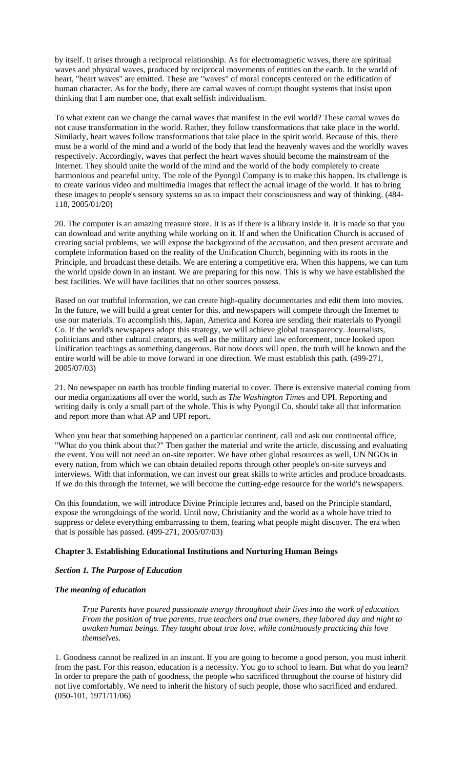by itself. It arises through a reciprocal relationship. As for electromagnetic waves, there are spiritual waves and physical waves, produced by reciprocal movements of entities on the earth. In the world of heart, "heart waves" are emitted. These are "waves" of moral concepts centered on the edification of human character. As for the body, there are carnal waves of corrupt thought systems that insist upon thinking that I am number one, that exalt selfish individualism.

To what extent can we change the carnal waves that manifest in the evil world? These carnal waves do not cause transformation in the world. Rather, they follow transformations that take place in the world. Similarly, heart waves follow transformations that take place in the spirit world. Because of this, there must be a world of the mind and a world of the body that lead the heavenly waves and the worldly waves respectively. Accordingly, waves that perfect the heart waves should become the mainstream of the Internet. They should unite the world of the mind and the world of the body completely to create harmonious and peaceful unity. The role of the Pyongil Company is to make this happen. Its challenge is to create various video and multimedia images that reflect the actual image of the world. It has to bring these images to people's sensory systems so as to impact their consciousness and way of thinking. (484- 118, 2005/01/20)

20. The computer is an amazing treasure store. It is as if there is a library inside it. It is made so that you can download and write anything while working on it. If and when the Unification Church is accused of creating social problems, we will expose the background of the accusation, and then present accurate and complete information based on the reality of the Unification Church, beginning with its roots in the Principle, and broadcast these details. We are entering a competitive era. When this happens, we can turn the world upside down in an instant. We are preparing for this now. This is why we have established the best facilities. We will have facilities that no other sources possess.

Based on our truthful information, we can create high-quality documentaries and edit them into movies. In the future, we will build a great center for this, and newspapers will compete through the Internet to use our materials. To accomplish this, Japan, America and Korea are sending their materials to Pyongil Co. If the world's newspapers adopt this strategy, we will achieve global transparency. Journalists, politicians and other cultural creators, as well as the military and law enforcement, once looked upon Unification teachings as something dangerous. But now doors will open, the truth will be known and the entire world will be able to move forward in one direction. We must establish this path. (499-271, 2005/07/03)

21. No newspaper on earth has trouble finding material to cover. There is extensive material coming from our media organizations all over the world, such as *The Washington Times* and UPI. Reporting and writing daily is only a small part of the whole. This is why Pyongil Co. should take all that information and report more than what AP and UPI report.

When you hear that something happened on a particular continent, call and ask our continental office, "What do you think about that?" Then gather the material and write the article, discussing and evaluating the event. You will not need an on-site reporter. We have other global resources as well, UN NGOs in every nation, from which we can obtain detailed reports through other people's on-site surveys and interviews. With that information, we can invest our great skills to write articles and produce broadcasts. If we do this through the Internet, we will become the cutting-edge resource for the world's newspapers.

On this foundation, we will introduce Divine Principle lectures and, based on the Principle standard, expose the wrongdoings of the world. Until now, Christianity and the world as a whole have tried to suppress or delete everything embarrassing to them, fearing what people might discover. The era when that is possible has passed. (499-271, 2005/07/03)

### **Chapter 3. Establishing Educational Institutions and Nurturing Human Beings**

#### *Section 1. The Purpose of Education*

### *The meaning of education*

*True Parents have poured passionate energy throughout their lives into the work of education. From the position of true parents, true teachers and true owners, they labored day and night to awaken human beings. They taught about true love, while continuously practicing this love themselves.* 

1. Goodness cannot be realized in an instant. If you are going to become a good person, you must inherit from the past. For this reason, education is a necessity. You go to school to learn. But what do you learn? In order to prepare the path of goodness, the people who sacrificed throughout the course of history did not live comfortably. We need to inherit the history of such people, those who sacrificed and endured. (050-101, 1971/11/06)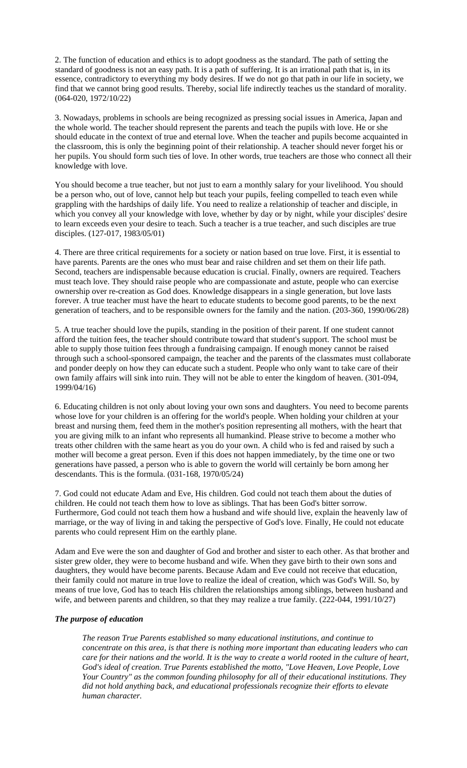2. The function of education and ethics is to adopt goodness as the standard. The path of setting the standard of goodness is not an easy path. It is a path of suffering. It is an irrational path that is, in its essence, contradictory to everything my body desires. If we do not go that path in our life in society, we find that we cannot bring good results. Thereby, social life indirectly teaches us the standard of morality. (064-020, 1972/10/22)

3. Nowadays, problems in schools are being recognized as pressing social issues in America, Japan and the whole world. The teacher should represent the parents and teach the pupils with love. He or she should educate in the context of true and eternal love. When the teacher and pupils become acquainted in the classroom, this is only the beginning point of their relationship. A teacher should never forget his or her pupils. You should form such ties of love. In other words, true teachers are those who connect all their knowledge with love.

You should become a true teacher, but not just to earn a monthly salary for your livelihood. You should be a person who, out of love, cannot help but teach your pupils, feeling compelled to teach even while grappling with the hardships of daily life. You need to realize a relationship of teacher and disciple, in which you convey all your knowledge with love, whether by day or by night, while your disciples' desire to learn exceeds even your desire to teach. Such a teacher is a true teacher, and such disciples are true disciples. (127-017, 1983/05/01)

4. There are three critical requirements for a society or nation based on true love. First, it is essential to have parents. Parents are the ones who must bear and raise children and set them on their life path. Second, teachers are indispensable because education is crucial. Finally, owners are required. Teachers must teach love. They should raise people who are compassionate and astute, people who can exercise ownership over re-creation as God does. Knowledge disappears in a single generation, but love lasts forever. A true teacher must have the heart to educate students to become good parents, to be the next generation of teachers, and to be responsible owners for the family and the nation. (203-360, 1990/06/28)

5. A true teacher should love the pupils, standing in the position of their parent. If one student cannot afford the tuition fees, the teacher should contribute toward that student's support. The school must be able to supply those tuition fees through a fundraising campaign. If enough money cannot be raised through such a school-sponsored campaign, the teacher and the parents of the classmates must collaborate and ponder deeply on how they can educate such a student. People who only want to take care of their own family affairs will sink into ruin. They will not be able to enter the kingdom of heaven. (301-094, 1999/04/16)

6. Educating children is not only about loving your own sons and daughters. You need to become parents whose love for your children is an offering for the world's people. When holding your children at your breast and nursing them, feed them in the mother's position representing all mothers, with the heart that you are giving milk to an infant who represents all humankind. Please strive to become a mother who treats other children with the same heart as you do your own. A child who is fed and raised by such a mother will become a great person. Even if this does not happen immediately, by the time one or two generations have passed, a person who is able to govern the world will certainly be born among her descendants. This is the formula. (031-168, 1970/05/24)

7. God could not educate Adam and Eve, His children. God could not teach them about the duties of children. He could not teach them how to love as siblings. That has been God's bitter sorrow. Furthermore, God could not teach them how a husband and wife should live, explain the heavenly law of marriage, or the way of living in and taking the perspective of God's love. Finally, He could not educate parents who could represent Him on the earthly plane.

Adam and Eve were the son and daughter of God and brother and sister to each other. As that brother and sister grew older, they were to become husband and wife. When they gave birth to their own sons and daughters, they would have become parents. Because Adam and Eve could not receive that education, their family could not mature in true love to realize the ideal of creation, which was God's Will. So, by means of true love, God has to teach His children the relationships among siblings, between husband and wife, and between parents and children, so that they may realize a true family. (222-044, 1991/10/27)

#### *The purpose of education*

*The reason True Parents established so many educational institutions, and continue to concentrate on this area, is that there is nothing more important than educating leaders who can care for their nations and the world. It is the way to create a world rooted in the culture of heart, God's ideal of creation. True Parents established the motto, "Love Heaven, Love People, Love Your Country" as the common founding philosophy for all of their educational institutions. They did not hold anything back, and educational professionals recognize their efforts to elevate human character.*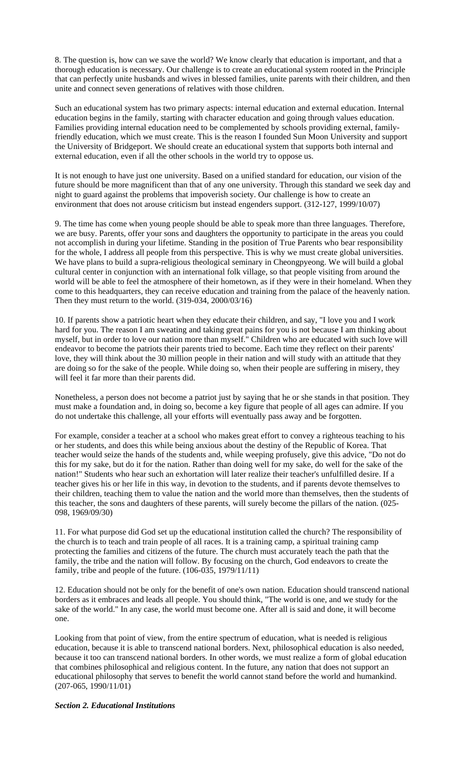8. The question is, how can we save the world? We know clearly that education is important, and that a thorough education is necessary. Our challenge is to create an educational system rooted in the Principle that can perfectly unite husbands and wives in blessed families, unite parents with their children, and then unite and connect seven generations of relatives with those children.

Such an educational system has two primary aspects: internal education and external education. Internal education begins in the family, starting with character education and going through values education. Families providing internal education need to be complemented by schools providing external, familyfriendly education, which we must create. This is the reason I founded Sun Moon University and support the University of Bridgeport. We should create an educational system that supports both internal and external education, even if all the other schools in the world try to oppose us.

It is not enough to have just one university. Based on a unified standard for education, our vision of the future should be more magnificent than that of any one university. Through this standard we seek day and night to guard against the problems that impoverish society. Our challenge is how to create an environment that does not arouse criticism but instead engenders support. (312-127, 1999/10/07)

9. The time has come when young people should be able to speak more than three languages. Therefore, we are busy. Parents, offer your sons and daughters the opportunity to participate in the areas you could not accomplish in during your lifetime. Standing in the position of True Parents who bear responsibility for the whole, I address all people from this perspective. This is why we must create global universities. We have plans to build a supra-religious theological seminary in Cheongpyeong. We will build a global cultural center in conjunction with an international folk village, so that people visiting from around the world will be able to feel the atmosphere of their hometown, as if they were in their homeland. When they come to this headquarters, they can receive education and training from the palace of the heavenly nation. Then they must return to the world. (319-034, 2000/03/16)

10. If parents show a patriotic heart when they educate their children, and say, "I love you and I work hard for you. The reason I am sweating and taking great pains for you is not because I am thinking about myself, but in order to love our nation more than myself." Children who are educated with such love will endeavor to become the patriots their parents tried to become. Each time they reflect on their parents' love, they will think about the 30 million people in their nation and will study with an attitude that they are doing so for the sake of the people. While doing so, when their people are suffering in misery, they will feel it far more than their parents did.

Nonetheless, a person does not become a patriot just by saying that he or she stands in that position. They must make a foundation and, in doing so, become a key figure that people of all ages can admire. If you do not undertake this challenge, all your efforts will eventually pass away and be forgotten.

For example, consider a teacher at a school who makes great effort to convey a righteous teaching to his or her students, and does this while being anxious about the destiny of the Republic of Korea. That teacher would seize the hands of the students and, while weeping profusely, give this advice, "Do not do this for my sake, but do it for the nation. Rather than doing well for my sake, do well for the sake of the nation!" Students who hear such an exhortation will later realize their teacher's unfulfilled desire. If a teacher gives his or her life in this way, in devotion to the students, and if parents devote themselves to their children, teaching them to value the nation and the world more than themselves, then the students of this teacher, the sons and daughters of these parents, will surely become the pillars of the nation. (025- 098, 1969/09/30)

11. For what purpose did God set up the educational institution called the church? The responsibility of the church is to teach and train people of all races. It is a training camp, a spiritual training camp protecting the families and citizens of the future. The church must accurately teach the path that the family, the tribe and the nation will follow. By focusing on the church, God endeavors to create the family, tribe and people of the future. (106-035, 1979/11/11)

12. Education should not be only for the benefit of one's own nation. Education should transcend national borders as it embraces and leads all people. You should think, "The world is one, and we study for the sake of the world." In any case, the world must become one. After all is said and done, it will become one.

Looking from that point of view, from the entire spectrum of education, what is needed is religious education, because it is able to transcend national borders. Next, philosophical education is also needed, because it too can transcend national borders. In other words, we must realize a form of global education that combines philosophical and religious content. In the future, any nation that does not support an educational philosophy that serves to benefit the world cannot stand before the world and humankind. (207-065, 1990/11/01)

# *Section 2. Educational Institutions*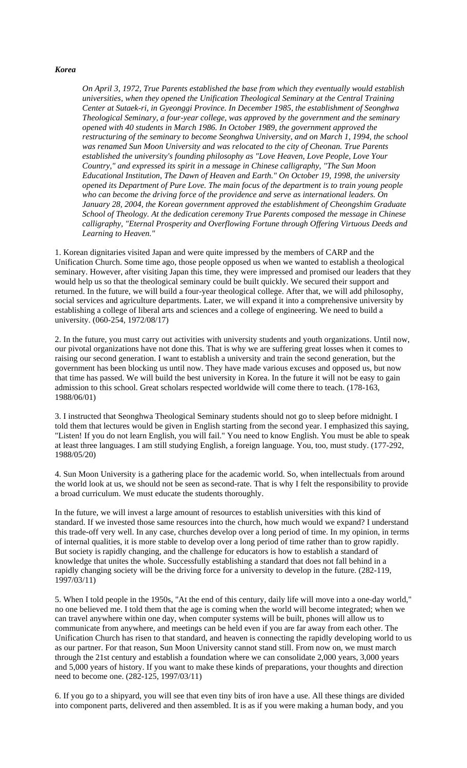### *Korea*

*On April 3, 1972, True Parents established the base from which they eventually would establish universities, when they opened the Unification Theological Seminary at the Central Training Center at Sutaek-ri, in Gyeonggi Province. In December 1985, the establishment of Seonghwa Theological Seminary, a four-year college, was approved by the government and the seminary opened with 40 students in March 1986. In October 1989, the government approved the restructuring of the seminary to become Seonghwa University, and on March 1, 1994, the school was renamed Sun Moon University and was relocated to the city of Cheonan. True Parents established the university's founding philosophy as "Love Heaven, Love People, Love Your Country," and expressed its spirit in a message in Chinese calligraphy, "The Sun Moon Educational Institution, The Dawn of Heaven and Earth." On October 19, 1998, the university opened its Department of Pure Love. The main focus of the department is to train young people who can become the driving force of the providence and serve as international leaders. On January 28, 2004, the Korean government approved the establishment of Cheongshim Graduate School of Theology. At the dedication ceremony True Parents composed the message in Chinese calligraphy, "Eternal Prosperity and Overflowing Fortune through Offering Virtuous Deeds and Learning to Heaven."* 

1. Korean dignitaries visited Japan and were quite impressed by the members of CARP and the Unification Church. Some time ago, those people opposed us when we wanted to establish a theological seminary. However, after visiting Japan this time, they were impressed and promised our leaders that they would help us so that the theological seminary could be built quickly. We secured their support and returned. In the future, we will build a four-year theological college. After that, we will add philosophy, social services and agriculture departments. Later, we will expand it into a comprehensive university by establishing a college of liberal arts and sciences and a college of engineering. We need to build a university. (060-254, 1972/08/17)

2. In the future, you must carry out activities with university students and youth organizations. Until now, our pivotal organizations have not done this. That is why we are suffering great losses when it comes to raising our second generation. I want to establish a university and train the second generation, but the government has been blocking us until now. They have made various excuses and opposed us, but now that time has passed. We will build the best university in Korea. In the future it will not be easy to gain admission to this school. Great scholars respected worldwide will come there to teach. (178-163, 1988/06/01)

3. I instructed that Seonghwa Theological Seminary students should not go to sleep before midnight. I told them that lectures would be given in English starting from the second year. I emphasized this saying, "Listen! If you do not learn English, you will fail." You need to know English. You must be able to speak at least three languages. I am still studying English, a foreign language. You, too, must study. (177-292, 1988/05/20)

4. Sun Moon University is a gathering place for the academic world. So, when intellectuals from around the world look at us, we should not be seen as second-rate. That is why I felt the responsibility to provide a broad curriculum. We must educate the students thoroughly.

In the future, we will invest a large amount of resources to establish universities with this kind of standard. If we invested those same resources into the church, how much would we expand? I understand this trade-off very well. In any case, churches develop over a long period of time. In my opinion, in terms of internal qualities, it is more stable to develop over a long period of time rather than to grow rapidly. But society is rapidly changing, and the challenge for educators is how to establish a standard of knowledge that unites the whole. Successfully establishing a standard that does not fall behind in a rapidly changing society will be the driving force for a university to develop in the future. (282-119, 1997/03/11)

5. When I told people in the 1950s, "At the end of this century, daily life will move into a one-day world," no one believed me. I told them that the age is coming when the world will become integrated; when we can travel anywhere within one day, when computer systems will be built, phones will allow us to communicate from anywhere, and meetings can be held even if you are far away from each other. The Unification Church has risen to that standard, and heaven is connecting the rapidly developing world to us as our partner. For that reason, Sun Moon University cannot stand still. From now on, we must march through the 21st century and establish a foundation where we can consolidate 2,000 years, 3,000 years and 5,000 years of history. If you want to make these kinds of preparations, your thoughts and direction need to become one. (282-125, 1997/03/11)

6. If you go to a shipyard, you will see that even tiny bits of iron have a use. All these things are divided into component parts, delivered and then assembled. It is as if you were making a human body, and you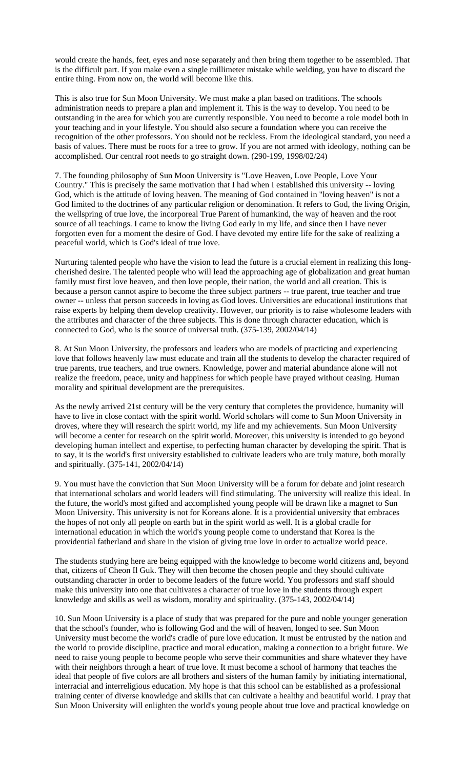would create the hands, feet, eyes and nose separately and then bring them together to be assembled. That is the difficult part. If you make even a single millimeter mistake while welding, you have to discard the entire thing. From now on, the world will become like this.

This is also true for Sun Moon University. We must make a plan based on traditions. The schools administration needs to prepare a plan and implement it. This is the way to develop. You need to be outstanding in the area for which you are currently responsible. You need to become a role model both in your teaching and in your lifestyle. You should also secure a foundation where you can receive the recognition of the other professors. You should not be reckless. From the ideological standard, you need a basis of values. There must be roots for a tree to grow. If you are not armed with ideology, nothing can be accomplished. Our central root needs to go straight down. (290-199, 1998/02/24)

7. The founding philosophy of Sun Moon University is "Love Heaven, Love People, Love Your Country." This is precisely the same motivation that I had when I established this university -- loving God, which is the attitude of loving heaven. The meaning of God contained in "loving heaven" is not a God limited to the doctrines of any particular religion or denomination. It refers to God, the living Origin, the wellspring of true love, the incorporeal True Parent of humankind, the way of heaven and the root source of all teachings. I came to know the living God early in my life, and since then I have never forgotten even for a moment the desire of God. I have devoted my entire life for the sake of realizing a peaceful world, which is God's ideal of true love.

Nurturing talented people who have the vision to lead the future is a crucial element in realizing this longcherished desire. The talented people who will lead the approaching age of globalization and great human family must first love heaven, and then love people, their nation, the world and all creation. This is because a person cannot aspire to become the three subject partners -- true parent, true teacher and true owner -- unless that person succeeds in loving as God loves. Universities are educational institutions that raise experts by helping them develop creativity. However, our priority is to raise wholesome leaders with the attributes and character of the three subjects. This is done through character education, which is connected to God, who is the source of universal truth. (375-139, 2002/04/14)

8. At Sun Moon University, the professors and leaders who are models of practicing and experiencing love that follows heavenly law must educate and train all the students to develop the character required of true parents, true teachers, and true owners. Knowledge, power and material abundance alone will not realize the freedom, peace, unity and happiness for which people have prayed without ceasing. Human morality and spiritual development are the prerequisites.

As the newly arrived 21st century will be the very century that completes the providence, humanity will have to live in close contact with the spirit world. World scholars will come to Sun Moon University in droves, where they will research the spirit world, my life and my achievements. Sun Moon University will become a center for research on the spirit world. Moreover, this university is intended to go beyond developing human intellect and expertise, to perfecting human character by developing the spirit. That is to say, it is the world's first university established to cultivate leaders who are truly mature, both morally and spiritually. (375-141, 2002/04/14)

9. You must have the conviction that Sun Moon University will be a forum for debate and joint research that international scholars and world leaders will find stimulating. The university will realize this ideal. In the future, the world's most gifted and accomplished young people will be drawn like a magnet to Sun Moon University. This university is not for Koreans alone. It is a providential university that embraces the hopes of not only all people on earth but in the spirit world as well. It is a global cradle for international education in which the world's young people come to understand that Korea is the providential fatherland and share in the vision of giving true love in order to actualize world peace.

The students studying here are being equipped with the knowledge to become world citizens and, beyond that, citizens of Cheon Il Guk. They will then become the chosen people and they should cultivate outstanding character in order to become leaders of the future world. You professors and staff should make this university into one that cultivates a character of true love in the students through expert knowledge and skills as well as wisdom, morality and spirituality. (375-143, 2002/04/14)

10. Sun Moon University is a place of study that was prepared for the pure and noble younger generation that the school's founder, who is following God and the will of heaven, longed to see. Sun Moon University must become the world's cradle of pure love education. It must be entrusted by the nation and the world to provide discipline, practice and moral education, making a connection to a bright future. We need to raise young people to become people who serve their communities and share whatever they have with their neighbors through a heart of true love. It must become a school of harmony that teaches the ideal that people of five colors are all brothers and sisters of the human family by initiating international, interracial and interreligious education. My hope is that this school can be established as a professional training center of diverse knowledge and skills that can cultivate a healthy and beautiful world. I pray that Sun Moon University will enlighten the world's young people about true love and practical knowledge on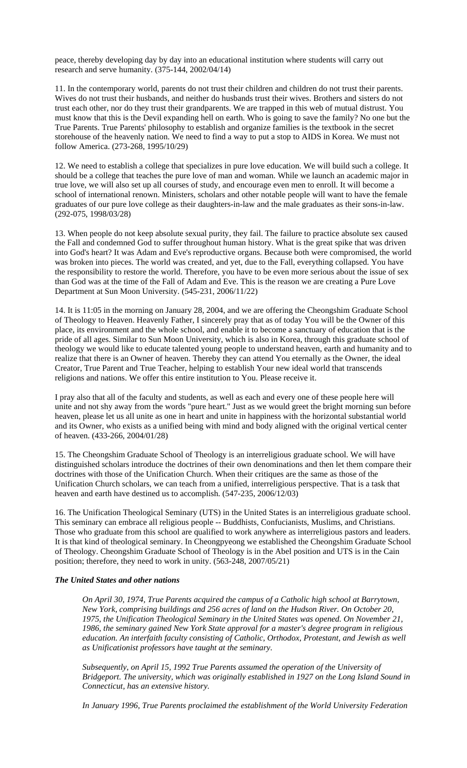peace, thereby developing day by day into an educational institution where students will carry out research and serve humanity. (375-144, 2002/04/14)

11. In the contemporary world, parents do not trust their children and children do not trust their parents. Wives do not trust their husbands, and neither do husbands trust their wives. Brothers and sisters do not trust each other, nor do they trust their grandparents. We are trapped in this web of mutual distrust. You must know that this is the Devil expanding hell on earth. Who is going to save the family? No one but the True Parents. True Parents' philosophy to establish and organize families is the textbook in the secret storehouse of the heavenly nation. We need to find a way to put a stop to AIDS in Korea. We must not follow America. (273-268, 1995/10/29)

12. We need to establish a college that specializes in pure love education. We will build such a college. It should be a college that teaches the pure love of man and woman. While we launch an academic major in true love, we will also set up all courses of study, and encourage even men to enroll. It will become a school of international renown. Ministers, scholars and other notable people will want to have the female graduates of our pure love college as their daughters-in-law and the male graduates as their sons-in-law. (292-075, 1998/03/28)

13. When people do not keep absolute sexual purity, they fail. The failure to practice absolute sex caused the Fall and condemned God to suffer throughout human history. What is the great spike that was driven into God's heart? It was Adam and Eve's reproductive organs. Because both were compromised, the world was broken into pieces. The world was created, and yet, due to the Fall, everything collapsed. You have the responsibility to restore the world. Therefore, you have to be even more serious about the issue of sex than God was at the time of the Fall of Adam and Eve. This is the reason we are creating a Pure Love Department at Sun Moon University. (545-231, 2006/11/22)

14. It is 11:05 in the morning on January 28, 2004, and we are offering the Cheongshim Graduate School of Theology to Heaven. Heavenly Father, I sincerely pray that as of today You will be the Owner of this place, its environment and the whole school, and enable it to become a sanctuary of education that is the pride of all ages. Similar to Sun Moon University, which is also in Korea, through this graduate school of theology we would like to educate talented young people to understand heaven, earth and humanity and to realize that there is an Owner of heaven. Thereby they can attend You eternally as the Owner, the ideal Creator, True Parent and True Teacher, helping to establish Your new ideal world that transcends religions and nations. We offer this entire institution to You. Please receive it.

I pray also that all of the faculty and students, as well as each and every one of these people here will unite and not shy away from the words "pure heart." Just as we would greet the bright morning sun before heaven, please let us all unite as one in heart and unite in happiness with the horizontal substantial world and its Owner, who exists as a unified being with mind and body aligned with the original vertical center of heaven. (433-266, 2004/01/28)

15. The Cheongshim Graduate School of Theology is an interreligious graduate school. We will have distinguished scholars introduce the doctrines of their own denominations and then let them compare their doctrines with those of the Unification Church. When their critiques are the same as those of the Unification Church scholars, we can teach from a unified, interreligious perspective. That is a task that heaven and earth have destined us to accomplish. (547-235, 2006/12/03)

16. The Unification Theological Seminary (UTS) in the United States is an interreligious graduate school. This seminary can embrace all religious people -- Buddhists, Confucianists, Muslims, and Christians. Those who graduate from this school are qualified to work anywhere as interreligious pastors and leaders. It is that kind of theological seminary. In Cheongpyeong we established the Cheongshim Graduate School of Theology. Cheongshim Graduate School of Theology is in the Abel position and UTS is in the Cain position; therefore, they need to work in unity. (563-248, 2007/05/21)

### *The United States and other nations*

*On April 30, 1974, True Parents acquired the campus of a Catholic high school at Barrytown, New York, comprising buildings and 256 acres of land on the Hudson River. On October 20, 1975, the Unification Theological Seminary in the United States was opened. On November 21, 1986, the seminary gained New York State approval for a master's degree program in religious education. An interfaith faculty consisting of Catholic, Orthodox, Protestant, and Jewish as well as Unificationist professors have taught at the seminary.* 

*Subsequently, on April 15, 1992 True Parents assumed the operation of the University of Bridgeport. The university, which was originally established in 1927 on the Long Island Sound in Connecticut, has an extensive history.* 

*In January 1996, True Parents proclaimed the establishment of the World University Federation*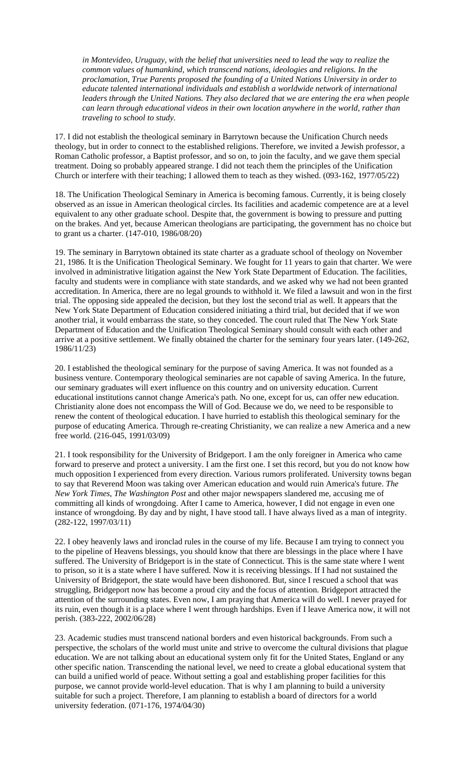*in Montevideo, Uruguay, with the belief that universities need to lead the way to realize the common values of humankind, which transcend nations, ideologies and religions. In the proclamation, True Parents proposed the founding of a United Nations University in order to educate talented international individuals and establish a worldwide network of international leaders through the United Nations. They also declared that we are entering the era when people can learn through educational videos in their own location anywhere in the world, rather than traveling to school to study.*

17. I did not establish the theological seminary in Barrytown because the Unification Church needs theology, but in order to connect to the established religions. Therefore, we invited a Jewish professor, a Roman Catholic professor, a Baptist professor, and so on, to join the faculty, and we gave them special treatment. Doing so probably appeared strange. I did not teach them the principles of the Unification Church or interfere with their teaching; I allowed them to teach as they wished. (093-162, 1977/05/22)

18. The Unification Theological Seminary in America is becoming famous. Currently, it is being closely observed as an issue in American theological circles. Its facilities and academic competence are at a level equivalent to any other graduate school. Despite that, the government is bowing to pressure and putting on the brakes. And yet, because American theologians are participating, the government has no choice but to grant us a charter. (147-010, 1986/08/20)

19. The seminary in Barrytown obtained its state charter as a graduate school of theology on November 21, 1986. It is the Unification Theological Seminary. We fought for 11 years to gain that charter. We were involved in administrative litigation against the New York State Department of Education. The facilities, faculty and students were in compliance with state standards, and we asked why we had not been granted accreditation. In America, there are no legal grounds to withhold it. We filed a lawsuit and won in the first trial. The opposing side appealed the decision, but they lost the second trial as well. It appears that the New York State Department of Education considered initiating a third trial, but decided that if we won another trial, it would embarrass the state, so they conceded. The court ruled that The New York State Department of Education and the Unification Theological Seminary should consult with each other and arrive at a positive settlement. We finally obtained the charter for the seminary four years later. (149-262, 1986/11/23)

20. I established the theological seminary for the purpose of saving America. It was not founded as a business venture. Contemporary theological seminaries are not capable of saving America. In the future, our seminary graduates will exert influence on this country and on university education. Current educational institutions cannot change America's path. No one, except for us, can offer new education. Christianity alone does not encompass the Will of God. Because we do, we need to be responsible to renew the content of theological education. I have hurried to establish this theological seminary for the purpose of educating America. Through re-creating Christianity, we can realize a new America and a new free world. (216-045, 1991/03/09)

21. I took responsibility for the University of Bridgeport. I am the only foreigner in America who came forward to preserve and protect a university. I am the first one. I set this record, but you do not know how much opposition I experienced from every direction. Various rumors proliferated. University towns began to say that Reverend Moon was taking over American education and would ruin America's future. *The New York Times*, *The Washington Post* and other major newspapers slandered me, accusing me of committing all kinds of wrongdoing. After I came to America, however, I did not engage in even one instance of wrongdoing. By day and by night, I have stood tall. I have always lived as a man of integrity. (282-122, 1997/03/11)

22. I obey heavenly laws and ironclad rules in the course of my life. Because I am trying to connect you to the pipeline of Heavens blessings, you should know that there are blessings in the place where I have suffered. The University of Bridgeport is in the state of Connecticut. This is the same state where I went to prison, so it is a state where I have suffered. Now it is receiving blessings. If I had not sustained the University of Bridgeport, the state would have been dishonored. But, since I rescued a school that was struggling, Bridgeport now has become a proud city and the focus of attention. Bridgeport attracted the attention of the surrounding states. Even now, I am praying that America will do well. I never prayed for its ruin, even though it is a place where I went through hardships. Even if I leave America now, it will not perish. (383-222, 2002/06/28)

23. Academic studies must transcend national borders and even historical backgrounds. From such a perspective, the scholars of the world must unite and strive to overcome the cultural divisions that plague education. We are not talking about an educational system only fit for the United States, England or any other specific nation. Transcending the national level, we need to create a global educational system that can build a unified world of peace. Without setting a goal and establishing proper facilities for this purpose, we cannot provide world-level education. That is why I am planning to build a university suitable for such a project. Therefore, I am planning to establish a board of directors for a world university federation. (071-176, 1974/04/30)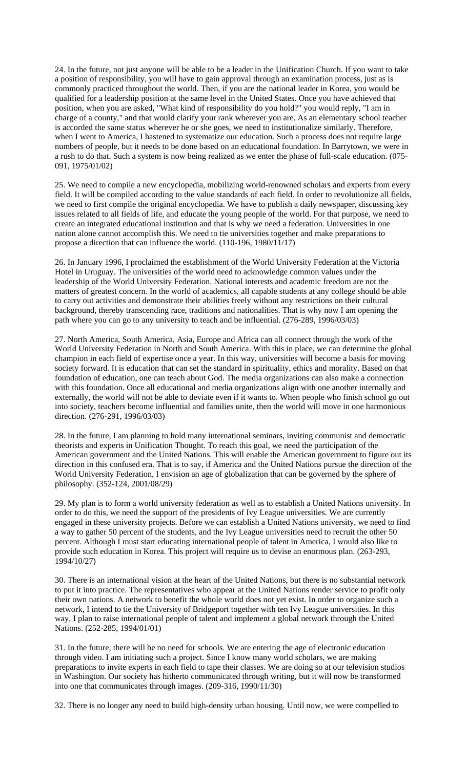24. In the future, not just anyone will be able to be a leader in the Unification Church. If you want to take a position of responsibility, you will have to gain approval through an examination process, just as is commonly practiced throughout the world. Then, if you are the national leader in Korea, you would be qualified for a leadership position at the same level in the United States. Once you have achieved that position, when you are asked, "What kind of responsibility do you hold?" you would reply, "I am in charge of a county," and that would clarify your rank wherever you are. As an elementary school teacher is accorded the same status wherever he or she goes, we need to institutionalize similarly. Therefore, when I went to America, I hastened to systematize our education. Such a process does not require large numbers of people, but it needs to be done based on an educational foundation. In Barrytown, we were in a rush to do that. Such a system is now being realized as we enter the phase of full-scale education. (075- 091, 1975/01/02)

25. We need to compile a new encyclopedia, mobilizing world-renowned scholars and experts from every field. It will be compiled according to the value standards of each field. In order to revolutionize all fields, we need to first compile the original encyclopedia. We have to publish a daily newspaper, discussing key issues related to all fields of life, and educate the young people of the world. For that purpose, we need to create an integrated educational institution and that is why we need a federation. Universities in one nation alone cannot accomplish this. We need to tie universities together and make preparations to propose a direction that can influence the world. (110-196, 1980/11/17)

26. In January 1996, I proclaimed the establishment of the World University Federation at the Victoria Hotel in Uruguay. The universities of the world need to acknowledge common values under the leadership of the World University Federation. National interests and academic freedom are not the matters of greatest concern. In the world of academics, all capable students at any college should be able to carry out activities and demonstrate their abilities freely without any restrictions on their cultural background, thereby transcending race, traditions and nationalities. That is why now I am opening the path where you can go to any university to teach and be influential. (276-289, 1996/03/03)

27. North America, South America, Asia, Europe and Africa can all connect through the work of the World University Federation in North and South America. With this in place, we can determine the global champion in each field of expertise once a year. In this way, universities will become a basis for moving society forward. It is education that can set the standard in spirituality, ethics and morality. Based on that foundation of education, one can teach about God. The media organizations can also make a connection with this foundation. Once all educational and media organizations align with one another internally and externally, the world will not be able to deviate even if it wants to. When people who finish school go out into society, teachers become influential and families unite, then the world will move in one harmonious direction. (276-291, 1996/03/03)

28. In the future, I am planning to hold many international seminars, inviting communist and democratic theorists and experts in Unification Thought. To reach this goal, we need the participation of the American government and the United Nations. This will enable the American government to figure out its direction in this confused era. That is to say, if America and the United Nations pursue the direction of the World University Federation, I envision an age of globalization that can be governed by the sphere of philosophy. (352-124, 2001/08/29)

29. My plan is to form a world university federation as well as to establish a United Nations university. In order to do this, we need the support of the presidents of Ivy League universities. We are currently engaged in these university projects. Before we can establish a United Nations university, we need to find a way to gather 50 percent of the students, and the Ivy League universities need to recruit the other 50 percent. Although I must start educating international people of talent in America, I would also like to provide such education in Korea. This project will require us to devise an enormous plan. (263-293, 1994/10/27)

30. There is an international vision at the heart of the United Nations, but there is no substantial network to put it into practice. The representatives who appear at the United Nations render service to profit only their own nations. A network to benefit the whole world does not yet exist. In order to organize such a network, I intend to tie the University of Bridgeport together with ten Ivy League universities. In this way, I plan to raise international people of talent and implement a global network through the United Nations. (252-285, 1994/01/01)

31. In the future, there will be no need for schools. We are entering the age of electronic education through video. I am initiating such a project. Since I know many world scholars, we are making preparations to invite experts in each field to tape their classes. We are doing so at our television studios in Washington. Our society has hitherto communicated through writing, but it will now be transformed into one that communicates through images. (209-316, 1990/11/30)

32. There is no longer any need to build high-density urban housing. Until now, we were compelled to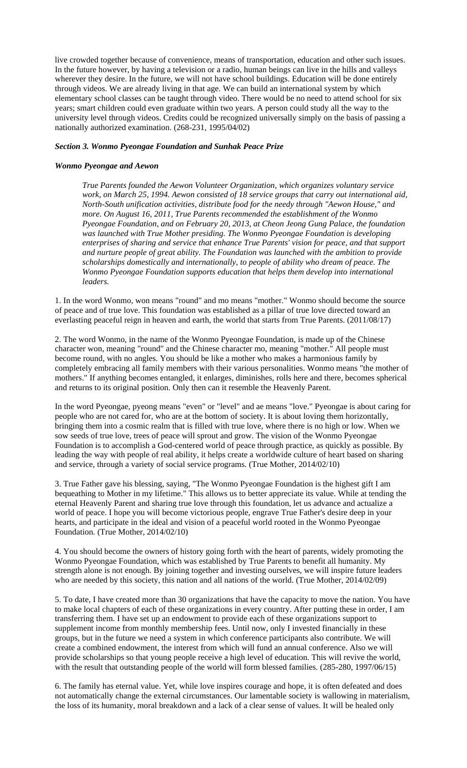live crowded together because of convenience, means of transportation, education and other such issues. In the future however, by having a television or a radio, human beings can live in the hills and valleys wherever they desire. In the future, we will not have school buildings. Education will be done entirely through videos. We are already living in that age. We can build an international system by which elementary school classes can be taught through video. There would be no need to attend school for six years; smart children could even graduate within two years. A person could study all the way to the university level through videos. Credits could be recognized universally simply on the basis of passing a nationally authorized examination. (268-231, 1995/04/02)

# *Section 3. Wonmo Pyeongae Foundation and Sunhak Peace Prize*

# *Wonmo Pyeongae and Aewon*

*True Parents founded the Aewon Volunteer Organization, which organizes voluntary service work, on March 25, 1994. Aewon consisted of 18 service groups that carry out international aid, North-South unification activities, distribute food for the needy through "Aewon House," and more. On August 16, 2011, True Parents recommended the establishment of the Wonmo Pyeongae Foundation, and on February 20, 2013, at Cheon Jeong Gung Palace, the foundation was launched with True Mother presiding. The Wonmo Pyeongae Foundation is developing enterprises of sharing and service that enhance True Parents' vision for peace, and that support and nurture people of great ability. The Foundation was launched with the ambition to provide scholarships domestically and internationally, to people of ability who dream of peace. The Wonmo Pyeongae Foundation supports education that helps them develop into international leaders.* 

1. In the word Wonmo, won means "round" and mo means "mother." Wonmo should become the source of peace and of true love. This foundation was established as a pillar of true love directed toward an everlasting peaceful reign in heaven and earth, the world that starts from True Parents. (2011/08/17)

2. The word Wonmo, in the name of the Wonmo Pyeongae Foundation, is made up of the Chinese character won, meaning "round" and the Chinese character mo, meaning "mother." All people must become round, with no angles. You should be like a mother who makes a harmonious family by completely embracing all family members with their various personalities. Wonmo means "the mother of mothers." If anything becomes entangled, it enlarges, diminishes, rolls here and there, becomes spherical and returns to its original position. Only then can it resemble the Heavenly Parent.

In the word Pyeongae, pyeong means "even" or "level" and ae means "love." Pyeongae is about caring for people who are not cared for, who are at the bottom of society. It is about loving them horizontally, bringing them into a cosmic realm that is filled with true love, where there is no high or low. When we sow seeds of true love, trees of peace will sprout and grow. The vision of the Wonmo Pyeongae Foundation is to accomplish a God-centered world of peace through practice, as quickly as possible. By leading the way with people of real ability, it helps create a worldwide culture of heart based on sharing and service, through a variety of social service programs. (True Mother, 2014/02/10)

3. True Father gave his blessing, saying, "The Wonmo Pyeongae Foundation is the highest gift I am bequeathing to Mother in my lifetime." This allows us to better appreciate its value. While at tending the eternal Heavenly Parent and sharing true love through this foundation, let us advance and actualize a world of peace. I hope you will become victorious people, engrave True Father's desire deep in your hearts, and participate in the ideal and vision of a peaceful world rooted in the Wonmo Pyeongae Foundation. (True Mother, 2014/02/10)

4. You should become the owners of history going forth with the heart of parents, widely promoting the Wonmo Pyeongae Foundation, which was established by True Parents to benefit all humanity. My strength alone is not enough. By joining together and investing ourselves, we will inspire future leaders who are needed by this society, this nation and all nations of the world. (True Mother, 2014/02/09)

5. To date, I have created more than 30 organizations that have the capacity to move the nation. You have to make local chapters of each of these organizations in every country. After putting these in order, I am transferring them. I have set up an endowment to provide each of these organizations support to supplement income from monthly membership fees. Until now, only I invested financially in these groups, but in the future we need a system in which conference participants also contribute. We will create a combined endowment, the interest from which will fund an annual conference. Also we will provide scholarships so that young people receive a high level of education. This will revive the world, with the result that outstanding people of the world will form blessed families. (285-280, 1997/06/15)

6. The family has eternal value. Yet, while love inspires courage and hope, it is often defeated and does not automatically change the external circumstances. Our lamentable society is wallowing in materialism, the loss of its humanity, moral breakdown and a lack of a clear sense of values. It will be healed only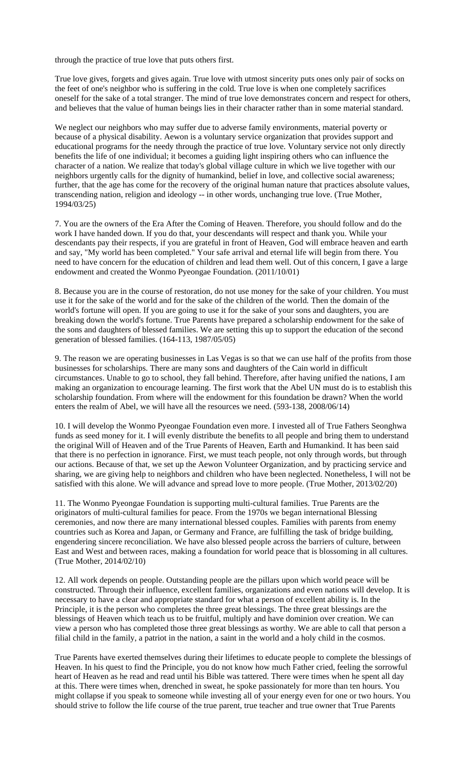through the practice of true love that puts others first.

True love gives, forgets and gives again. True love with utmost sincerity puts ones only pair of socks on the feet of one's neighbor who is suffering in the cold. True love is when one completely sacrifices oneself for the sake of a total stranger. The mind of true love demonstrates concern and respect for others, and believes that the value of human beings lies in their character rather than in some material standard.

We neglect our neighbors who may suffer due to adverse family environments, material poverty or because of a physical disability. Aewon is a voluntary service organization that provides support and educational programs for the needy through the practice of true love. Voluntary service not only directly benefits the life of one individual; it becomes a guiding light inspiring others who can influence the character of a nation. We realize that today's global village culture in which we live together with our neighbors urgently calls for the dignity of humankind, belief in love, and collective social awareness; further, that the age has come for the recovery of the original human nature that practices absolute values, transcending nation, religion and ideology -- in other words, unchanging true love. (True Mother, 1994/03/25)

7. You are the owners of the Era After the Coming of Heaven. Therefore, you should follow and do the work I have handed down. If you do that, your descendants will respect and thank you. While your descendants pay their respects, if you are grateful in front of Heaven, God will embrace heaven and earth and say, "My world has been completed." Your safe arrival and eternal life will begin from there. You need to have concern for the education of children and lead them well. Out of this concern, I gave a large endowment and created the Wonmo Pyeongae Foundation. (2011/10/01)

8. Because you are in the course of restoration, do not use money for the sake of your children. You must use it for the sake of the world and for the sake of the children of the world. Then the domain of the world's fortune will open. If you are going to use it for the sake of your sons and daughters, you are breaking down the world's fortune. True Parents have prepared a scholarship endowment for the sake of the sons and daughters of blessed families. We are setting this up to support the education of the second generation of blessed families. (164-113, 1987/05/05)

9. The reason we are operating businesses in Las Vegas is so that we can use half of the profits from those businesses for scholarships. There are many sons and daughters of the Cain world in difficult circumstances. Unable to go to school, they fall behind. Therefore, after having unified the nations, I am making an organization to encourage learning. The first work that the Abel UN must do is to establish this scholarship foundation. From where will the endowment for this foundation be drawn? When the world enters the realm of Abel, we will have all the resources we need. (593-138, 2008/06/14)

10. I will develop the Wonmo Pyeongae Foundation even more. I invested all of True Fathers Seonghwa funds as seed money for it. I will evenly distribute the benefits to all people and bring them to understand the original Will of Heaven and of the True Parents of Heaven, Earth and Humankind. It has been said that there is no perfection in ignorance. First, we must teach people, not only through words, but through our actions. Because of that, we set up the Aewon Volunteer Organization, and by practicing service and sharing, we are giving help to neighbors and children who have been neglected. Nonetheless, I will not be satisfied with this alone. We will advance and spread love to more people. (True Mother, 2013/02/20)

11. The Wonmo Pyeongae Foundation is supporting multi-cultural families. True Parents are the originators of multi-cultural families for peace. From the 1970s we began international Blessing ceremonies, and now there are many international blessed couples. Families with parents from enemy countries such as Korea and Japan, or Germany and France, are fulfilling the task of bridge building, engendering sincere reconciliation. We have also blessed people across the barriers of culture, between East and West and between races, making a foundation for world peace that is blossoming in all cultures. (True Mother, 2014/02/10)

12. All work depends on people. Outstanding people are the pillars upon which world peace will be constructed. Through their influence, excellent families, organizations and even nations will develop. It is necessary to have a clear and appropriate standard for what a person of excellent ability is. In the Principle, it is the person who completes the three great blessings. The three great blessings are the blessings of Heaven which teach us to be fruitful, multiply and have dominion over creation. We can view a person who has completed those three great blessings as worthy. We are able to call that person a filial child in the family, a patriot in the nation, a saint in the world and a holy child in the cosmos.

True Parents have exerted themselves during their lifetimes to educate people to complete the blessings of Heaven. In his quest to find the Principle, you do not know how much Father cried, feeling the sorrowful heart of Heaven as he read and read until his Bible was tattered. There were times when he spent all day at this. There were times when, drenched in sweat, he spoke passionately for more than ten hours. You might collapse if you speak to someone while investing all of your energy even for one or two hours. You should strive to follow the life course of the true parent, true teacher and true owner that True Parents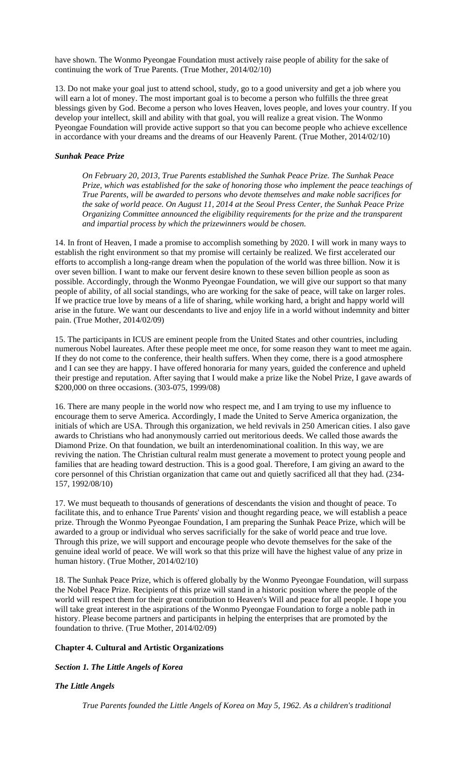have shown. The Wonmo Pyeongae Foundation must actively raise people of ability for the sake of continuing the work of True Parents. (True Mother, 2014/02/10)

13. Do not make your goal just to attend school, study, go to a good university and get a job where you will earn a lot of money. The most important goal is to become a person who fulfills the three great blessings given by God. Become a person who loves Heaven, loves people, and loves your country. If you develop your intellect, skill and ability with that goal, you will realize a great vision. The Wonmo Pyeongae Foundation will provide active support so that you can become people who achieve excellence in accordance with your dreams and the dreams of our Heavenly Parent. (True Mother, 2014/02/10)

# *Sunhak Peace Prize*

*On February 20, 2013, True Parents established the Sunhak Peace Prize. The Sunhak Peace Prize, which was established for the sake of honoring those who implement the peace teachings of True Parents, will be awarded to persons who devote themselves and make noble sacrifices for the sake of world peace. On August 11, 2014 at the Seoul Press Center, the Sunhak Peace Prize Organizing Committee announced the eligibility requirements for the prize and the transparent and impartial process by which the prizewinners would be chosen.* 

14. In front of Heaven, I made a promise to accomplish something by 2020. I will work in many ways to establish the right environment so that my promise will certainly be realized. We first accelerated our efforts to accomplish a long-range dream when the population of the world was three billion. Now it is over seven billion. I want to make our fervent desire known to these seven billion people as soon as possible. Accordingly, through the Wonmo Pyeongae Foundation, we will give our support so that many people of ability, of all social standings, who are working for the sake of peace, will take on larger roles. If we practice true love by means of a life of sharing, while working hard, a bright and happy world will arise in the future. We want our descendants to live and enjoy life in a world without indemnity and bitter pain. (True Mother, 2014/02/09)

15. The participants in ICUS are eminent people from the United States and other countries, including numerous Nobel laureates. After these people meet me once, for some reason they want to meet me again. If they do not come to the conference, their health suffers. When they come, there is a good atmosphere and I can see they are happy. I have offered honoraria for many years, guided the conference and upheld their prestige and reputation. After saying that I would make a prize like the Nobel Prize, I gave awards of \$200,000 on three occasions. (303-075, 1999/08)

16. There are many people in the world now who respect me, and I am trying to use my influence to encourage them to serve America. Accordingly, I made the United to Serve America organization, the initials of which are USA. Through this organization, we held revivals in 250 American cities. I also gave awards to Christians who had anonymously carried out meritorious deeds. We called those awards the Diamond Prize. On that foundation, we built an interdenominational coalition. In this way, we are reviving the nation. The Christian cultural realm must generate a movement to protect young people and families that are heading toward destruction. This is a good goal. Therefore, I am giving an award to the core personnel of this Christian organization that came out and quietly sacrificed all that they had. (234- 157, 1992/08/10)

17. We must bequeath to thousands of generations of descendants the vision and thought of peace. To facilitate this, and to enhance True Parents' vision and thought regarding peace, we will establish a peace prize. Through the Wonmo Pyeongae Foundation, I am preparing the Sunhak Peace Prize, which will be awarded to a group or individual who serves sacrificially for the sake of world peace and true love. Through this prize, we will support and encourage people who devote themselves for the sake of the genuine ideal world of peace. We will work so that this prize will have the highest value of any prize in human history. (True Mother, 2014/02/10)

18. The Sunhak Peace Prize, which is offered globally by the Wonmo Pyeongae Foundation, will surpass the Nobel Peace Prize. Recipients of this prize will stand in a historic position where the people of the world will respect them for their great contribution to Heaven's Will and peace for all people. I hope you will take great interest in the aspirations of the Wonmo Pyeongae Foundation to forge a noble path in history. Please become partners and participants in helping the enterprises that are promoted by the foundation to thrive. (True Mother, 2014/02/09)

# **Chapter 4. Cultural and Artistic Organizations**

# *Section 1. The Little Angels of Korea*

# *The Little Angels*

*True Parents founded the Little Angels of Korea on May 5, 1962. As a children's traditional*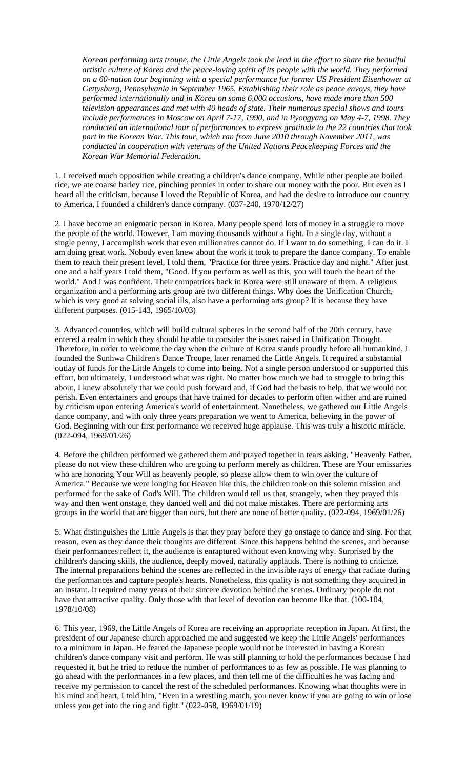*Korean performing arts troupe, the Little Angels took the lead in the effort to share the beautiful artistic culture of Korea and the peace-loving spirit of its people with the world. They performed on a 60-nation tour beginning with a special performance for former US President Eisenhower at Gettysburg, Pennsylvania in September 1965. Establishing their role as peace envoys, they have performed internationally and in Korea on some 6,000 occasions, have made more than 500 television appearances and met with 40 heads of state. Their numerous special shows and tours include performances in Moscow on April 7-17, 1990, and in Pyongyang on May 4-7, 1998. They conducted an international tour of performances to express gratitude to the 22 countries that took part in the Korean War. This tour, which ran from June 2010 through November 2011, was conducted in cooperation with veterans of the United Nations Peacekeeping Forces and the Korean War Memorial Federation.* 

1. I received much opposition while creating a children's dance company. While other people ate boiled rice, we ate coarse barley rice, pinching pennies in order to share our money with the poor. But even as I heard all the criticism, because I loved the Republic of Korea, and had the desire to introduce our country to America, I founded a children's dance company. (037-240, 1970/12/27)

2. I have become an enigmatic person in Korea. Many people spend lots of money in a struggle to move the people of the world. However, I am moving thousands without a fight. In a single day, without a single penny, I accomplish work that even millionaires cannot do. If I want to do something, I can do it. I am doing great work. Nobody even knew about the work it took to prepare the dance company. To enable them to reach their present level, I told them, "Practice for three years. Practice day and night." After just one and a half years I told them, "Good. If you perform as well as this, you will touch the heart of the world." And I was confident. Their compatriots back in Korea were still unaware of them. A religious organization and a performing arts group are two different things. Why does the Unification Church, which is very good at solving social ills, also have a performing arts group? It is because they have different purposes. (015-143, 1965/10/03)

3. Advanced countries, which will build cultural spheres in the second half of the 20th century, have entered a realm in which they should be able to consider the issues raised in Unification Thought. Therefore, in order to welcome the day when the culture of Korea stands proudly before all humankind, I founded the Sunhwa Children's Dance Troupe, later renamed the Little Angels. It required a substantial outlay of funds for the Little Angels to come into being. Not a single person understood or supported this effort, but ultimately, I understood what was right. No matter how much we had to struggle to bring this about, I knew absolutely that we could push forward and, if God had the basis to help, that we would not perish. Even entertainers and groups that have trained for decades to perform often wither and are ruined by criticism upon entering America's world of entertainment. Nonetheless, we gathered our Little Angels dance company, and with only three years preparation we went to America, believing in the power of God. Beginning with our first performance we received huge applause. This was truly a historic miracle. (022-094, 1969/01/26)

4. Before the children performed we gathered them and prayed together in tears asking, "Heavenly Father, please do not view these children who are going to perform merely as children. These are Your emissaries who are honoring Your Will as heavenly people, so please allow them to win over the culture of America." Because we were longing for Heaven like this, the children took on this solemn mission and performed for the sake of God's Will. The children would tell us that, strangely, when they prayed this way and then went onstage, they danced well and did not make mistakes. There are performing arts groups in the world that are bigger than ours, but there are none of better quality. (022-094, 1969/01/26)

5. What distinguishes the Little Angels is that they pray before they go onstage to dance and sing. For that reason, even as they dance their thoughts are different. Since this happens behind the scenes, and because their performances reflect it, the audience is enraptured without even knowing why. Surprised by the children's dancing skills, the audience, deeply moved, naturally applauds. There is nothing to criticize. The internal preparations behind the scenes are reflected in the invisible rays of energy that radiate during the performances and capture people's hearts. Nonetheless, this quality is not something they acquired in an instant. It required many years of their sincere devotion behind the scenes. Ordinary people do not have that attractive quality. Only those with that level of devotion can become like that. (100-104, 1978/10/08)

6. This year, 1969, the Little Angels of Korea are receiving an appropriate reception in Japan. At first, the president of our Japanese church approached me and suggested we keep the Little Angels' performances to a minimum in Japan. He feared the Japanese people would not be interested in having a Korean children's dance company visit and perform. He was still planning to hold the performances because I had requested it, but he tried to reduce the number of performances to as few as possible. He was planning to go ahead with the performances in a few places, and then tell me of the difficulties he was facing and receive my permission to cancel the rest of the scheduled performances. Knowing what thoughts were in his mind and heart, I told him, "Even in a wrestling match, you never know if you are going to win or lose unless you get into the ring and fight." (022-058, 1969/01/19)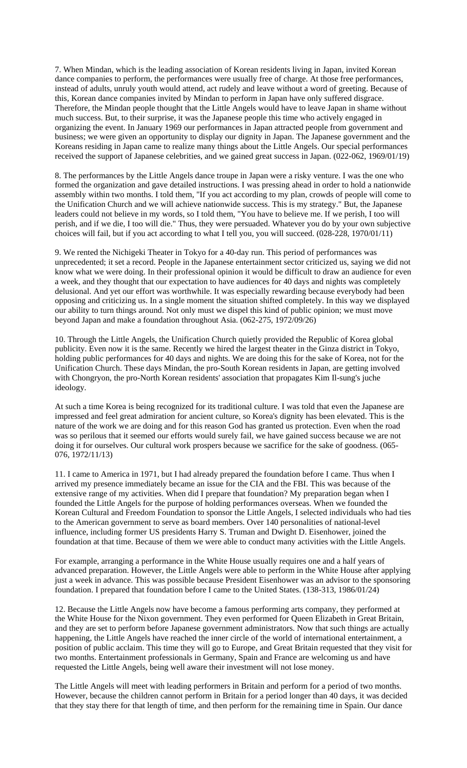7. When Mindan, which is the leading association of Korean residents living in Japan, invited Korean dance companies to perform, the performances were usually free of charge. At those free performances, instead of adults, unruly youth would attend, act rudely and leave without a word of greeting. Because of this, Korean dance companies invited by Mindan to perform in Japan have only suffered disgrace. Therefore, the Mindan people thought that the Little Angels would have to leave Japan in shame without much success. But, to their surprise, it was the Japanese people this time who actively engaged in organizing the event. In January 1969 our performances in Japan attracted people from government and business; we were given an opportunity to display our dignity in Japan. The Japanese government and the Koreans residing in Japan came to realize many things about the Little Angels. Our special performances received the support of Japanese celebrities, and we gained great success in Japan. (022-062, 1969/01/19)

8. The performances by the Little Angels dance troupe in Japan were a risky venture. I was the one who formed the organization and gave detailed instructions. I was pressing ahead in order to hold a nationwide assembly within two months. I told them, "If you act according to my plan, crowds of people will come to the Unification Church and we will achieve nationwide success. This is my strategy." But, the Japanese leaders could not believe in my words, so I told them, "You have to believe me. If we perish, I too will perish, and if we die, I too will die." Thus, they were persuaded. Whatever you do by your own subjective choices will fail, but if you act according to what I tell you, you will succeed. (028-228, 1970/01/11)

9. We rented the Nichigeki Theater in Tokyo for a 40-day run. This period of performances was unprecedented; it set a record. People in the Japanese entertainment sector criticized us, saying we did not know what we were doing. In their professional opinion it would be difficult to draw an audience for even a week, and they thought that our expectation to have audiences for 40 days and nights was completely delusional. And yet our effort was worthwhile. It was especially rewarding because everybody had been opposing and criticizing us. In a single moment the situation shifted completely. In this way we displayed our ability to turn things around. Not only must we dispel this kind of public opinion; we must move beyond Japan and make a foundation throughout Asia. (062-275, 1972/09/26)

10. Through the Little Angels, the Unification Church quietly provided the Republic of Korea global publicity. Even now it is the same. Recently we hired the largest theater in the Ginza district in Tokyo, holding public performances for 40 days and nights. We are doing this for the sake of Korea, not for the Unification Church. These days Mindan, the pro-South Korean residents in Japan, are getting involved with Chongryon, the pro-North Korean residents' association that propagates Kim Il-sung's juche ideology.

At such a time Korea is being recognized for its traditional culture. I was told that even the Japanese are impressed and feel great admiration for ancient culture, so Korea's dignity has been elevated. This is the nature of the work we are doing and for this reason God has granted us protection. Even when the road was so perilous that it seemed our efforts would surely fail, we have gained success because we are not doing it for ourselves. Our cultural work prospers because we sacrifice for the sake of goodness. (065- 076, 1972/11/13)

11. I came to America in 1971, but I had already prepared the foundation before I came. Thus when I arrived my presence immediately became an issue for the CIA and the FBI. This was because of the extensive range of my activities. When did I prepare that foundation? My preparation began when I founded the Little Angels for the purpose of holding performances overseas. When we founded the Korean Cultural and Freedom Foundation to sponsor the Little Angels, I selected individuals who had ties to the American government to serve as board members. Over 140 personalities of national-level influence, including former US presidents Harry S. Truman and Dwight D. Eisenhower, joined the foundation at that time. Because of them we were able to conduct many activities with the Little Angels.

For example, arranging a performance in the White House usually requires one and a half years of advanced preparation. However, the Little Angels were able to perform in the White House after applying just a week in advance. This was possible because President Eisenhower was an advisor to the sponsoring foundation. I prepared that foundation before I came to the United States. (138-313, 1986/01/24)

12. Because the Little Angels now have become a famous performing arts company, they performed at the White House for the Nixon government. They even performed for Queen Elizabeth in Great Britain, and they are set to perform before Japanese government administrators. Now that such things are actually happening, the Little Angels have reached the inner circle of the world of international entertainment, a position of public acclaim. This time they will go to Europe, and Great Britain requested that they visit for two months. Entertainment professionals in Germany, Spain and France are welcoming us and have requested the Little Angels, being well aware their investment will not lose money.

The Little Angels will meet with leading performers in Britain and perform for a period of two months. However, because the children cannot perform in Britain for a period longer than 40 days, it was decided that they stay there for that length of time, and then perform for the remaining time in Spain. Our dance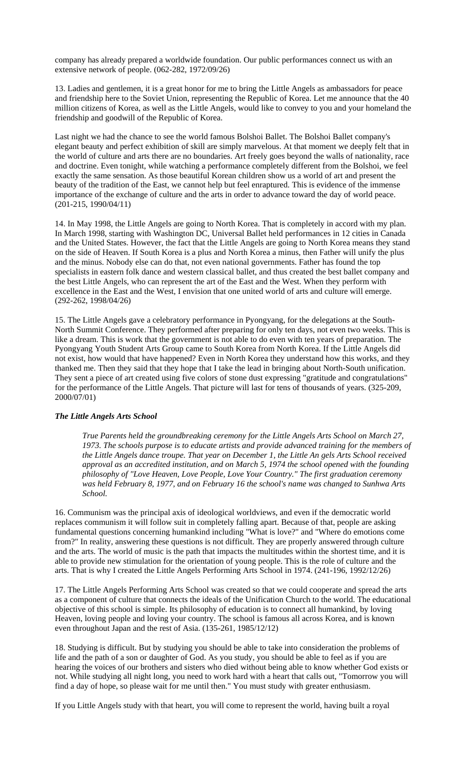company has already prepared a worldwide foundation. Our public performances connect us with an extensive network of people. (062-282, 1972/09/26)

13. Ladies and gentlemen, it is a great honor for me to bring the Little Angels as ambassadors for peace and friendship here to the Soviet Union, representing the Republic of Korea. Let me announce that the 40 million citizens of Korea, as well as the Little Angels, would like to convey to you and your homeland the friendship and goodwill of the Republic of Korea.

Last night we had the chance to see the world famous Bolshoi Ballet. The Bolshoi Ballet company's elegant beauty and perfect exhibition of skill are simply marvelous. At that moment we deeply felt that in the world of culture and arts there are no boundaries. Art freely goes beyond the walls of nationality, race and doctrine. Even tonight, while watching a performance completely different from the Bolshoi, we feel exactly the same sensation. As those beautiful Korean children show us a world of art and present the beauty of the tradition of the East, we cannot help but feel enraptured. This is evidence of the immense importance of the exchange of culture and the arts in order to advance toward the day of world peace. (201-215, 1990/04/11)

14. In May 1998, the Little Angels are going to North Korea. That is completely in accord with my plan. In March 1998, starting with Washington DC, Universal Ballet held performances in 12 cities in Canada and the United States. However, the fact that the Little Angels are going to North Korea means they stand on the side of Heaven. If South Korea is a plus and North Korea a minus, then Father will unify the plus and the minus. Nobody else can do that, not even national governments. Father has found the top specialists in eastern folk dance and western classical ballet, and thus created the best ballet company and the best Little Angels, who can represent the art of the East and the West. When they perform with excellence in the East and the West, I envision that one united world of arts and culture will emerge. (292-262, 1998/04/26)

15. The Little Angels gave a celebratory performance in Pyongyang, for the delegations at the South-North Summit Conference. They performed after preparing for only ten days, not even two weeks. This is like a dream. This is work that the government is not able to do even with ten years of preparation. The Pyongyang Youth Student Arts Group came to South Korea from North Korea. If the Little Angels did not exist, how would that have happened? Even in North Korea they understand how this works, and they thanked me. Then they said that they hope that I take the lead in bringing about North-South unification. They sent a piece of art created using five colors of stone dust expressing "gratitude and congratulations" for the performance of the Little Angels. That picture will last for tens of thousands of years. (325-209, 2000/07/01)

# *The Little Angels Arts School*

*True Parents held the groundbreaking ceremony for the Little Angels Arts School on March 27, 1973. The schools purpose is to educate artists and provide advanced training for the members of the Little Angels dance troupe. That year on December 1, the Little An gels Arts School received approval as an accredited institution, and on March 5, 1974 the school opened with the founding philosophy of "Love Heaven, Love People, Love Your Country." The first graduation ceremony was held February 8, 1977, and on February 16 the school's name was changed to Sunhwa Arts School.* 

16. Communism was the principal axis of ideological worldviews, and even if the democratic world replaces communism it will follow suit in completely falling apart. Because of that, people are asking fundamental questions concerning humankind including "What is love?" and "Where do emotions come from?" In reality, answering these questions is not difficult. They are properly answered through culture and the arts. The world of music is the path that impacts the multitudes within the shortest time, and it is able to provide new stimulation for the orientation of young people. This is the role of culture and the arts. That is why I created the Little Angels Performing Arts School in 1974. (241-196, 1992/12/26)

17. The Little Angels Performing Arts School was created so that we could cooperate and spread the arts as a component of culture that connects the ideals of the Unification Church to the world. The educational objective of this school is simple. Its philosophy of education is to connect all humankind, by loving Heaven, loving people and loving your country. The school is famous all across Korea, and is known even throughout Japan and the rest of Asia. (135-261, 1985/12/12)

18. Studying is difficult. But by studying you should be able to take into consideration the problems of life and the path of a son or daughter of God. As you study, you should be able to feel as if you are hearing the voices of our brothers and sisters who died without being able to know whether God exists or not. While studying all night long, you need to work hard with a heart that calls out, "Tomorrow you will find a day of hope, so please wait for me until then." You must study with greater enthusiasm.

If you Little Angels study with that heart, you will come to represent the world, having built a royal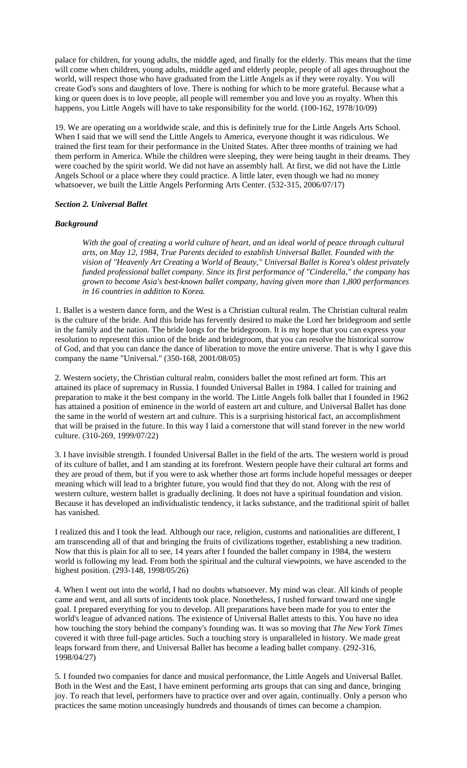palace for children, for young adults, the middle aged, and finally for the elderly. This means that the time will come when children, young adults, middle aged and elderly people, people of all ages throughout the world, will respect those who have graduated from the Little Angels as if they were royalty. You will create God's sons and daughters of love. There is nothing for which to be more grateful. Because what a king or queen does is to love people, all people will remember you and love you as royalty. When this happens, you Little Angels will have to take responsibility for the world. (100-162, 1978/10/09)

19. We are operating on a worldwide scale, and this is definitely true for the Little Angels Arts School. When I said that we will send the Little Angels to America, everyone thought it was ridiculous. We trained the first team for their performance in the United States. After three months of training we had them perform in America. While the children were sleeping, they were being taught in their dreams. They were coached by the spirit world. We did not have an assembly hall. At first, we did not have the Little Angels School or a place where they could practice. A little later, even though we had no money whatsoever, we built the Little Angels Performing Arts Center. (532-315, 2006/07/17)

#### *Section 2. Universal Ballet*

# *Background*

*With the goal of creating a world culture of heart, and an ideal world of peace through cultural arts, on May 12, 1984, True Parents decided to establish Universal Ballet. Founded with the vision of "Heavenly Art Creating a World of Beauty," Universal Ballet is Korea's oldest privately funded professional ballet company. Since its first performance of "Cinderella," the company has grown to become Asia's best-known ballet company, having given more than 1,800 performances in 16 countries in addition to Korea.* 

1. Ballet is a western dance form, and the West is a Christian cultural realm. The Christian cultural realm is the culture of the bride. And this bride has fervently desired to make the Lord her bridegroom and settle in the family and the nation. The bride longs for the bridegroom. It is my hope that you can express your resolution to represent this union of the bride and bridegroom, that you can resolve the historical sorrow of God, and that you can dance the dance of liberation to move the entire universe. That is why I gave this company the name "Universal." (350-168, 2001/08/05)

2. Western society, the Christian cultural realm, considers ballet the most refined art form. This art attained its place of supremacy in Russia. I founded Universal Ballet in 1984. I called for training and preparation to make it the best company in the world. The Little Angels folk ballet that I founded in 1962 has attained a position of eminence in the world of eastern art and culture, and Universal Ballet has done the same in the world of western art and culture. This is a surprising historical fact, an accomplishment that will be praised in the future. In this way I laid a cornerstone that will stand forever in the new world culture. (310-269, 1999/07/22)

3. I have invisible strength. I founded Universal Ballet in the field of the arts. The western world is proud of its culture of ballet, and I am standing at its forefront. Western people have their cultural art forms and they are proud of them, but if you were to ask whether those art forms include hopeful messages or deeper meaning which will lead to a brighter future, you would find that they do not. Along with the rest of western culture, western ballet is gradually declining. It does not have a spiritual foundation and vision. Because it has developed an individualistic tendency, it lacks substance, and the traditional spirit of ballet has vanished.

I realized this and I took the lead. Although our race, religion, customs and nationalities are different, I am transcending all of that and bringing the fruits of civilizations together, establishing a new tradition. Now that this is plain for all to see, 14 years after I founded the ballet company in 1984, the western world is following my lead. From both the spiritual and the cultural viewpoints, we have ascended to the highest position. (293-148, 1998/05/26)

4. When I went out into the world, I had no doubts whatsoever. My mind was clear. All kinds of people came and went, and all sorts of incidents took place. Nonetheless, I rushed forward toward one single goal. I prepared everything for you to develop. All preparations have been made for you to enter the world's league of advanced nations. The existence of Universal Ballet attests to this. You have no idea how touching the story behind the company's founding was. It was so moving that *The New York Times* covered it with three full-page articles. Such a touching story is unparalleled in history. We made great leaps forward from there, and Universal Ballet has become a leading ballet company. (292-316, 1998/04/27)

5. I founded two companies for dance and musical performance, the Little Angels and Universal Ballet. Both in the West and the East, I have eminent performing arts groups that can sing and dance, bringing joy. To reach that level, performers have to practice over and over again, continually. Only a person who practices the same motion unceasingly hundreds and thousands of times can become a champion.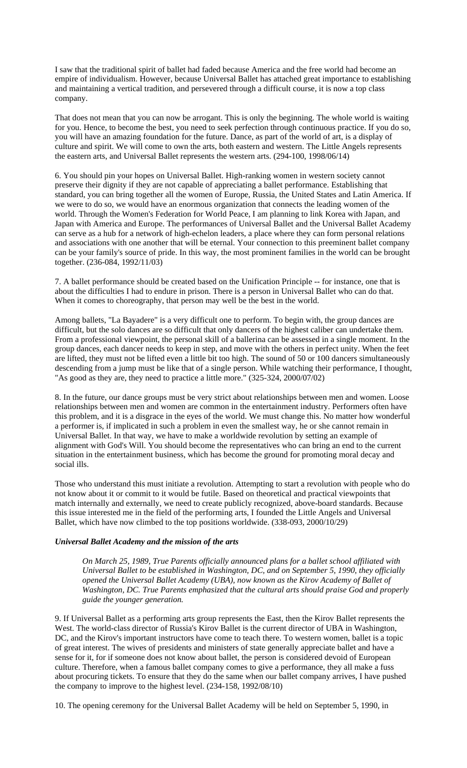I saw that the traditional spirit of ballet had faded because America and the free world had become an empire of individualism. However, because Universal Ballet has attached great importance to establishing and maintaining a vertical tradition, and persevered through a difficult course, it is now a top class company.

That does not mean that you can now be arrogant. This is only the beginning. The whole world is waiting for you. Hence, to become the best, you need to seek perfection through continuous practice. If you do so, you will have an amazing foundation for the future. Dance, as part of the world of art, is a display of culture and spirit. We will come to own the arts, both eastern and western. The Little Angels represents the eastern arts, and Universal Ballet represents the western arts. (294-100, 1998/06/14)

6. You should pin your hopes on Universal Ballet. High-ranking women in western society cannot preserve their dignity if they are not capable of appreciating a ballet performance. Establishing that standard, you can bring together all the women of Europe, Russia, the United States and Latin America. If we were to do so, we would have an enormous organization that connects the leading women of the world. Through the Women's Federation for World Peace, I am planning to link Korea with Japan, and Japan with America and Europe. The performances of Universal Ballet and the Universal Ballet Academy can serve as a hub for a network of high-echelon leaders, a place where they can form personal relations and associations with one another that will be eternal. Your connection to this preeminent ballet company can be your family's source of pride. In this way, the most prominent families in the world can be brought together. (236-084, 1992/11/03)

7. A ballet performance should be created based on the Unification Principle -- for instance, one that is about the difficulties I had to endure in prison. There is a person in Universal Ballet who can do that. When it comes to choreography, that person may well be the best in the world.

Among ballets, "La Bayadere" is a very difficult one to perform. To begin with, the group dances are difficult, but the solo dances are so difficult that only dancers of the highest caliber can undertake them. From a professional viewpoint, the personal skill of a ballerina can be assessed in a single moment. In the group dances, each dancer needs to keep in step, and move with the others in perfect unity. When the feet are lifted, they must not be lifted even a little bit too high. The sound of 50 or 100 dancers simultaneously descending from a jump must be like that of a single person. While watching their performance, I thought, "As good as they are, they need to practice a little more." (325-324, 2000/07/02)

8. In the future, our dance groups must be very strict about relationships between men and women. Loose relationships between men and women are common in the entertainment industry. Performers often have this problem, and it is a disgrace in the eyes of the world. We must change this. No matter how wonderful a performer is, if implicated in such a problem in even the smallest way, he or she cannot remain in Universal Ballet. In that way, we have to make a worldwide revolution by setting an example of alignment with God's Will. You should become the representatives who can bring an end to the current situation in the entertainment business, which has become the ground for promoting moral decay and social ills.

Those who understand this must initiate a revolution. Attempting to start a revolution with people who do not know about it or commit to it would be futile. Based on theoretical and practical viewpoints that match internally and externally, we need to create publicly recognized, above-board standards. Because this issue interested me in the field of the performing arts, I founded the Little Angels and Universal Ballet, which have now climbed to the top positions worldwide. (338-093, 2000/10/29)

# *Universal Ballet Academy and the mission of the arts*

*On March 25, 1989, True Parents officially announced plans for a ballet school affiliated with Universal Ballet to be established in Washington, DC, and on September 5, 1990, they officially opened the Universal Ballet Academy (UBA), now known as the Kirov Academy of Ballet of Washington, DC. True Parents emphasized that the cultural arts should praise God and properly guide the younger generation.* 

9. If Universal Ballet as a performing arts group represents the East, then the Kirov Ballet represents the West. The world-class director of Russia's Kirov Ballet is the current director of UBA in Washington, DC, and the Kirov's important instructors have come to teach there. To western women, ballet is a topic of great interest. The wives of presidents and ministers of state generally appreciate ballet and have a sense for it, for if someone does not know about ballet, the person is considered devoid of European culture. Therefore, when a famous ballet company comes to give a performance, they all make a fuss about procuring tickets. To ensure that they do the same when our ballet company arrives, I have pushed the company to improve to the highest level. (234-158, 1992/08/10)

10. The opening ceremony for the Universal Ballet Academy will be held on September 5, 1990, in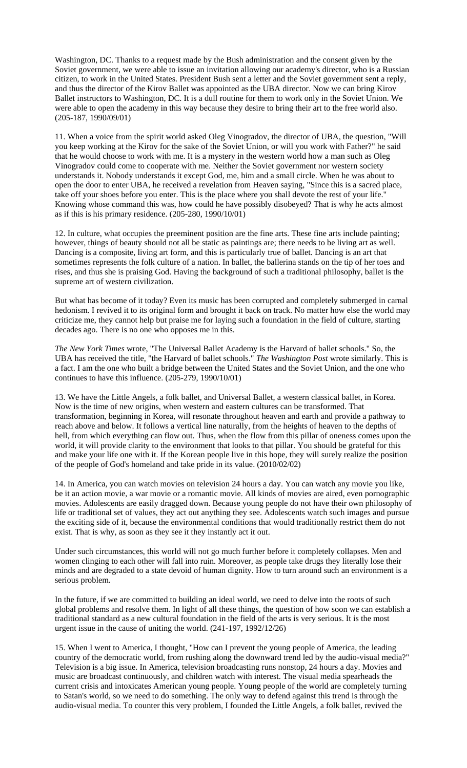Washington, DC. Thanks to a request made by the Bush administration and the consent given by the Soviet government, we were able to issue an invitation allowing our academy's director, who is a Russian citizen, to work in the United States. President Bush sent a letter and the Soviet government sent a reply, and thus the director of the Kirov Ballet was appointed as the UBA director. Now we can bring Kirov Ballet instructors to Washington, DC. It is a dull routine for them to work only in the Soviet Union. We were able to open the academy in this way because they desire to bring their art to the free world also. (205-187, 1990/09/01)

11. When a voice from the spirit world asked Oleg Vinogradov, the director of UBA, the question, "Will you keep working at the Kirov for the sake of the Soviet Union, or will you work with Father?" he said that he would choose to work with me. It is a mystery in the western world how a man such as Oleg Vinogradov could come to cooperate with me. Neither the Soviet government nor western society understands it. Nobody understands it except God, me, him and a small circle. When he was about to open the door to enter UBA, he received a revelation from Heaven saying, "Since this is a sacred place, take off your shoes before you enter. This is the place where you shall devote the rest of your life." Knowing whose command this was, how could he have possibly disobeyed? That is why he acts almost as if this is his primary residence.  $(205-280, 1990/10/01)$ 

12. In culture, what occupies the preeminent position are the fine arts. These fine arts include painting; however, things of beauty should not all be static as paintings are; there needs to be living art as well. Dancing is a composite, living art form, and this is particularly true of ballet. Dancing is an art that sometimes represents the folk culture of a nation. In ballet, the ballerina stands on the tip of her toes and rises, and thus she is praising God. Having the background of such a traditional philosophy, ballet is the supreme art of western civilization.

But what has become of it today? Even its music has been corrupted and completely submerged in carnal hedonism. I revived it to its original form and brought it back on track. No matter how else the world may criticize me, they cannot help but praise me for laying such a foundation in the field of culture, starting decades ago. There is no one who opposes me in this.

*The New York Times* wrote, "The Universal Ballet Academy is the Harvard of ballet schools." So, the UBA has received the title, "the Harvard of ballet schools." *The Washington Post* wrote similarly. This is a fact. I am the one who built a bridge between the United States and the Soviet Union, and the one who continues to have this influence. (205-279, 1990/10/01)

13. We have the Little Angels, a folk ballet, and Universal Ballet, a western classical ballet, in Korea. Now is the time of new origins, when western and eastern cultures can be transformed. That transformation, beginning in Korea, will resonate throughout heaven and earth and provide a pathway to reach above and below. It follows a vertical line naturally, from the heights of heaven to the depths of hell, from which everything can flow out. Thus, when the flow from this pillar of oneness comes upon the world, it will provide clarity to the environment that looks to that pillar. You should be grateful for this and make your life one with it. If the Korean people live in this hope, they will surely realize the position of the people of God's homeland and take pride in its value. (2010/02/02)

14. In America, you can watch movies on television 24 hours a day. You can watch any movie you like, be it an action movie, a war movie or a romantic movie. All kinds of movies are aired, even pornographic movies. Adolescents are easily dragged down. Because young people do not have their own philosophy of life or traditional set of values, they act out anything they see. Adolescents watch such images and pursue the exciting side of it, because the environmental conditions that would traditionally restrict them do not exist. That is why, as soon as they see it they instantly act it out.

Under such circumstances, this world will not go much further before it completely collapses. Men and women clinging to each other will fall into ruin. Moreover, as people take drugs they literally lose their minds and are degraded to a state devoid of human dignity. How to turn around such an environment is a serious problem.

In the future, if we are committed to building an ideal world, we need to delve into the roots of such global problems and resolve them. In light of all these things, the question of how soon we can establish a traditional standard as a new cultural foundation in the field of the arts is very serious. It is the most urgent issue in the cause of uniting the world. (241-197, 1992/12/26)

15. When I went to America, I thought, "How can I prevent the young people of America, the leading country of the democratic world, from rushing along the downward trend led by the audio-visual media?" Television is a big issue. In America, television broadcasting runs nonstop, 24 hours a day. Movies and music are broadcast continuously, and children watch with interest. The visual media spearheads the current crisis and intoxicates American young people. Young people of the world are completely turning to Satan's world, so we need to do something. The only way to defend against this trend is through the audio-visual media. To counter this very problem, I founded the Little Angels, a folk ballet, revived the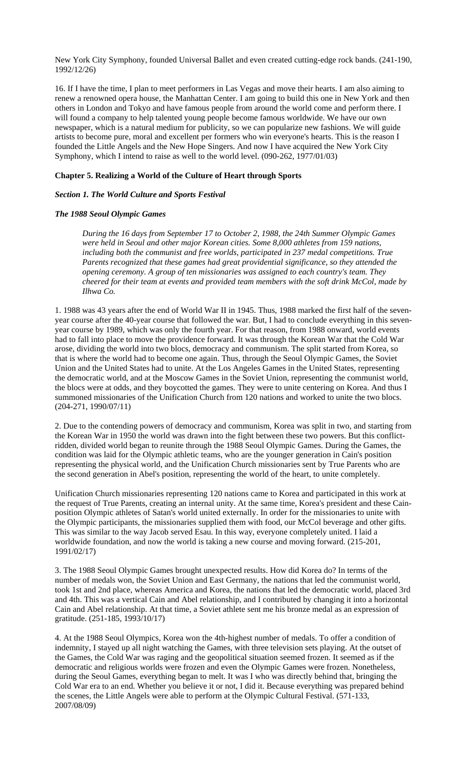New York City Symphony, founded Universal Ballet and even created cutting-edge rock bands. (241-190, 1992/12/26)

16. If I have the time, I plan to meet performers in Las Vegas and move their hearts. I am also aiming to renew a renowned opera house, the Manhattan Center. I am going to build this one in New York and then others in London and Tokyo and have famous people from around the world come and perform there. I will found a company to help talented young people become famous worldwide. We have our own newspaper, which is a natural medium for publicity, so we can popularize new fashions. We will guide artists to become pure, moral and excellent per formers who win everyone's hearts. This is the reason I founded the Little Angels and the New Hope Singers. And now I have acquired the New York City Symphony, which I intend to raise as well to the world level. (090-262, 1977/01/03)

# **Chapter 5. Realizing a World of the Culture of Heart through Sports**

# *Section 1. The World Culture and Sports Festival*

# *The 1988 Seoul Olympic Games*

*During the 16 days from September 17 to October 2, 1988, the 24th Summer Olympic Games were held in Seoul and other major Korean cities. Some 8,000 athletes from 159 nations, including both the communist and free worlds, participated in 237 medal competitions. True Parents recognized that these games had great providential significance, so they attended the opening ceremony. A group of ten missionaries was assigned to each country's team. They cheered for their team at events and provided team members with the soft drink McCol, made by Ilhwa Co.* 

1. 1988 was 43 years after the end of World War II in 1945. Thus, 1988 marked the first half of the sevenyear course after the 40-year course that followed the war. But, I had to conclude everything in this sevenyear course by 1989, which was only the fourth year. For that reason, from 1988 onward, world events had to fall into place to move the providence forward. It was through the Korean War that the Cold War arose, dividing the world into two blocs, democracy and communism. The split started from Korea, so that is where the world had to become one again. Thus, through the Seoul Olympic Games, the Soviet Union and the United States had to unite. At the Los Angeles Games in the United States, representing the democratic world, and at the Moscow Games in the Soviet Union, representing the communist world, the blocs were at odds, and they boycotted the games. They were to unite centering on Korea. And thus I summoned missionaries of the Unification Church from 120 nations and worked to unite the two blocs. (204-271, 1990/07/11)

2. Due to the contending powers of democracy and communism, Korea was split in two, and starting from the Korean War in 1950 the world was drawn into the fight between these two powers. But this conflictridden, divided world began to reunite through the 1988 Seoul Olympic Games. During the Games, the condition was laid for the Olympic athletic teams, who are the younger generation in Cain's position representing the physical world, and the Unification Church missionaries sent by True Parents who are the second generation in Abel's position, representing the world of the heart, to unite completely.

Unification Church missionaries representing 120 nations came to Korea and participated in this work at the request of True Parents, creating an internal unity. At the same time, Korea's president and these Cainposition Olympic athletes of Satan's world united externally. In order for the missionaries to unite with the Olympic participants, the missionaries supplied them with food, our McCol beverage and other gifts. This was similar to the way Jacob served Esau. In this way, everyone completely united. I laid a worldwide foundation, and now the world is taking a new course and moving forward. (215-201, 1991/02/17)

3. The 1988 Seoul Olympic Games brought unexpected results. How did Korea do? In terms of the number of medals won, the Soviet Union and East Germany, the nations that led the communist world, took 1st and 2nd place, whereas America and Korea, the nations that led the democratic world, placed 3rd and 4th. This was a vertical Cain and Abel relationship, and I contributed by changing it into a horizontal Cain and Abel relationship. At that time, a Soviet athlete sent me his bronze medal as an expression of gratitude. (251-185, 1993/10/17)

4. At the 1988 Seoul Olympics, Korea won the 4th-highest number of medals. To offer a condition of indemnity, I stayed up all night watching the Games, with three television sets playing. At the outset of the Games, the Cold War was raging and the geopolitical situation seemed frozen. It seemed as if the democratic and religious worlds were frozen and even the Olympic Games were frozen. Nonetheless, during the Seoul Games, everything began to melt. It was I who was directly behind that, bringing the Cold War era to an end. Whether you believe it or not, I did it. Because everything was prepared behind the scenes, the Little Angels were able to perform at the Olympic Cultural Festival. (571-133, 2007/08/09)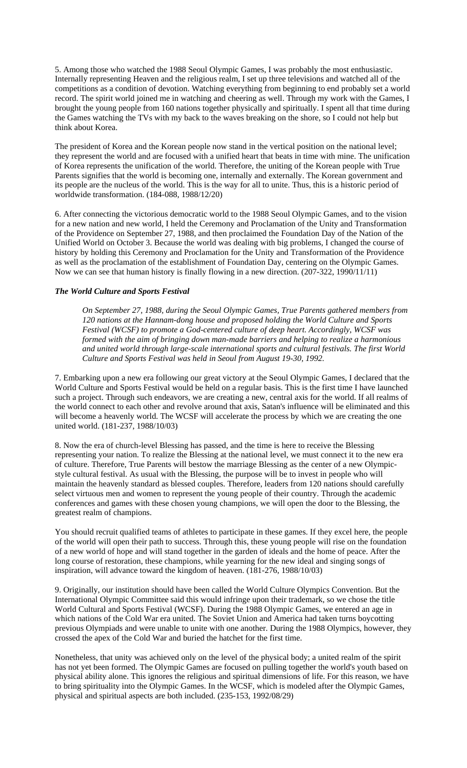5. Among those who watched the 1988 Seoul Olympic Games, I was probably the most enthusiastic. Internally representing Heaven and the religious realm, I set up three televisions and watched all of the competitions as a condition of devotion. Watching everything from beginning to end probably set a world record. The spirit world joined me in watching and cheering as well. Through my work with the Games, I brought the young people from 160 nations together physically and spiritually. I spent all that time during the Games watching the TVs with my back to the waves breaking on the shore, so I could not help but think about Korea.

The president of Korea and the Korean people now stand in the vertical position on the national level; they represent the world and are focused with a unified heart that beats in time with mine. The unification of Korea represents the unification of the world. Therefore, the uniting of the Korean people with True Parents signifies that the world is becoming one, internally and externally. The Korean government and its people are the nucleus of the world. This is the way for all to unite. Thus, this is a historic period of worldwide transformation. (184-088, 1988/12/20)

6. After connecting the victorious democratic world to the 1988 Seoul Olympic Games, and to the vision for a new nation and new world, I held the Ceremony and Proclamation of the Unity and Transformation of the Providence on September 27, 1988, and then proclaimed the Foundation Day of the Nation of the Unified World on October 3. Because the world was dealing with big problems, I changed the course of history by holding this Ceremony and Proclamation for the Unity and Transformation of the Providence as well as the proclamation of the establishment of Foundation Day, centering on the Olympic Games. Now we can see that human history is finally flowing in a new direction. (207-322, 1990/11/11)

# *The World Culture and Sports Festival*

*On September 27, 1988, during the Seoul Olympic Games, True Parents gathered members from 120 nations at the Hannam-dong house and proposed holding the World Culture and Sports Festival (WCSF) to promote a God-centered culture of deep heart. Accordingly, WCSF was formed with the aim of bringing down man-made barriers and helping to realize a harmonious and united world through large-scale international sports and cultural festivals. The first World Culture and Sports Festival was held in Seoul from August 19-30, 1992.* 

7. Embarking upon a new era following our great victory at the Seoul Olympic Games, I declared that the World Culture and Sports Festival would be held on a regular basis. This is the first time I have launched such a project. Through such endeavors, we are creating a new, central axis for the world. If all realms of the world connect to each other and revolve around that axis, Satan's influence will be eliminated and this will become a heavenly world. The WCSF will accelerate the process by which we are creating the one united world. (181-237, 1988/10/03)

8. Now the era of church-level Blessing has passed, and the time is here to receive the Blessing representing your nation. To realize the Blessing at the national level, we must connect it to the new era of culture. Therefore, True Parents will bestow the marriage Blessing as the center of a new Olympicstyle cultural festival. As usual with the Blessing, the purpose will be to invest in people who will maintain the heavenly standard as blessed couples. Therefore, leaders from 120 nations should carefully select virtuous men and women to represent the young people of their country. Through the academic conferences and games with these chosen young champions, we will open the door to the Blessing, the greatest realm of champions.

You should recruit qualified teams of athletes to participate in these games. If they excel here, the people of the world will open their path to success. Through this, these young people will rise on the foundation of a new world of hope and will stand together in the garden of ideals and the home of peace. After the long course of restoration, these champions, while yearning for the new ideal and singing songs of inspiration, will advance toward the kingdom of heaven. (181-276, 1988/10/03)

9. Originally, our institution should have been called the World Culture Olympics Convention. But the International Olympic Committee said this would infringe upon their trademark, so we chose the title World Cultural and Sports Festival (WCSF). During the 1988 Olympic Games, we entered an age in which nations of the Cold War era united. The Soviet Union and America had taken turns boycotting previous Olympiads and were unable to unite with one another. During the 1988 Olympics, however, they crossed the apex of the Cold War and buried the hatchet for the first time.

Nonetheless, that unity was achieved only on the level of the physical body; a united realm of the spirit has not yet been formed. The Olympic Games are focused on pulling together the world's youth based on physical ability alone. This ignores the religious and spiritual dimensions of life. For this reason, we have to bring spirituality into the Olympic Games. In the WCSF, which is modeled after the Olympic Games, physical and spiritual aspects are both included. (235-153, 1992/08/29)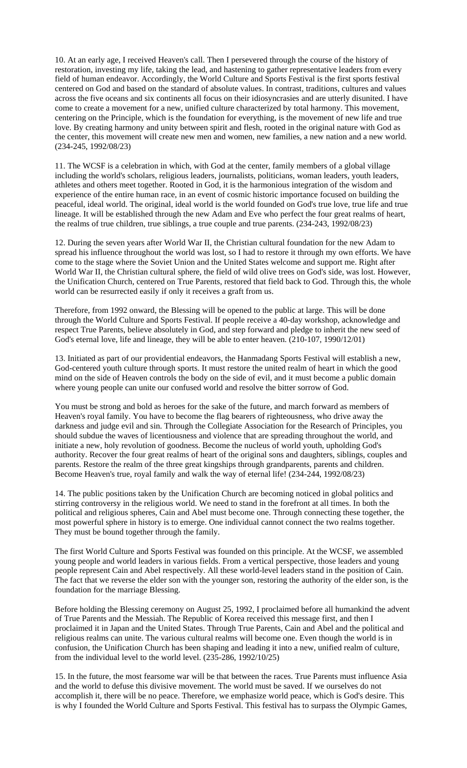10. At an early age, I received Heaven's call. Then I persevered through the course of the history of restoration, investing my life, taking the lead, and hastening to gather representative leaders from every field of human endeavor. Accordingly, the World Culture and Sports Festival is the first sports festival centered on God and based on the standard of absolute values. In contrast, traditions, cultures and values across the five oceans and six continents all focus on their idiosyncrasies and are utterly disunited. I have come to create a movement for a new, unified culture characterized by total harmony. This movement, centering on the Principle, which is the foundation for everything, is the movement of new life and true love. By creating harmony and unity between spirit and flesh, rooted in the original nature with God as the center, this movement will create new men and women, new families, a new nation and a new world. (234-245, 1992/08/23)

11. The WCSF is a celebration in which, with God at the center, family members of a global village including the world's scholars, religious leaders, journalists, politicians, woman leaders, youth leaders, athletes and others meet together. Rooted in God, it is the harmonious integration of the wisdom and experience of the entire human race, in an event of cosmic historic importance focused on building the peaceful, ideal world. The original, ideal world is the world founded on God's true love, true life and true lineage. It will be established through the new Adam and Eve who perfect the four great realms of heart, the realms of true children, true siblings, a true couple and true parents. (234-243, 1992/08/23)

12. During the seven years after World War II, the Christian cultural foundation for the new Adam to spread his influence throughout the world was lost, so I had to restore it through my own efforts. We have come to the stage where the Soviet Union and the United States welcome and support me. Right after World War II, the Christian cultural sphere, the field of wild olive trees on God's side, was lost. However, the Unification Church, centered on True Parents, restored that field back to God. Through this, the whole world can be resurrected easily if only it receives a graft from us.

Therefore, from 1992 onward, the Blessing will be opened to the public at large. This will be done through the World Culture and Sports Festival. If people receive a 40-day workshop, acknowledge and respect True Parents, believe absolutely in God, and step forward and pledge to inherit the new seed of God's eternal love, life and lineage, they will be able to enter heaven. (210-107, 1990/12/01)

13. Initiated as part of our providential endeavors, the Hanmadang Sports Festival will establish a new, God-centered youth culture through sports. It must restore the united realm of heart in which the good mind on the side of Heaven controls the body on the side of evil, and it must become a public domain where young people can unite our confused world and resolve the bitter sorrow of God.

You must be strong and bold as heroes for the sake of the future, and march forward as members of Heaven's royal family. You have to become the flag bearers of righteousness, who drive away the darkness and judge evil and sin. Through the Collegiate Association for the Research of Principles, you should subdue the waves of licentiousness and violence that are spreading throughout the world, and initiate a new, holy revolution of goodness. Become the nucleus of world youth, upholding God's authority. Recover the four great realms of heart of the original sons and daughters, siblings, couples and parents. Restore the realm of the three great kingships through grandparents, parents and children. Become Heaven's true, royal family and walk the way of eternal life! (234-244, 1992/08/23)

14. The public positions taken by the Unification Church are becoming noticed in global politics and stirring controversy in the religious world. We need to stand in the forefront at all times. In both the political and religious spheres, Cain and Abel must become one. Through connecting these together, the most powerful sphere in history is to emerge. One individual cannot connect the two realms together. They must be bound together through the family.

The first World Culture and Sports Festival was founded on this principle. At the WCSF, we assembled young people and world leaders in various fields. From a vertical perspective, those leaders and young people represent Cain and Abel respectively. All these world-level leaders stand in the position of Cain. The fact that we reverse the elder son with the younger son, restoring the authority of the elder son, is the foundation for the marriage Blessing.

Before holding the Blessing ceremony on August 25, 1992, I proclaimed before all humankind the advent of True Parents and the Messiah. The Republic of Korea received this message first, and then I proclaimed it in Japan and the United States. Through True Parents, Cain and Abel and the political and religious realms can unite. The various cultural realms will become one. Even though the world is in confusion, the Unification Church has been shaping and leading it into a new, unified realm of culture, from the individual level to the world level.  $(235-286, 1992/10/25)$ 

15. In the future, the most fearsome war will be that between the races. True Parents must influence Asia and the world to defuse this divisive movement. The world must be saved. If we ourselves do not accomplish it, there will be no peace. Therefore, we emphasize world peace, which is God's desire. This is why I founded the World Culture and Sports Festival. This festival has to surpass the Olympic Games,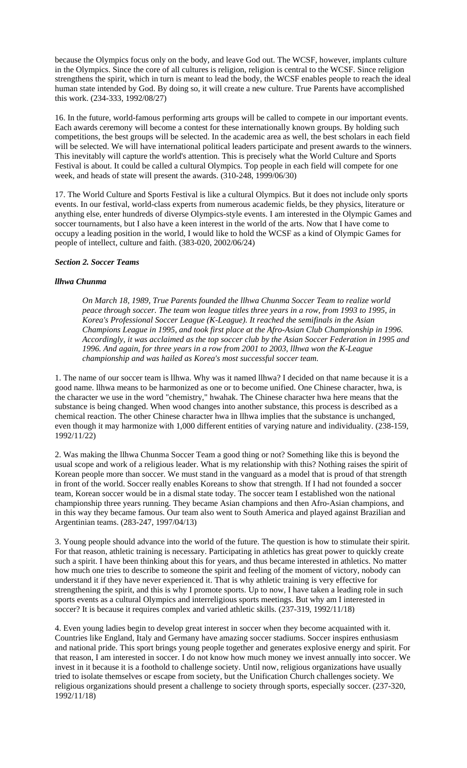because the Olympics focus only on the body, and leave God out. The WCSF, however, implants culture in the Olympics. Since the core of all cultures is religion, religion is central to the WCSF. Since religion strengthens the spirit, which in turn is meant to lead the body, the WCSF enables people to reach the ideal human state intended by God. By doing so, it will create a new culture. True Parents have accomplished this work. (234-333, 1992/08/27)

16. In the future, world-famous performing arts groups will be called to compete in our important events. Each awards ceremony will become a contest for these internationally known groups. By holding such competitions, the best groups will be selected. In the academic area as well, the best scholars in each field will be selected. We will have international political leaders participate and present awards to the winners. This inevitably will capture the world's attention. This is precisely what the World Culture and Sports Festival is about. It could be called a cultural Olympics. Top people in each field will compete for one week, and heads of state will present the awards. (310-248, 1999/06/30)

17. The World Culture and Sports Festival is like a cultural Olympics. But it does not include only sports events. In our festival, world-class experts from numerous academic fields, be they physics, literature or anything else, enter hundreds of diverse Olympics-style events. I am interested in the Olympic Games and soccer tournaments, but I also have a keen interest in the world of the arts. Now that I have come to occupy a leading position in the world, I would like to hold the WCSF as a kind of Olympic Games for people of intellect, culture and faith. (383-020, 2002/06/24)

# *Section 2. Soccer Teams*

# *llhwa Chunma*

*On March 18, 1989, True Parents founded the llhwa Chunma Soccer Team to realize world peace through soccer. The team won league titles three years in a row, from 1993 to 1995, in Korea's Professional Soccer League (K-League). It reached the semifinals in the Asian Champions League in 1995, and took first place at the Afro-Asian Club Championship in 1996. Accordingly, it was acclaimed as the top soccer club by the Asian Soccer Federation in 1995 and 1996. And again, for three years in a row from 2001 to 2003, llhwa won the K-League championship and was hailed as Korea's most successful soccer team.* 

1. The name of our soccer team is llhwa. Why was it named llhwa? I decided on that name because it is a good name. llhwa means to be harmonized as one or to become unified. One Chinese character, hwa, is the character we use in the word "chemistry," hwahak. The Chinese character hwa here means that the substance is being changed. When wood changes into another substance, this process is described as a chemical reaction. The other Chinese character hwa in llhwa implies that the substance is unchanged, even though it may harmonize with 1,000 different entities of varying nature and individuality. (238-159, 1992/11/22)

2. Was making the llhwa Chunma Soccer Team a good thing or not? Something like this is beyond the usual scope and work of a religious leader. What is my relationship with this? Nothing raises the spirit of Korean people more than soccer. We must stand in the vanguard as a model that is proud of that strength in front of the world. Soccer really enables Koreans to show that strength. If I had not founded a soccer team, Korean soccer would be in a dismal state today. The soccer team I established won the national championship three years running. They became Asian champions and then Afro-Asian champions, and in this way they became famous. Our team also went to South America and played against Brazilian and Argentinian teams. (283-247, 1997/04/13)

3. Young people should advance into the world of the future. The question is how to stimulate their spirit. For that reason, athletic training is necessary. Participating in athletics has great power to quickly create such a spirit. I have been thinking about this for years, and thus became interested in athletics. No matter how much one tries to describe to someone the spirit and feeling of the moment of victory, nobody can understand it if they have never experienced it. That is why athletic training is very effective for strengthening the spirit, and this is why I promote sports. Up to now, I have taken a leading role in such sports events as a cultural Olympics and interreligious sports meetings. But why am I interested in soccer? It is because it requires complex and varied athletic skills. (237-319, 1992/11/18)

4. Even young ladies begin to develop great interest in soccer when they become acquainted with it. Countries like England, Italy and Germany have amazing soccer stadiums. Soccer inspires enthusiasm and national pride. This sport brings young people together and generates explosive energy and spirit. For that reason, I am interested in soccer. I do not know how much money we invest annually into soccer. We invest in it because it is a foothold to challenge society. Until now, religious organizations have usually tried to isolate themselves or escape from society, but the Unification Church challenges society. We religious organizations should present a challenge to society through sports, especially soccer. (237-320, 1992/11/18)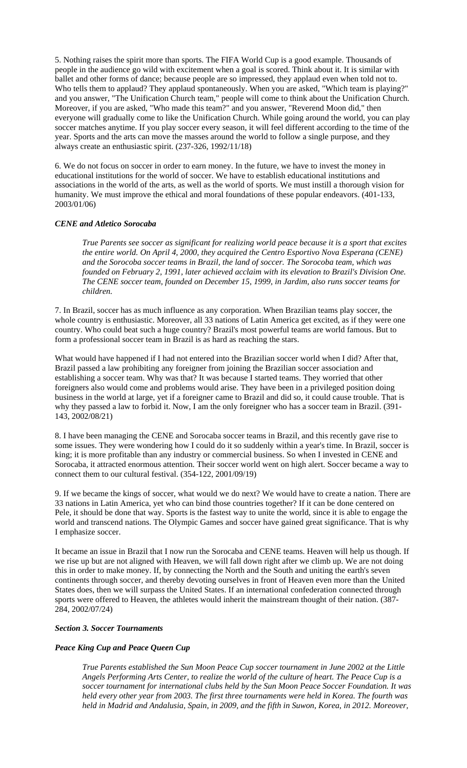5. Nothing raises the spirit more than sports. The FIFA World Cup is a good example. Thousands of people in the audience go wild with excitement when a goal is scored. Think about it. It is similar with ballet and other forms of dance; because people are so impressed, they applaud even when told not to. Who tells them to applaud? They applaud spontaneously. When you are asked, "Which team is playing?" and you answer, "The Unification Church team," people will come to think about the Unification Church. Moreover, if you are asked, "Who made this team?" and you answer, "Reverend Moon did," then everyone will gradually come to like the Unification Church. While going around the world, you can play soccer matches anytime. If you play soccer every season, it will feel different according to the time of the year. Sports and the arts can move the masses around the world to follow a single purpose, and they always create an enthusiastic spirit. (237-326, 1992/11/18)

6. We do not focus on soccer in order to earn money. In the future, we have to invest the money in educational institutions for the world of soccer. We have to establish educational institutions and associations in the world of the arts, as well as the world of sports. We must instill a thorough vision for humanity. We must improve the ethical and moral foundations of these popular endeavors. (401-133, 2003/01/06)

# *CENE and Atletico Sorocaba*

*True Parents see soccer as significant for realizing world peace because it is a sport that excites the entire world. On April 4, 2000, they acquired the Centro Esportivo Nova Esperana (CENE) and the Sorocoba soccer teams in Brazil, the land of soccer. The Sorocoba team, which was founded on February 2, 1991, later achieved acclaim with its elevation to Brazil's Division One. The CENE soccer team, founded on December 15, 1999, in Jardim, also runs soccer teams for children.* 

7. In Brazil, soccer has as much influence as any corporation. When Brazilian teams play soccer, the whole country is enthusiastic. Moreover, all 33 nations of Latin America get excited, as if they were one country. Who could beat such a huge country? Brazil's most powerful teams are world famous. But to form a professional soccer team in Brazil is as hard as reaching the stars.

What would have happened if I had not entered into the Brazilian soccer world when I did? After that, Brazil passed a law prohibiting any foreigner from joining the Brazilian soccer association and establishing a soccer team. Why was that? It was because I started teams. They worried that other foreigners also would come and problems would arise. They have been in a privileged position doing business in the world at large, yet if a foreigner came to Brazil and did so, it could cause trouble. That is why they passed a law to forbid it. Now, I am the only foreigner who has a soccer team in Brazil. (391- 143, 2002/08/21)

8. I have been managing the CENE and Sorocaba soccer teams in Brazil, and this recently gave rise to some issues. They were wondering how I could do it so suddenly within a year's time. In Brazil, soccer is king; it is more profitable than any industry or commercial business. So when I invested in CENE and Sorocaba, it attracted enormous attention. Their soccer world went on high alert. Soccer became a way to connect them to our cultural festival. (354-122, 2001/09/19)

9. If we became the kings of soccer, what would we do next? We would have to create a nation. There are 33 nations in Latin America, yet who can bind those countries together? If it can be done centered on Pele, it should be done that way. Sports is the fastest way to unite the world, since it is able to engage the world and transcend nations. The Olympic Games and soccer have gained great significance. That is why I emphasize soccer.

It became an issue in Brazil that I now run the Sorocaba and CENE teams. Heaven will help us though. If we rise up but are not aligned with Heaven, we will fall down right after we climb up. We are not doing this in order to make money. If, by connecting the North and the South and uniting the earth's seven continents through soccer, and thereby devoting ourselves in front of Heaven even more than the United States does, then we will surpass the United States. If an international confederation connected through sports were offered to Heaven, the athletes would inherit the mainstream thought of their nation. (387- 284, 2002/07/24)

#### *Section 3. Soccer Tournaments*

# *Peace King Cup and Peace Queen Cup*

*True Parents established the Sun Moon Peace Cup soccer tournament in June 2002 at the Little Angels Performing Arts Center, to realize the world of the culture of heart. The Peace Cup is a soccer tournament for international clubs held by the Sun Moon Peace Soccer Foundation. It was held every other year from 2003. The first three tournaments were held in Korea. The fourth was held in Madrid and Andalusia, Spain, in 2009, and the fifth in Suwon, Korea, in 2012. Moreover,*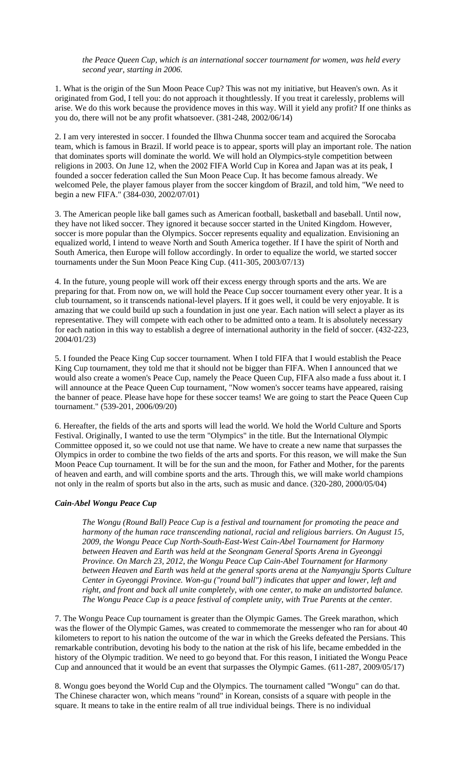*the Peace Queen Cup, which is an international soccer tournament for women, was held every second year, starting in 2006.* 

1. What is the origin of the Sun Moon Peace Cup? This was not my initiative, but Heaven's own. As it originated from God, I tell you: do not approach it thoughtlessly. If you treat it carelessly, problems will arise. We do this work because the providence moves in this way. Will it yield any profit? If one thinks as you do, there will not be any profit whatsoever. (381-248, 2002/06/14)

2. I am very interested in soccer. I founded the Ilhwa Chunma soccer team and acquired the Sorocaba team, which is famous in Brazil. If world peace is to appear, sports will play an important role. The nation that dominates sports will dominate the world. We will hold an Olympics-style competition between religions in 2003. On June 12, when the 2002 FIFA World Cup in Korea and Japan was at its peak, I founded a soccer federation called the Sun Moon Peace Cup. It has become famous already. We welcomed Pele, the player famous player from the soccer kingdom of Brazil, and told him, "We need to begin a new FIFA." (384-030, 2002/07/01)

3. The American people like ball games such as American football, basketball and baseball. Until now, they have not liked soccer. They ignored it because soccer started in the United Kingdom. However, soccer is more popular than the Olympics. Soccer represents equality and equalization. Envisioning an equalized world, I intend to weave North and South America together. If I have the spirit of North and South America, then Europe will follow accordingly. In order to equalize the world, we started soccer tournaments under the Sun Moon Peace King Cup. (411-305, 2003/07/13)

4. In the future, young people will work off their excess energy through sports and the arts. We are preparing for that. From now on, we will hold the Peace Cup soccer tournament every other year. It is a club tournament, so it transcends national-level players. If it goes well, it could be very enjoyable. It is amazing that we could build up such a foundation in just one year. Each nation will select a player as its representative. They will compete with each other to be admitted onto a team. It is absolutely necessary for each nation in this way to establish a degree of international authority in the field of soccer. (432-223, 2004/01/23)

5. I founded the Peace King Cup soccer tournament. When I told FIFA that I would establish the Peace King Cup tournament, they told me that it should not be bigger than FIFA. When I announced that we would also create a women's Peace Cup, namely the Peace Queen Cup, FIFA also made a fuss about it. I will announce at the Peace Queen Cup tournament, "Now women's soccer teams have appeared, raising the banner of peace. Please have hope for these soccer teams! We are going to start the Peace Queen Cup tournament." (539-201, 2006/09/20)

6. Hereafter, the fields of the arts and sports will lead the world. We hold the World Culture and Sports Festival. Originally, I wanted to use the term "Olympics" in the title. But the International Olympic Committee opposed it, so we could not use that name. We have to create a new name that surpasses the Olympics in order to combine the two fields of the arts and sports. For this reason, we will make the Sun Moon Peace Cup tournament. It will be for the sun and the moon, for Father and Mother, for the parents of heaven and earth, and will combine sports and the arts. Through this, we will make world champions not only in the realm of sports but also in the arts, such as music and dance. (320-280, 2000/05/04)

# *Cain-Abel Wongu Peace Cup*

*The Wongu (Round Ball) Peace Cup is a festival and tournament for promoting the peace and harmony of the human race transcending national, racial and religious barriers. On August 15, 2009, the Wongu Peace Cup North-South-East-West Cain-Abel Tournament for Harmony between Heaven and Earth was held at the Seongnam General Sports Arena in Gyeonggi Province. On March 23, 2012, the Wongu Peace Cup Cain-Abel Tournament for Harmony between Heaven and Earth was held at the general sports arena at the Namyangju Sports Culture Center in Gyeonggi Province. Won-gu ("round ball") indicates that upper and lower, left and right, and front and back all unite completely, with one center, to make an undistorted balance. The Wongu Peace Cup is a peace festival of complete unity, with True Parents at the center.* 

7. The Wongu Peace Cup tournament is greater than the Olympic Games. The Greek marathon, which was the flower of the Olympic Games, was created to commemorate the messenger who ran for about 40 kilometers to report to his nation the outcome of the war in which the Greeks defeated the Persians. This remarkable contribution, devoting his body to the nation at the risk of his life, became embedded in the history of the Olympic tradition. We need to go beyond that. For this reason, I initiated the Wongu Peace Cup and announced that it would be an event that surpasses the Olympic Games. (611-287, 2009/05/17)

8. Wongu goes beyond the World Cup and the Olympics. The tournament called "Wongu" can do that. The Chinese character won, which means "round" in Korean, consists of a square with people in the square. It means to take in the entire realm of all true individual beings. There is no individual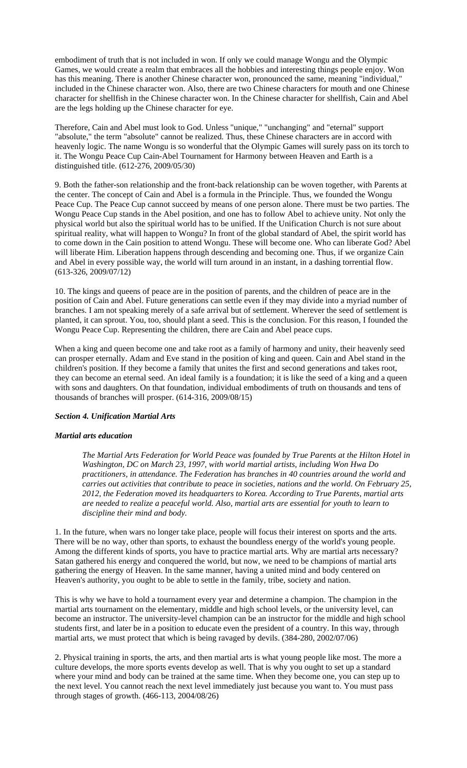embodiment of truth that is not included in won. If only we could manage Wongu and the Olympic Games, we would create a realm that embraces all the hobbies and interesting things people enjoy. Won has this meaning. There is another Chinese character won, pronounced the same, meaning "individual," included in the Chinese character won. Also, there are two Chinese characters for mouth and one Chinese character for shellfish in the Chinese character won. In the Chinese character for shellfish, Cain and Abel are the legs holding up the Chinese character for eye.

Therefore, Cain and Abel must look to God. Unless "unique," "unchanging" and "eternal" support "absolute," the term "absolute" cannot be realized. Thus, these Chinese characters are in accord with heavenly logic. The name Wongu is so wonderful that the Olympic Games will surely pass on its torch to it. The Wongu Peace Cup Cain-Abel Tournament for Harmony between Heaven and Earth is a distinguished title. (612-276, 2009/05/30)

9. Both the father-son relationship and the front-back relationship can be woven together, with Parents at the center. The concept of Cain and Abel is a formula in the Principle. Thus, we founded the Wongu Peace Cup. The Peace Cup cannot succeed by means of one person alone. There must be two parties. The Wongu Peace Cup stands in the Abel position, and one has to follow Abel to achieve unity. Not only the physical world but also the spiritual world has to be unified. If the Unification Church is not sure about spiritual reality, what will happen to Wongu? In front of the global standard of Abel, the spirit world has to come down in the Cain position to attend Wongu. These will become one. Who can liberate God? Abel will liberate Him. Liberation happens through descending and becoming one. Thus, if we organize Cain and Abel in every possible way, the world will turn around in an instant, in a dashing torrential flow. (613-326, 2009/07/12)

10. The kings and queens of peace are in the position of parents, and the children of peace are in the position of Cain and Abel. Future generations can settle even if they may divide into a myriad number of branches. I am not speaking merely of a safe arrival but of settlement. Wherever the seed of settlement is planted, it can sprout. You, too, should plant a seed. This is the conclusion. For this reason, I founded the Wongu Peace Cup. Representing the children, there are Cain and Abel peace cups.

When a king and queen become one and take root as a family of harmony and unity, their heavenly seed can prosper eternally. Adam and Eve stand in the position of king and queen. Cain and Abel stand in the children's position. If they become a family that unites the first and second generations and takes root, they can become an eternal seed. An ideal family is a foundation; it is like the seed of a king and a queen with sons and daughters. On that foundation, individual embodiments of truth on thousands and tens of thousands of branches will prosper. (614-316, 2009/08/15)

### *Section 4. Unification Martial Arts*

#### *Martial arts education*

*The Martial Arts Federation for World Peace was founded by True Parents at the Hilton Hotel in Washington, DC on March 23, 1997, with world martial artists, including Won Hwa Do practitioners, in attendance. The Federation has branches in 40 countries around the world and carries out activities that contribute to peace in societies, nations and the world. On February 25, 2012, the Federation moved its headquarters to Korea. According to True Parents, martial arts are needed to realize a peaceful world. Also, martial arts are essential for youth to learn to discipline their mind and body.* 

1. In the future, when wars no longer take place, people will focus their interest on sports and the arts. There will be no way, other than sports, to exhaust the boundless energy of the world's young people. Among the different kinds of sports, you have to practice martial arts. Why are martial arts necessary? Satan gathered his energy and conquered the world, but now, we need to be champions of martial arts gathering the energy of Heaven. In the same manner, having a united mind and body centered on Heaven's authority, you ought to be able to settle in the family, tribe, society and nation.

This is why we have to hold a tournament every year and determine a champion. The champion in the martial arts tournament on the elementary, middle and high school levels, or the university level, can become an instructor. The university-level champion can be an instructor for the middle and high school students first, and later be in a position to educate even the president of a country. In this way, through martial arts, we must protect that which is being ravaged by devils. (384-280, 2002/07/06)

2. Physical training in sports, the arts, and then martial arts is what young people like most. The more a culture develops, the more sports events develop as well. That is why you ought to set up a standard where your mind and body can be trained at the same time. When they become one, you can step up to the next level. You cannot reach the next level immediately just because you want to. You must pass through stages of growth. (466-113, 2004/08/26)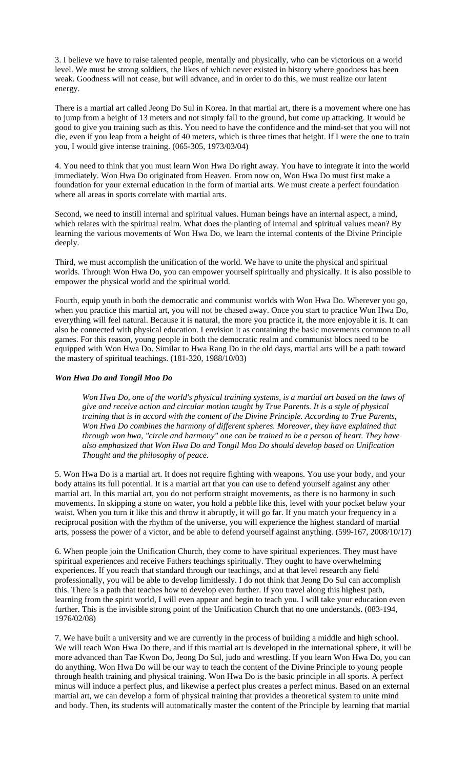3. I believe we have to raise talented people, mentally and physically, who can be victorious on a world level. We must be strong soldiers, the likes of which never existed in history where goodness has been weak. Goodness will not cease, but will advance, and in order to do this, we must realize our latent energy.

There is a martial art called Jeong Do Sul in Korea. In that martial art, there is a movement where one has to jump from a height of 13 meters and not simply fall to the ground, but come up attacking. It would be good to give you training such as this. You need to have the confidence and the mind-set that you will not die, even if you leap from a height of 40 meters, which is three times that height. If I were the one to train you, I would give intense training. (065-305, 1973/03/04)

4. You need to think that you must learn Won Hwa Do right away. You have to integrate it into the world immediately. Won Hwa Do originated from Heaven. From now on, Won Hwa Do must first make a foundation for your external education in the form of martial arts. We must create a perfect foundation where all areas in sports correlate with martial arts.

Second, we need to instill internal and spiritual values. Human beings have an internal aspect, a mind, which relates with the spiritual realm. What does the planting of internal and spiritual values mean? By learning the various movements of Won Hwa Do, we learn the internal contents of the Divine Principle deeply.

Third, we must accomplish the unification of the world. We have to unite the physical and spiritual worlds. Through Won Hwa Do, you can empower yourself spiritually and physically. It is also possible to empower the physical world and the spiritual world.

Fourth, equip youth in both the democratic and communist worlds with Won Hwa Do. Wherever you go, when you practice this martial art, you will not be chased away. Once you start to practice Won Hwa Do, everything will feel natural. Because it is natural, the more you practice it, the more enjoyable it is. It can also be connected with physical education. I envision it as containing the basic movements common to all games. For this reason, young people in both the democratic realm and communist blocs need to be equipped with Won Hwa Do. Similar to Hwa Rang Do in the old days, martial arts will be a path toward the mastery of spiritual teachings. (181-320, 1988/10/03)

# *Won Hwa Do and Tongil Moo Do*

*Won Hwa Do, one of the world's physical training systems, is a martial art based on the laws of give and receive action and circular motion taught by True Parents. It is a style of physical training that is in accord with the content of the Divine Principle. According to True Parents, Won Hwa Do combines the harmony of different spheres. Moreover, they have explained that through won hwa, "circle and harmony" one can be trained to be a person of heart. They have also emphasized that Won Hwa Do and Tongil Moo Do should develop based on Unification Thought and the philosophy of peace.* 

5. Won Hwa Do is a martial art. It does not require fighting with weapons. You use your body, and your body attains its full potential. It is a martial art that you can use to defend yourself against any other martial art. In this martial art, you do not perform straight movements, as there is no harmony in such movements. In skipping a stone on water, you hold a pebble like this, level with your pocket below your waist. When you turn it like this and throw it abruptly, it will go far. If you match your frequency in a reciprocal position with the rhythm of the universe, you will experience the highest standard of martial arts, possess the power of a victor, and be able to defend yourself against anything. (599-167, 2008/10/17)

6. When people join the Unification Church, they come to have spiritual experiences. They must have spiritual experiences and receive Fathers teachings spiritually. They ought to have overwhelming experiences. If you reach that standard through our teachings, and at that level research any field professionally, you will be able to develop limitlessly. I do not think that Jeong Do Sul can accomplish this. There is a path that teaches how to develop even further. If you travel along this highest path, learning from the spirit world, I will even appear and begin to teach you. I will take your education even further. This is the invisible strong point of the Unification Church that no one understands. (083-194, 1976/02/08)

7. We have built a university and we are currently in the process of building a middle and high school. We will teach Won Hwa Do there, and if this martial art is developed in the international sphere, it will be more advanced than Tae Kwon Do, Jeong Do Sul, judo and wrestling. If you learn Won Hwa Do, you can do anything. Won Hwa Do will be our way to teach the content of the Divine Principle to young people through health training and physical training. Won Hwa Do is the basic principle in all sports. A perfect minus will induce a perfect plus, and likewise a perfect plus creates a perfect minus. Based on an external martial art, we can develop a form of physical training that provides a theoretical system to unite mind and body. Then, its students will automatically master the content of the Principle by learning that martial